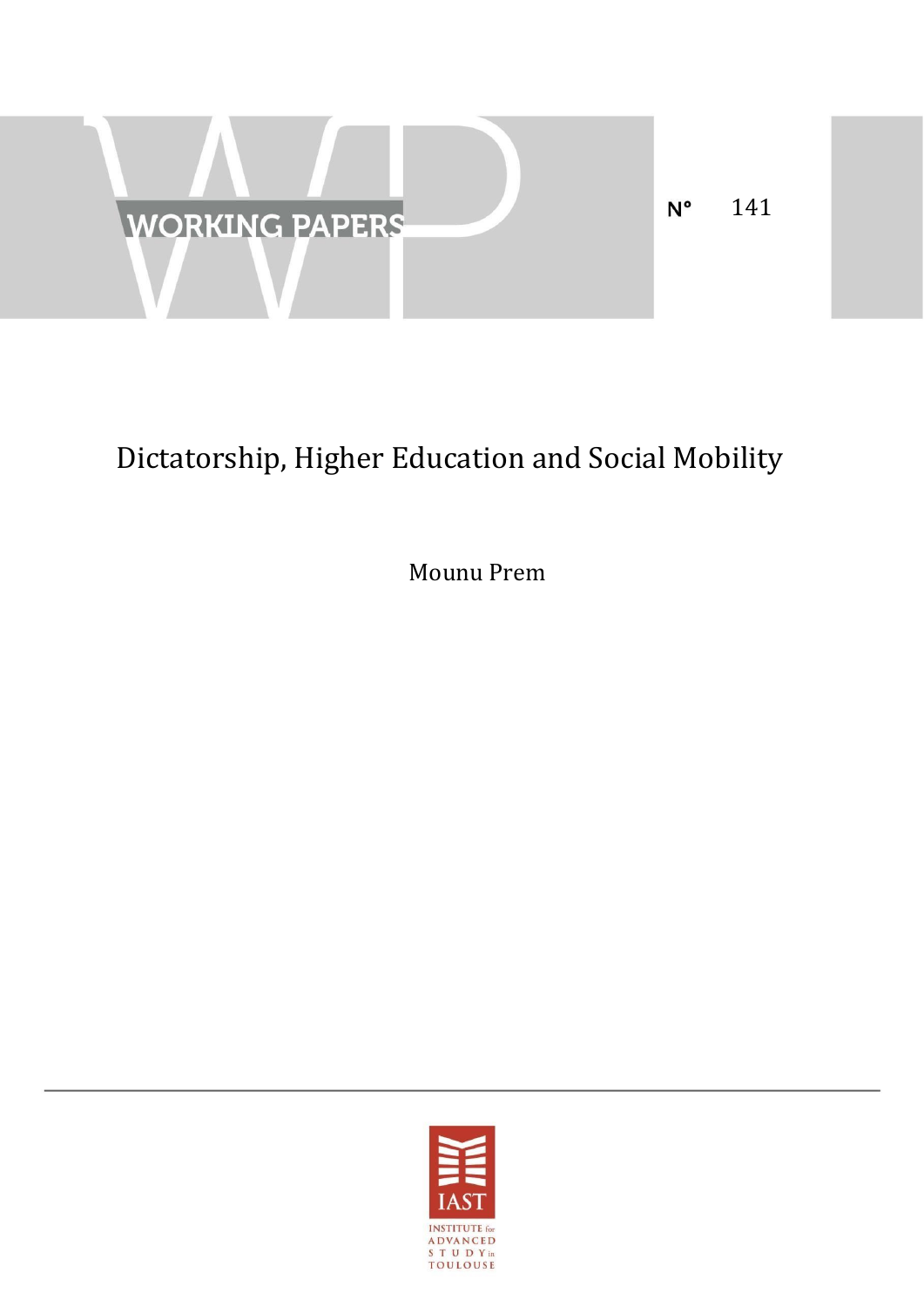

# Dictatorship, Higher Education and Social Mobility

Mounu Prem

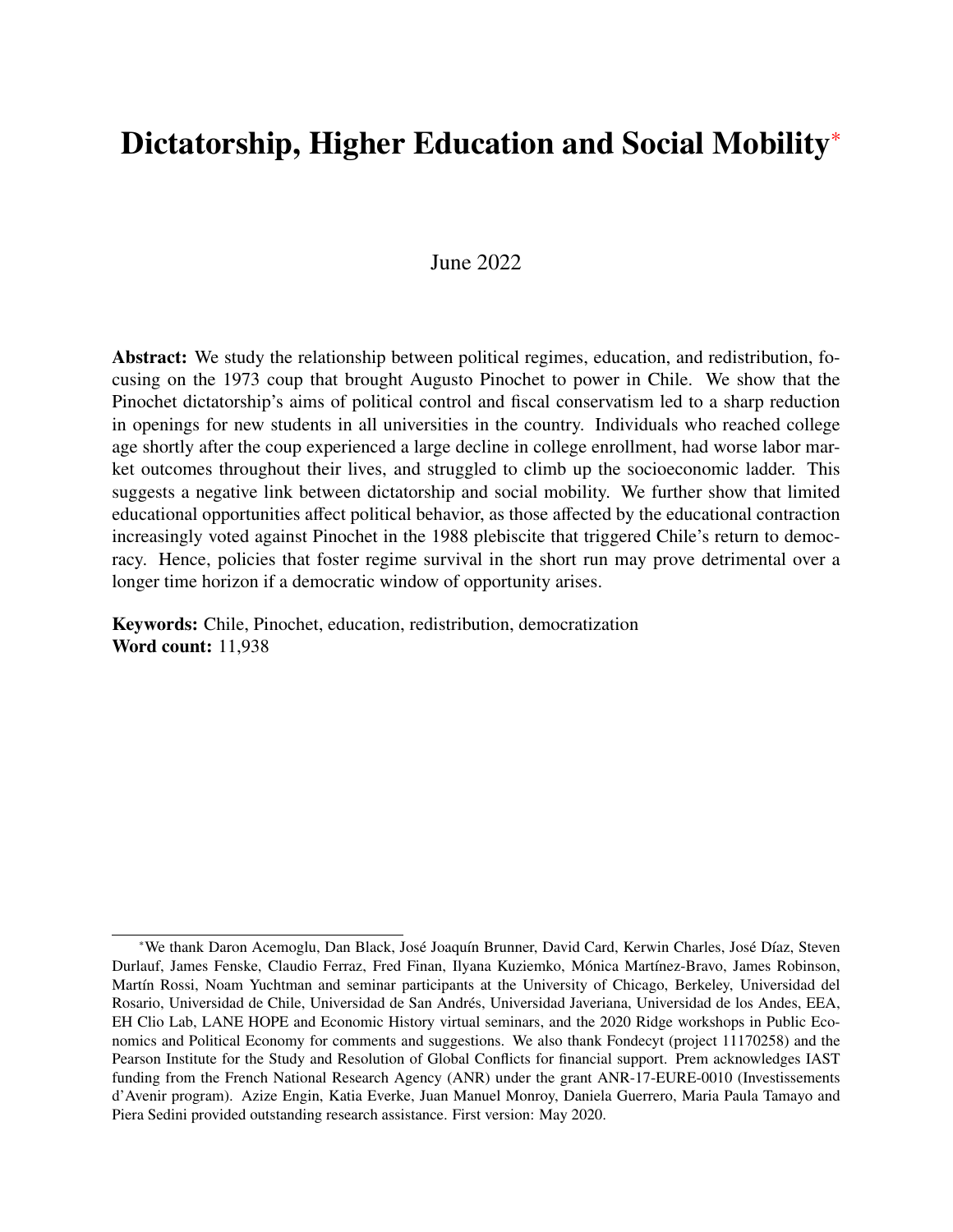## <span id="page-1-0"></span>Dictatorship, Higher Education and Social Mobility<sup>\*</sup>

## June 2022

Abstract: We study the relationship between political regimes, education, and redistribution, focusing on the 1973 coup that brought Augusto Pinochet to power in Chile. We show that the Pinochet dictatorship's aims of political control and fiscal conservatism led to a sharp reduction in openings for new students in all universities in the country. Individuals who reached college age shortly after the coup experienced a large decline in college enrollment, had worse labor market outcomes throughout their lives, and struggled to climb up the socioeconomic ladder. This suggests a negative link between dictatorship and social mobility. We further show that limited educational opportunities affect political behavior, as those affected by the educational contraction increasingly voted against Pinochet in the 1988 plebiscite that triggered Chile's return to democracy. Hence, policies that foster regime survival in the short run may prove detrimental over a longer time horizon if a democratic window of opportunity arises.

Keywords: Chile, Pinochet, education, redistribution, democratization Word count: 11,938

<sup>\*</sup>We thank Daron Acemoglu, Dan Black, José Joaquín Brunner, David Card, Kerwin Charles, José Díaz, Steven Durlauf, James Fenske, Claudio Ferraz, Fred Finan, Ilyana Kuziemko, Mónica Martínez-Bravo, James Robinson, Martín Rossi, Noam Yuchtman and seminar participants at the University of Chicago, Berkeley, Universidad del Rosario, Universidad de Chile, Universidad de San Andres, Universidad Javeriana, Universidad de los Andes, EEA, ´ EH Clio Lab, LANE HOPE and Economic History virtual seminars, and the 2020 Ridge workshops in Public Economics and Political Economy for comments and suggestions. We also thank Fondecyt (project 11170258) and the Pearson Institute for the Study and Resolution of Global Conflicts for financial support. Prem acknowledges IAST funding from the French National Research Agency (ANR) under the grant ANR-17-EURE-0010 (Investissements d'Avenir program). Azize Engin, Katia Everke, Juan Manuel Monroy, Daniela Guerrero, Maria Paula Tamayo and Piera Sedini provided outstanding research assistance. First version: May 2020.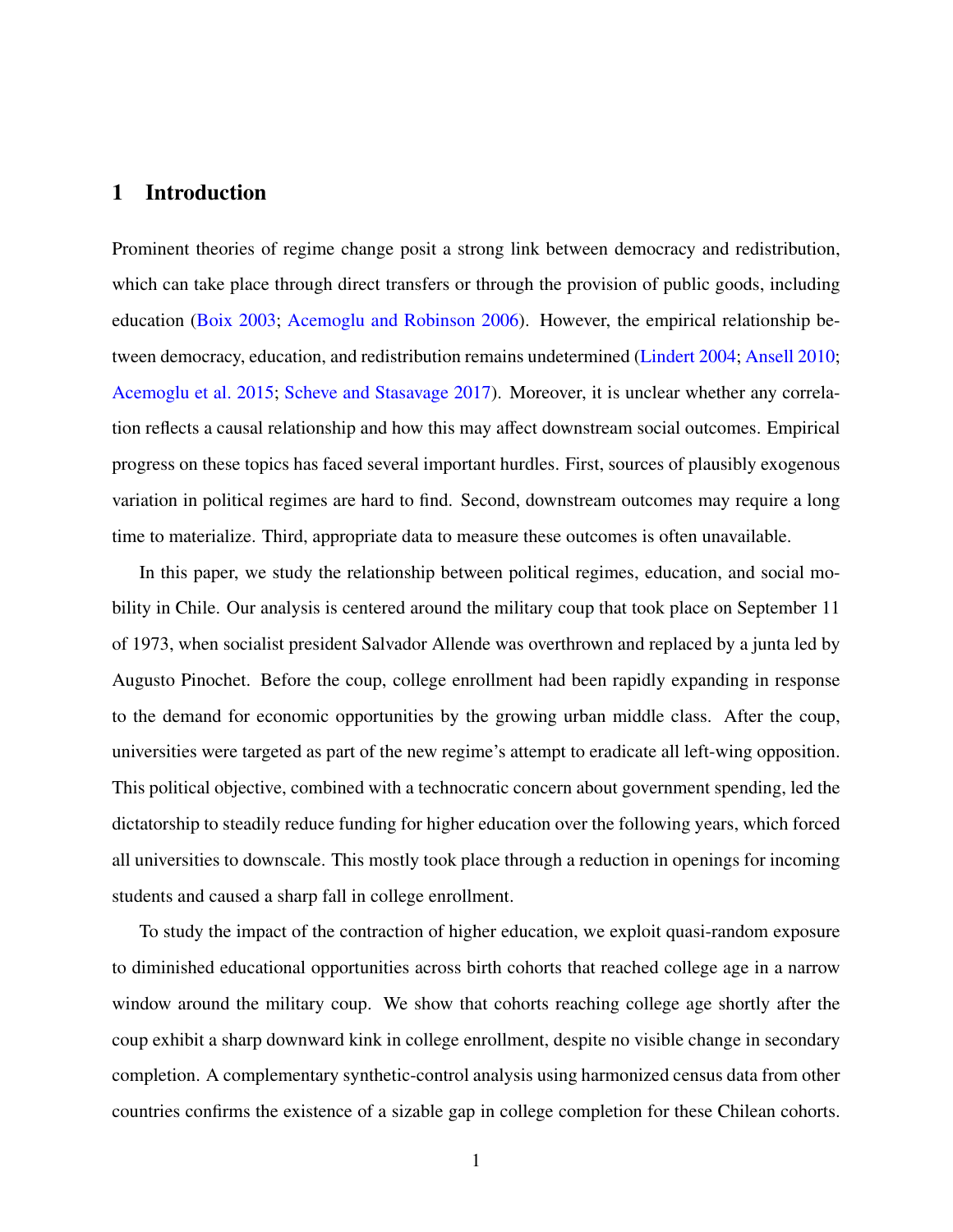## 1 Introduction

Prominent theories of regime change posit a strong link between democracy and redistribution, which can take place through direct transfers or through the provision of public goods, including education [\(Boix](#page-25-0) [2003;](#page-25-0) [Acemoglu and Robinson](#page-24-0) [2006\)](#page-24-0). However, the empirical relationship between democracy, education, and redistribution remains undetermined [\(Lindert](#page-29-0) [2004;](#page-29-0) [Ansell](#page-25-1) [2010;](#page-25-1) [Acemoglu et al.](#page-24-1) [2015;](#page-24-1) [Scheve and Stasavage](#page-30-0) [2017\)](#page-30-0). Moreover, it is unclear whether any correlation reflects a causal relationship and how this may affect downstream social outcomes. Empirical progress on these topics has faced several important hurdles. First, sources of plausibly exogenous variation in political regimes are hard to find. Second, downstream outcomes may require a long time to materialize. Third, appropriate data to measure these outcomes is often unavailable.

In this paper, we study the relationship between political regimes, education, and social mobility in Chile. Our analysis is centered around the military coup that took place on September 11 of 1973, when socialist president Salvador Allende was overthrown and replaced by a junta led by Augusto Pinochet. Before the coup, college enrollment had been rapidly expanding in response to the demand for economic opportunities by the growing urban middle class. After the coup, universities were targeted as part of the new regime's attempt to eradicate all left-wing opposition. This political objective, combined with a technocratic concern about government spending, led the dictatorship to steadily reduce funding for higher education over the following years, which forced all universities to downscale. This mostly took place through a reduction in openings for incoming students and caused a sharp fall in college enrollment.

To study the impact of the contraction of higher education, we exploit quasi-random exposure to diminished educational opportunities across birth cohorts that reached college age in a narrow window around the military coup. We show that cohorts reaching college age shortly after the coup exhibit a sharp downward kink in college enrollment, despite no visible change in secondary completion. A complementary synthetic-control analysis using harmonized census data from other countries confirms the existence of a sizable gap in college completion for these Chilean cohorts.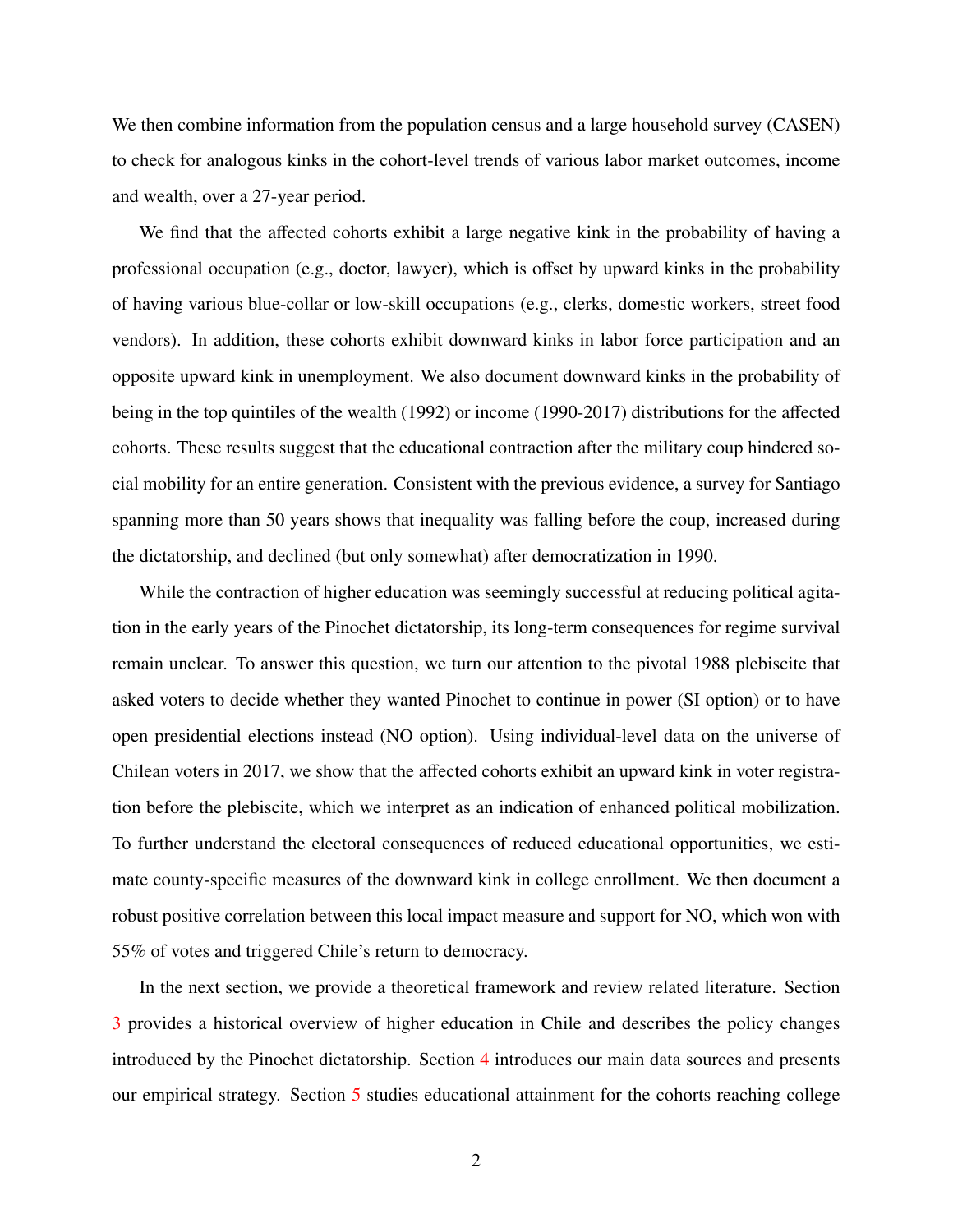We then combine information from the population census and a large household survey (CASEN) to check for analogous kinks in the cohort-level trends of various labor market outcomes, income and wealth, over a 27-year period.

We find that the affected cohorts exhibit a large negative kink in the probability of having a professional occupation (e.g., doctor, lawyer), which is offset by upward kinks in the probability of having various blue-collar or low-skill occupations (e.g., clerks, domestic workers, street food vendors). In addition, these cohorts exhibit downward kinks in labor force participation and an opposite upward kink in unemployment. We also document downward kinks in the probability of being in the top quintiles of the wealth (1992) or income (1990-2017) distributions for the affected cohorts. These results suggest that the educational contraction after the military coup hindered social mobility for an entire generation. Consistent with the previous evidence, a survey for Santiago spanning more than 50 years shows that inequality was falling before the coup, increased during the dictatorship, and declined (but only somewhat) after democratization in 1990.

While the contraction of higher education was seemingly successful at reducing political agitation in the early years of the Pinochet dictatorship, its long-term consequences for regime survival remain unclear. To answer this question, we turn our attention to the pivotal 1988 plebiscite that asked voters to decide whether they wanted Pinochet to continue in power (SI option) or to have open presidential elections instead (NO option). Using individual-level data on the universe of Chilean voters in 2017, we show that the affected cohorts exhibit an upward kink in voter registration before the plebiscite, which we interpret as an indication of enhanced political mobilization. To further understand the electoral consequences of reduced educational opportunities, we estimate county-specific measures of the downward kink in college enrollment. We then document a robust positive correlation between this local impact measure and support for NO, which won with 55% of votes and triggered Chile's return to democracy.

In the next section, we provide a theoretical framework and review related literature. Section [3](#page-7-0) provides a historical overview of higher education in Chile and describes the policy changes introduced by the Pinochet dictatorship. Section [4](#page-10-0) introduces our main data sources and presents our empirical strategy. Section [5](#page-13-0) studies educational attainment for the cohorts reaching college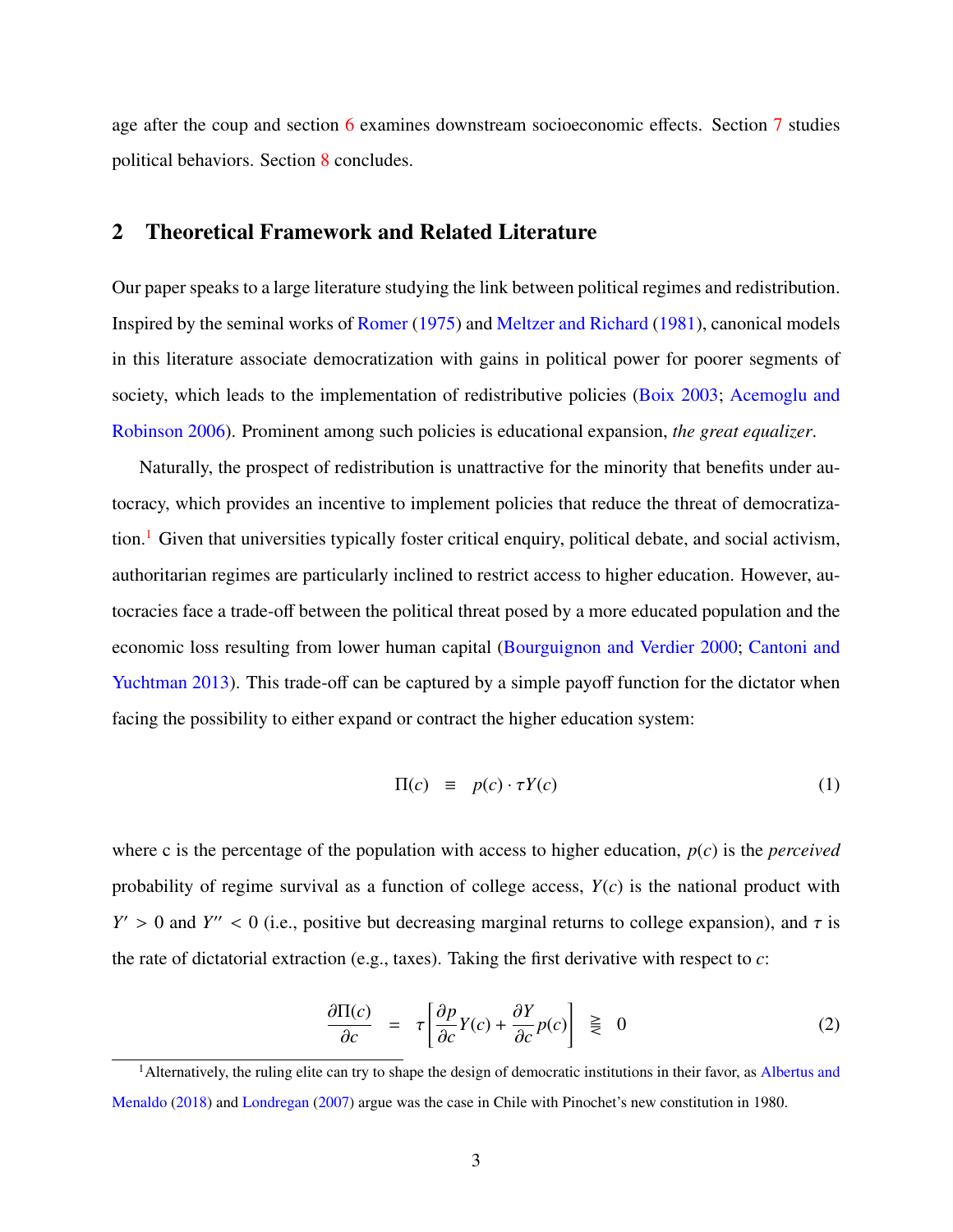age after the coup and section [6](#page-16-0) examines downstream socioeconomic effects. Section [7](#page-21-0) studies political behaviors. Section [8](#page-23-0) concludes.

## 2 Theoretical Framework and Related Literature

Our paper speaks to a large literature studying the link between political regimes and redistribution. Inspired by the seminal works of [Romer](#page-30-1) [\(1975\)](#page-30-1) and [Meltzer and Richard](#page-29-1) [\(1981\)](#page-29-1), canonical models in this literature associate democratization with gains in political power for poorer segments of society, which leads to the implementation of redistributive policies [\(Boix](#page-25-0) [2003;](#page-25-0) [Acemoglu and](#page-24-0) [Robinson](#page-24-0) [2006\)](#page-24-0). Prominent among such policies is educational expansion, *the great equalizer*.

Naturally, the prospect of redistribution is unattractive for the minority that benefits under autocracy, which provides an incentive to implement policies that reduce the threat of democratiza-tion.<sup>[1](#page-1-0)</sup> Given that universities typically foster critical enquiry, political debate, and social activism, authoritarian regimes are particularly inclined to restrict access to higher education. However, autocracies face a trade-off between the political threat posed by a more educated population and the economic loss resulting from lower human capital [\(Bourguignon and Verdier](#page-25-2) [2000;](#page-25-2) [Cantoni and](#page-26-0) [Yuchtman](#page-26-0) [2013\)](#page-26-0). This trade-off can be captured by a simple payoff function for the dictator when facing the possibility to either expand or contract the higher education system:

$$
\Pi(c) \equiv p(c) \cdot \tau Y(c) \tag{1}
$$

where c is the percentage of the population with access to higher education, *p*(*c*) is the *perceived* probability of regime survival as a function of college access, *Y*(*c*) is the national product with *Y*  $> 0$  and *Y*<sup> $\prime\prime$ </sup> < 0 (i.e., positive but decreasing marginal returns to college expansion), and  $\tau$  is the rate of dictatorial extraction (e.g., taxes). Taking the first derivative with respect to *c*:

$$
\frac{\partial \Pi(c)}{\partial c} = \tau \left[ \frac{\partial p}{\partial c} Y(c) + \frac{\partial Y}{\partial c} p(c) \right] \geq 0 \tag{2}
$$

<sup>&</sup>lt;sup>1</sup> Alternatively, the ruling elite can try to shape the design of democratic institutions in their favor, as [Albertus and](#page-24-2) [Menaldo](#page-24-2) [\(2018\)](#page-24-2) and [Londregan](#page-29-2) [\(2007\)](#page-29-2) argue was the case in Chile with Pinochet's new constitution in 1980.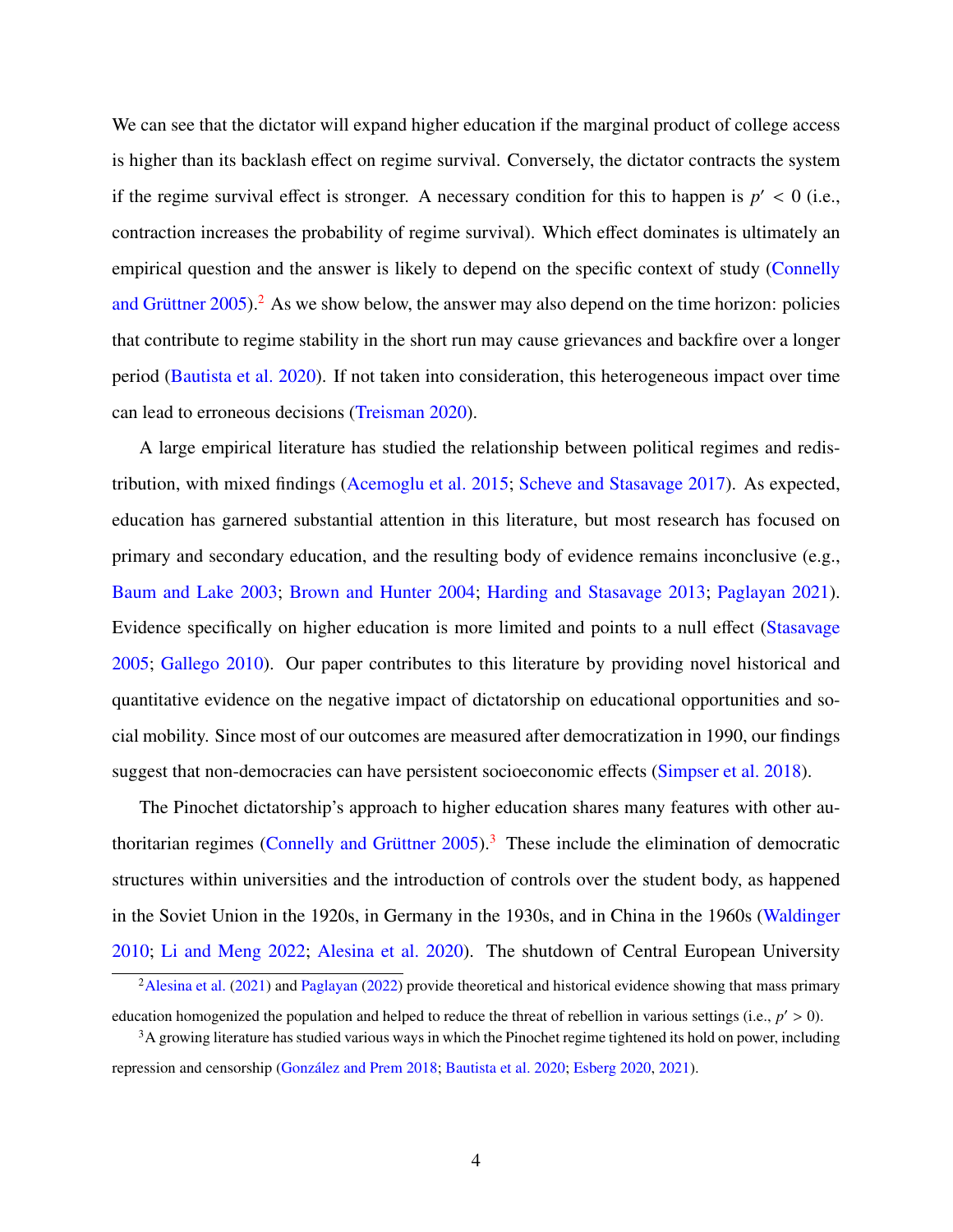We can see that the dictator will expand higher education if the marginal product of college access is higher than its backlash effect on regime survival. Conversely, the dictator contracts the system if the regime survival effect is stronger. A necessary condition for this to happen is  $p' < 0$  (i.e., contraction increases the probability of regime survival). Which effect dominates is ultimately an empirical question and the answer is likely to depend on the specific context of study [\(Connelly](#page-26-1) and Grüttner  $2005$  $2005$ ).<sup>2</sup> As we show below, the answer may also depend on the time horizon: policies that contribute to regime stability in the short run may cause grievances and backfire over a longer period [\(Bautista et al.](#page-25-3) [2020\)](#page-25-3). If not taken into consideration, this heterogeneous impact over time can lead to erroneous decisions [\(Treisman](#page-31-0) [2020\)](#page-31-0).

A large empirical literature has studied the relationship between political regimes and redistribution, with mixed findings [\(Acemoglu et al.](#page-24-1) [2015;](#page-24-1) [Scheve and Stasavage](#page-30-0) [2017\)](#page-30-0). As expected, education has garnered substantial attention in this literature, but most research has focused on primary and secondary education, and the resulting body of evidence remains inconclusive (e.g., [Baum and Lake](#page-25-4) [2003;](#page-25-4) [Brown and Hunter](#page-26-2) [2004;](#page-26-2) [Harding and Stasavage](#page-28-0) [2013;](#page-28-0) [Paglayan](#page-29-3) [2021\)](#page-29-3). Evidence specifically on higher education is more limited and points to a null effect [\(Stasavage](#page-30-2) [2005;](#page-30-2) [Gallego](#page-27-0) [2010\)](#page-27-0). Our paper contributes to this literature by providing novel historical and quantitative evidence on the negative impact of dictatorship on educational opportunities and social mobility. Since most of our outcomes are measured after democratization in 1990, our findings suggest that non-democracies can have persistent socioeconomic effects [\(Simpser et al.](#page-30-3) [2018\)](#page-30-3).

The Pinochet dictatorship's approach to higher education shares many features with other authoritarian regimes (Connelly and Grüttner  $2005$ ).<sup>[3](#page-1-0)</sup> These include the elimination of democratic structures within universities and the introduction of controls over the student body, as happened in the Soviet Union in the 1920s, in Germany in the 1930s, and in China in the 1960s [\(Waldinger](#page-31-1) [2010;](#page-31-1) [Li and Meng](#page-29-4) [2022;](#page-29-4) [Alesina et al.](#page-25-5) [2020\)](#page-25-5). The shutdown of Central European University

<sup>&</sup>lt;sup>2</sup>[Alesina et al.](#page-25-6) [\(2021\)](#page-25-6) and [Paglayan](#page-29-5) [\(2022\)](#page-29-5) provide theoretical and historical evidence showing that mass primary education homogenized the population and helped to reduce the threat of rebellion in various settings (i.e.,  $p' > 0$ ).

 $3A$  growing literature has studied various ways in which the Pinochet regime tightened its hold on power, including repression and censorship (González and Prem [2018;](#page-28-1) [Bautista et al.](#page-25-3) [2020;](#page-25-3) [Esberg](#page-27-1) [2020,](#page-27-1) [2021\)](#page-27-2).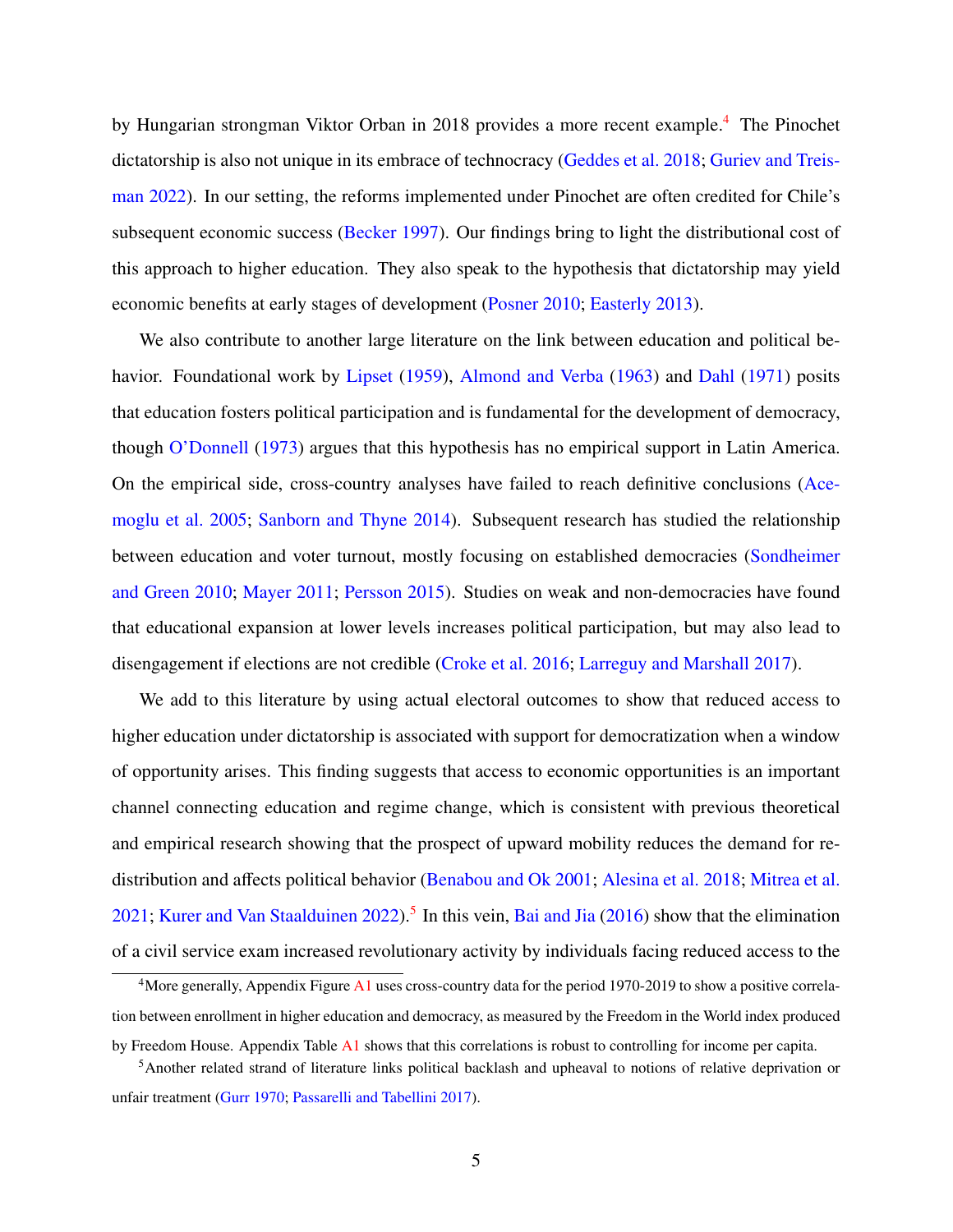by Hungarian strongman Viktor Orban in 2018 provides a more recent example.<sup>[4](#page-1-0)</sup> The Pinochet dictatorship is also not unique in its embrace of technocracy [\(Geddes et al.](#page-28-2) [2018;](#page-28-2) [Guriev and Treis](#page-28-3)[man](#page-28-3) [2022\)](#page-28-3). In our setting, the reforms implemented under Pinochet are often credited for Chile's subsequent economic success [\(Becker](#page-25-7) [1997\)](#page-25-7). Our findings bring to light the distributional cost of this approach to higher education. They also speak to the hypothesis that dictatorship may yield economic benefits at early stages of development [\(Posner](#page-30-4) [2010;](#page-30-4) [Easterly](#page-27-3) [2013\)](#page-27-3).

We also contribute to another large literature on the link between education and political be-havior. Foundational work by [Lipset](#page-29-6) [\(1959\)](#page-29-6), [Almond and Verba](#page-25-8) [\(1963\)](#page-25-8) and [Dahl](#page-26-3) [\(1971\)](#page-26-3) posits that education fosters political participation and is fundamental for the development of democracy, though [O'Donnell](#page-29-7) [\(1973\)](#page-29-7) argues that this hypothesis has no empirical support in Latin America. On the empirical side, cross-country analyses have failed to reach definitive conclusions [\(Ace](#page-24-3)[moglu et al.](#page-24-3) [2005;](#page-24-3) [Sanborn and Thyne](#page-30-5) [2014\)](#page-30-5). Subsequent research has studied the relationship between education and voter turnout, mostly focusing on established democracies [\(Sondheimer](#page-30-6) [and Green](#page-30-6) [2010;](#page-30-6) [Mayer](#page-29-8) [2011;](#page-29-8) [Persson](#page-30-7) [2015\)](#page-30-7). Studies on weak and non-democracies have found that educational expansion at lower levels increases political participation, but may also lead to disengagement if elections are not credible [\(Croke et al.](#page-26-4) [2016;](#page-26-4) [Larreguy and Marshall](#page-28-4) [2017\)](#page-28-4).

We add to this literature by using actual electoral outcomes to show that reduced access to higher education under dictatorship is associated with support for democratization when a window of opportunity arises. This finding suggests that access to economic opportunities is an important channel connecting education and regime change, which is consistent with previous theoretical and empirical research showing that the prospect of upward mobility reduces the demand for redistribution and affects political behavior [\(Benabou and Ok](#page-25-9) [2001;](#page-25-9) [Alesina et al.](#page-25-10) [2018;](#page-25-10) [Mitrea et al.](#page-29-9) [2021;](#page-29-9) [Kurer and Van Staalduinen](#page-28-5) [2022\)](#page-28-5).<sup>[5](#page-1-0)</sup> In this vein, [Bai and Jia](#page-25-11) [\(2016\)](#page-25-11) show that the elimination of a civil service exam increased revolutionary activity by individuals facing reduced access to the

<sup>4</sup>More generally, Appendix Figure [A1](#page-43-0) uses cross-country data for the period 1970-2019 to show a positive correlation between enrollment in higher education and democracy, as measured by the Freedom in the World index produced by Freedom House. Appendix Table [A1](#page-49-0) shows that this correlations is robust to controlling for income per capita.

<sup>&</sup>lt;sup>5</sup>Another related strand of literature links political backlash and upheaval to notions of relative deprivation or unfair treatment [\(Gurr](#page-28-6) [1970;](#page-28-6) [Passarelli and Tabellini](#page-30-8) [2017\)](#page-30-8).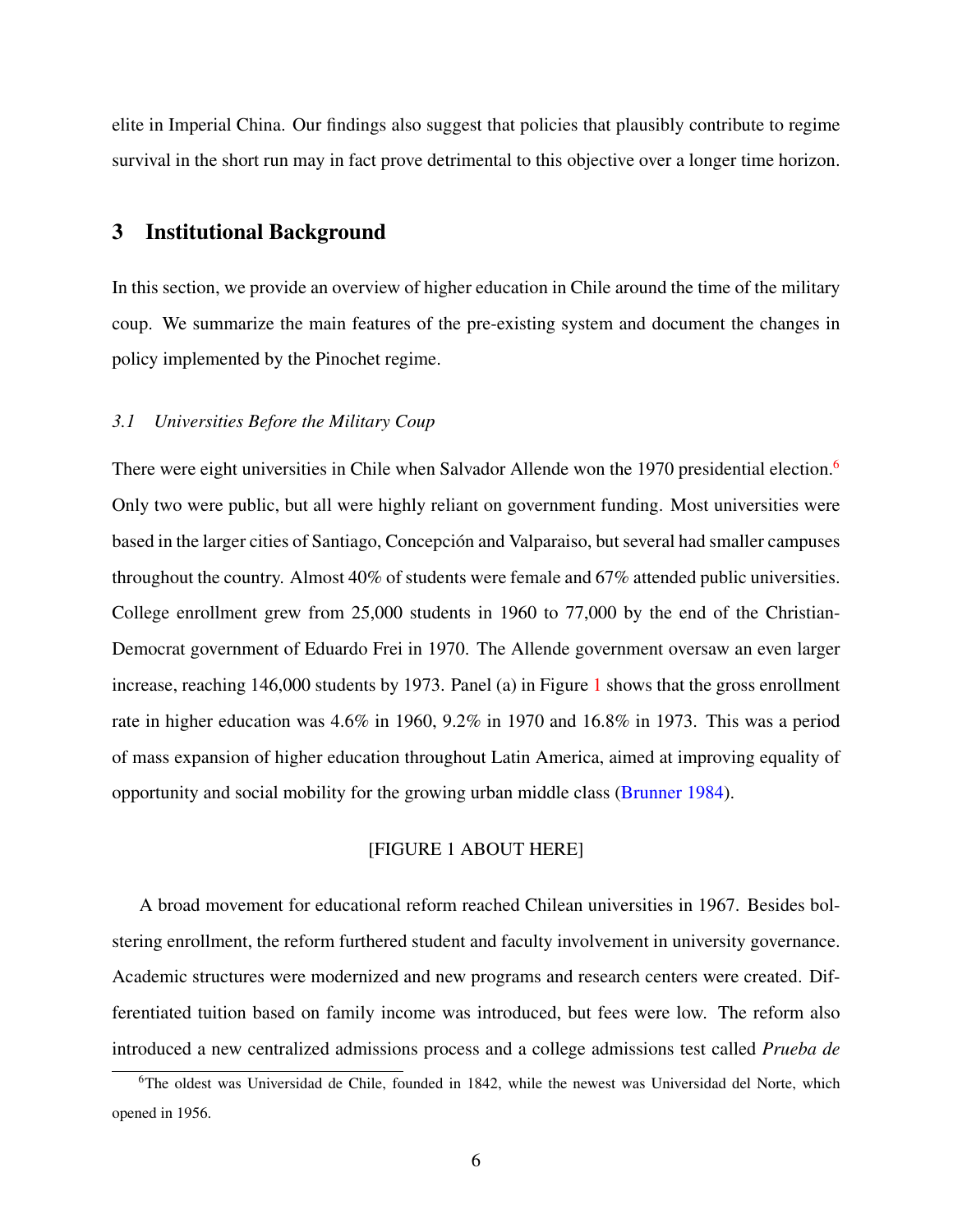<span id="page-7-0"></span>elite in Imperial China. Our findings also suggest that policies that plausibly contribute to regime survival in the short run may in fact prove detrimental to this objective over a longer time horizon.

## 3 Institutional Background

In this section, we provide an overview of higher education in Chile around the time of the military coup. We summarize the main features of the pre-existing system and document the changes in policy implemented by the Pinochet regime.

## *3.1 Universities Before the Military Coup*

There were eight universities in Chile when Salvador Allende won the 1970 presidential election.<sup>[6](#page-1-0)</sup> Only two were public, but all were highly reliant on government funding. Most universities were based in the larger cities of Santiago, Concepcion and Valparaiso, but several had smaller campuses ´ throughout the country. Almost 40% of students were female and 67% attended public universities. College enrollment grew from 25,000 students in 1960 to 77,000 by the end of the Christian-Democrat government of Eduardo Frei in 1970. The Allende government oversaw an even larger increase, reaching 146,000 students by 1973. Panel (a) in Figure [1](#page-32-0) shows that the gross enrollment rate in higher education was 4.6% in 1960, 9.2% in 1970 and 16.8% in 1973. This was a period of mass expansion of higher education throughout Latin America, aimed at improving equality of opportunity and social mobility for the growing urban middle class [\(Brunner](#page-26-5) [1984\)](#page-26-5).

## [FIGURE 1 ABOUT HERE]

A broad movement for educational reform reached Chilean universities in 1967. Besides bolstering enrollment, the reform furthered student and faculty involvement in university governance. Academic structures were modernized and new programs and research centers were created. Differentiated tuition based on family income was introduced, but fees were low. The reform also introduced a new centralized admissions process and a college admissions test called *Prueba de*

<sup>&</sup>lt;sup>6</sup>The oldest was Universidad de Chile, founded in 1842, while the newest was Universidad del Norte, which opened in 1956.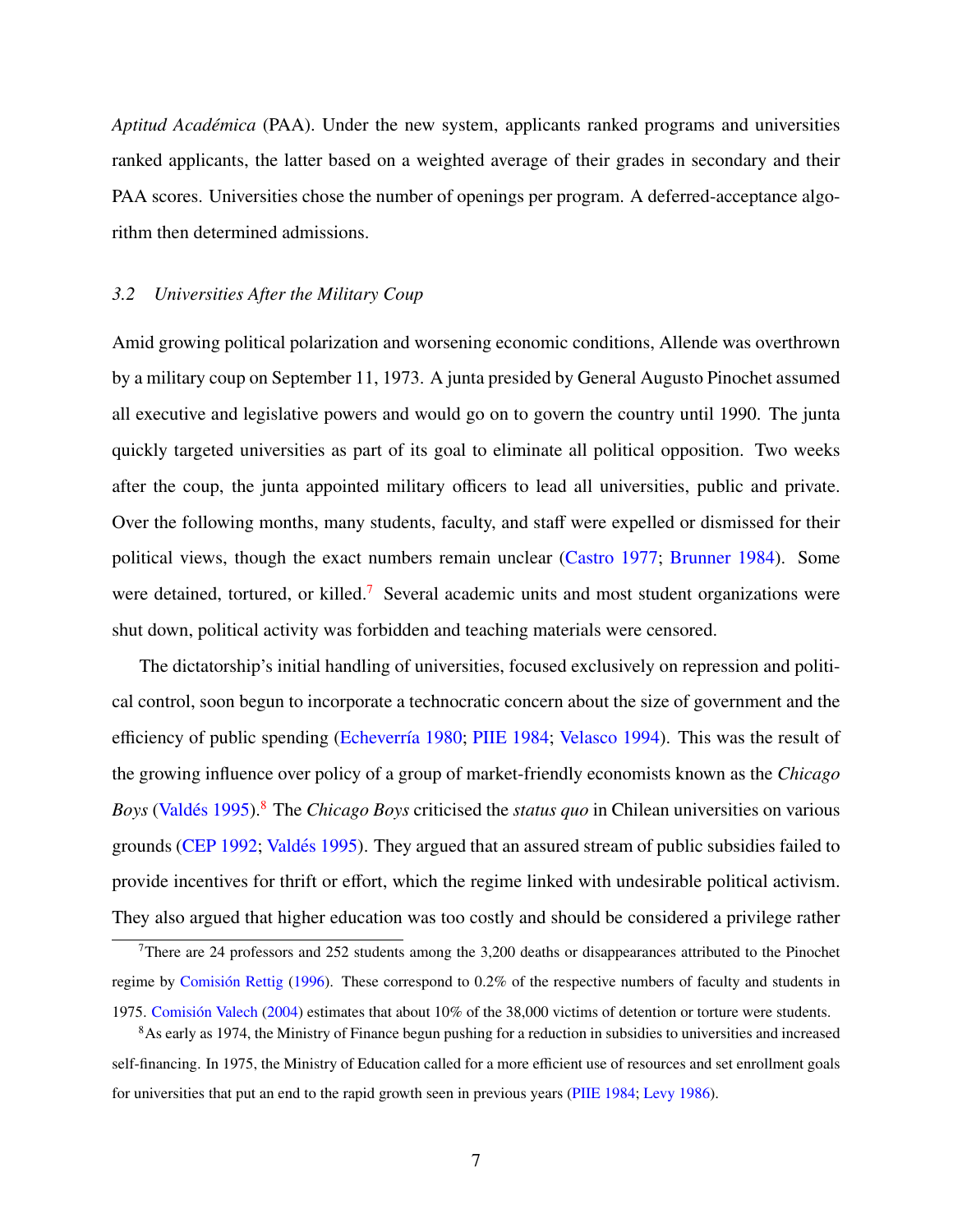Aptitud Académica (PAA). Under the new system, applicants ranked programs and universities ranked applicants, the latter based on a weighted average of their grades in secondary and their PAA scores. Universities chose the number of openings per program. A deferred-acceptance algorithm then determined admissions.

## *3.2 Universities After the Military Coup*

Amid growing political polarization and worsening economic conditions, Allende was overthrown by a military coup on September 11, 1973. A junta presided by General Augusto Pinochet assumed all executive and legislative powers and would go on to govern the country until 1990. The junta quickly targeted universities as part of its goal to eliminate all political opposition. Two weeks after the coup, the junta appointed military officers to lead all universities, public and private. Over the following months, many students, faculty, and staff were expelled or dismissed for their political views, though the exact numbers remain unclear [\(Castro](#page-26-6) [1977;](#page-26-6) [Brunner](#page-26-5) [1984\)](#page-26-5). Some were detained, tortured, or killed.<sup>[7](#page-1-0)</sup> Several academic units and most student organizations were shut down, political activity was forbidden and teaching materials were censored.

The dictatorship's initial handling of universities, focused exclusively on repression and political control, soon begun to incorporate a technocratic concern about the size of government and the efficiency of public spending (Echeverría [1980;](#page-27-4) [PIIE](#page-30-9) [1984;](#page-30-9) [Velasco](#page-31-2) [1994\)](#page-31-2). This was the result of the growing influence over policy of a group of market-friendly economists known as the *Chicago Boys* (Valdés [1995\)](#page-31-3).<sup>[8](#page-1-0)</sup> The *Chicago Boys* criticised the *status quo* in Chilean universities on various grounds [\(CEP](#page-26-7) [1992;](#page-26-7) Valdés [1995\)](#page-31-3). They argued that an assured stream of public subsidies failed to provide incentives for thrift or effort, which the regime linked with undesirable political activism. They also argued that higher education was too costly and should be considered a privilege rather

 $7$ There are 24 professors and 252 students among the 3,200 deaths or disappearances attributed to the Pinochet regime by Comisión Rettig  $(1996)$ . These correspond to 0.2% of the respective numbers of faculty and students in 1975. Comisión Valech [\(2004\)](#page-26-9) estimates that about 10% of the 38,000 victims of detention or torture were students.

<sup>8</sup>As early as 1974, the Ministry of Finance begun pushing for a reduction in subsidies to universities and increased self-financing. In 1975, the Ministry of Education called for a more efficient use of resources and set enrollment goals for universities that put an end to the rapid growth seen in previous years [\(PIIE](#page-30-9) [1984;](#page-30-9) [Levy](#page-28-7) [1986\)](#page-28-7).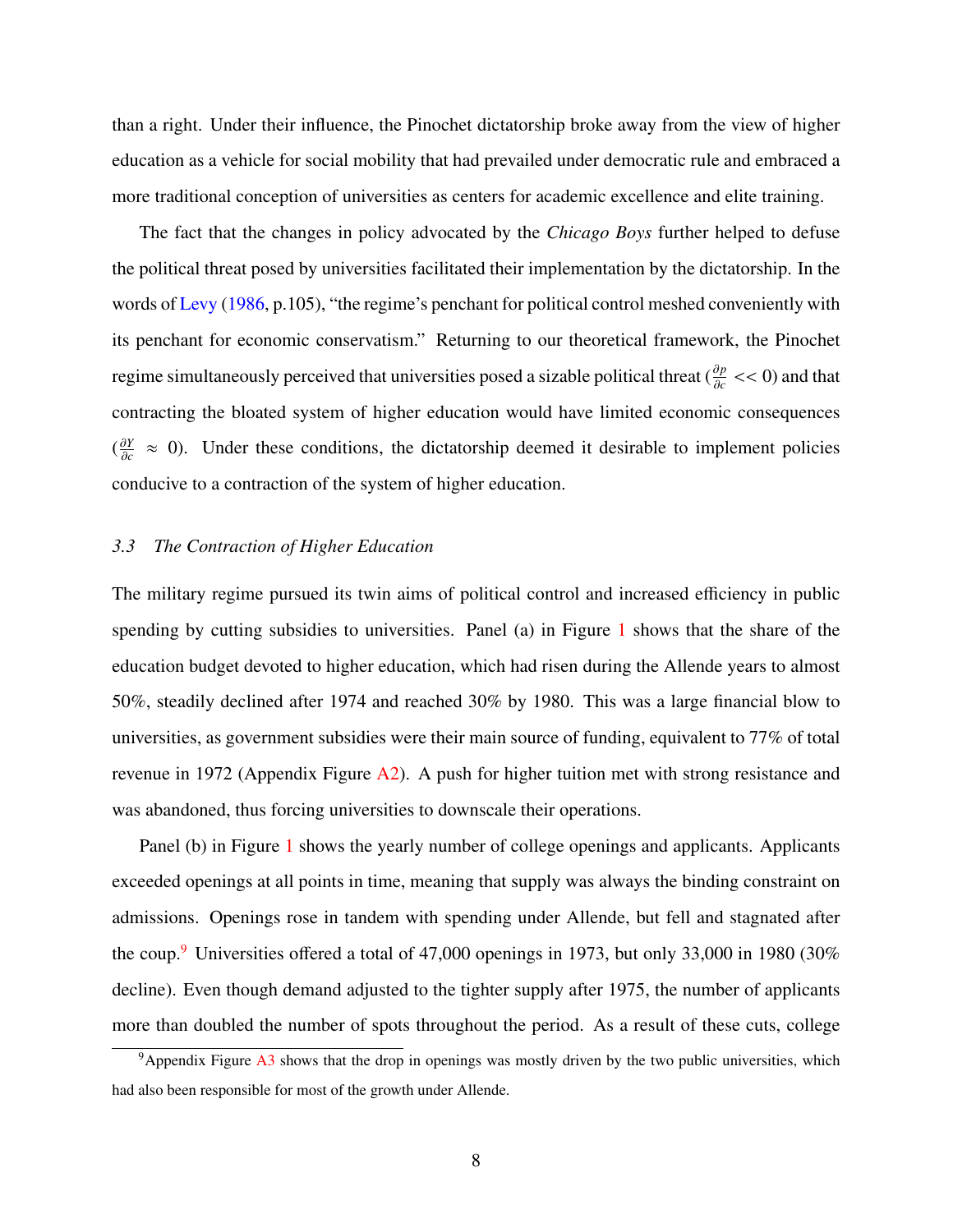than a right. Under their influence, the Pinochet dictatorship broke away from the view of higher education as a vehicle for social mobility that had prevailed under democratic rule and embraced a more traditional conception of universities as centers for academic excellence and elite training.

The fact that the changes in policy advocated by the *Chicago Boys* further helped to defuse the political threat posed by universities facilitated their implementation by the dictatorship. In the words of [Levy](#page-28-7) [\(1986,](#page-28-7) p.105), "the regime's penchant for political control meshed conveniently with its penchant for economic conservatism." Returning to our theoretical framework, the Pinochet regime simultaneously perceived that universities posed a sizable political threat  $(\frac{\partial p}{\partial r})$  $\frac{\partial p}{\partial c}$  << 0) and that contracting the bloated system of higher education would have limited economic consequences  $\left(\frac{\partial Y}{\partial c}\right)$  $\frac{\partial Y}{\partial c} \approx 0$ ). Under these conditions, the dictatorship deemed it desirable to implement policies conducive to a contraction of the system of higher education.

#### *3.3 The Contraction of Higher Education*

The military regime pursued its twin aims of political control and increased efficiency in public spending by cutting subsidies to universities. Panel (a) in Figure [1](#page-32-0) shows that the share of the education budget devoted to higher education, which had risen during the Allende years to almost 50%, steadily declined after 1974 and reached 30% by 1980. This was a large financial blow to universities, as government subsidies were their main source of funding, equivalent to 77% of total revenue in 1972 (Appendix Figure [A2\)](#page-44-0). A push for higher tuition met with strong resistance and was abandoned, thus forcing universities to downscale their operations.

Panel (b) in Figure [1](#page-32-0) shows the yearly number of college openings and applicants. Applicants exceeded openings at all points in time, meaning that supply was always the binding constraint on admissions. Openings rose in tandem with spending under Allende, but fell and stagnated after the coup.<sup>[9](#page-1-0)</sup> Universities offered a total of 47,000 openings in 1973, but only 33,000 in 1980 (30%) decline). Even though demand adjusted to the tighter supply after 1975, the number of applicants more than doubled the number of spots throughout the period. As a result of these cuts, college

 $9A$ ppendix Figure [A3](#page-44-1) shows that the drop in openings was mostly driven by the two public universities, which had also been responsible for most of the growth under Allende.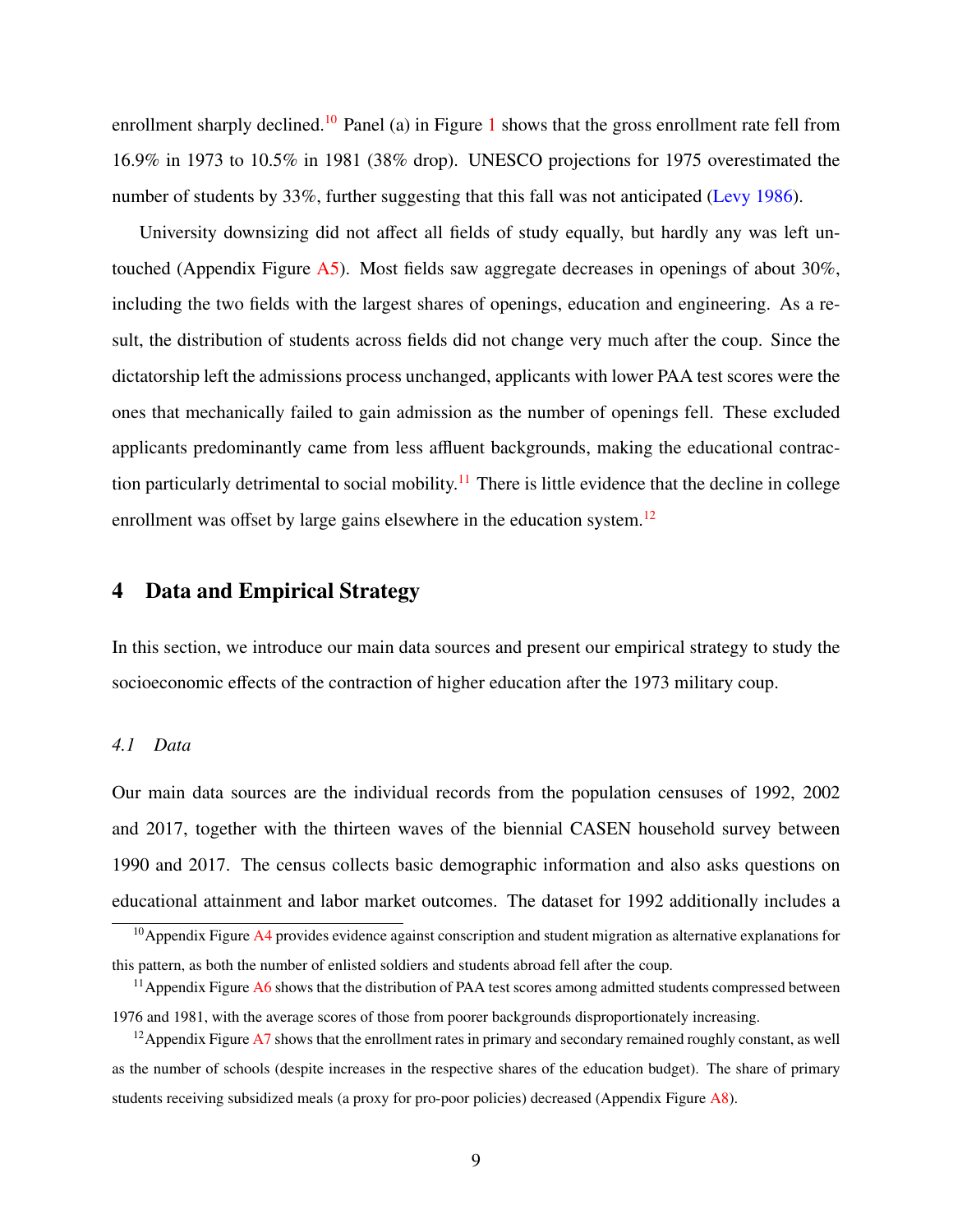enrollment sharply declined.<sup>[10](#page-1-0)</sup> Panel (a) in Figure [1](#page-32-0) shows that the gross enrollment rate fell from 16.9% in 1973 to 10.5% in 1981 (38% drop). UNESCO projections for 1975 overestimated the number of students by 33%, further suggesting that this fall was not anticipated [\(Levy](#page-28-7) [1986\)](#page-28-7).

University downsizing did not affect all fields of study equally, but hardly any was left untouched (Appendix Figure [A5\)](#page-45-0). Most fields saw aggregate decreases in openings of about 30%, including the two fields with the largest shares of openings, education and engineering. As a result, the distribution of students across fields did not change very much after the coup. Since the dictatorship left the admissions process unchanged, applicants with lower PAA test scores were the ones that mechanically failed to gain admission as the number of openings fell. These excluded applicants predominantly came from less affluent backgrounds, making the educational contrac-tion particularly detrimental to social mobility.<sup>[11](#page-1-0)</sup> There is little evidence that the decline in college enrollment was offset by large gains elsewhere in the education system.<sup>[12](#page-1-0)</sup>

## <span id="page-10-0"></span>4 Data and Empirical Strategy

In this section, we introduce our main data sources and present our empirical strategy to study the socioeconomic effects of the contraction of higher education after the 1973 military coup.

#### *4.1 Data*

Our main data sources are the individual records from the population censuses of 1992, 2002 and 2017, together with the thirteen waves of the biennial CASEN household survey between 1990 and 2017. The census collects basic demographic information and also asks questions on educational attainment and labor market outcomes. The dataset for 1992 additionally includes a

 $\frac{10}{10}$ Appendix Figure [A4](#page-45-1) provides evidence against conscription and student migration as alternative explanations for this pattern, as both the number of enlisted soldiers and students abroad fell after the coup.

 $11$ Appendix Figure  $A6$  shows that the distribution of PAA test scores among admitted students compressed between 1976 and 1981, with the average scores of those from poorer backgrounds disproportionately increasing.

<sup>&</sup>lt;sup>12</sup> Appendix Figure [A7](#page-46-1) shows that the enrollment rates in primary and secondary remained roughly constant, as well as the number of schools (despite increases in the respective shares of the education budget). The share of primary students receiving subsidized meals (a proxy for pro-poor policies) decreased (Appendix Figure [A8\)](#page-47-0).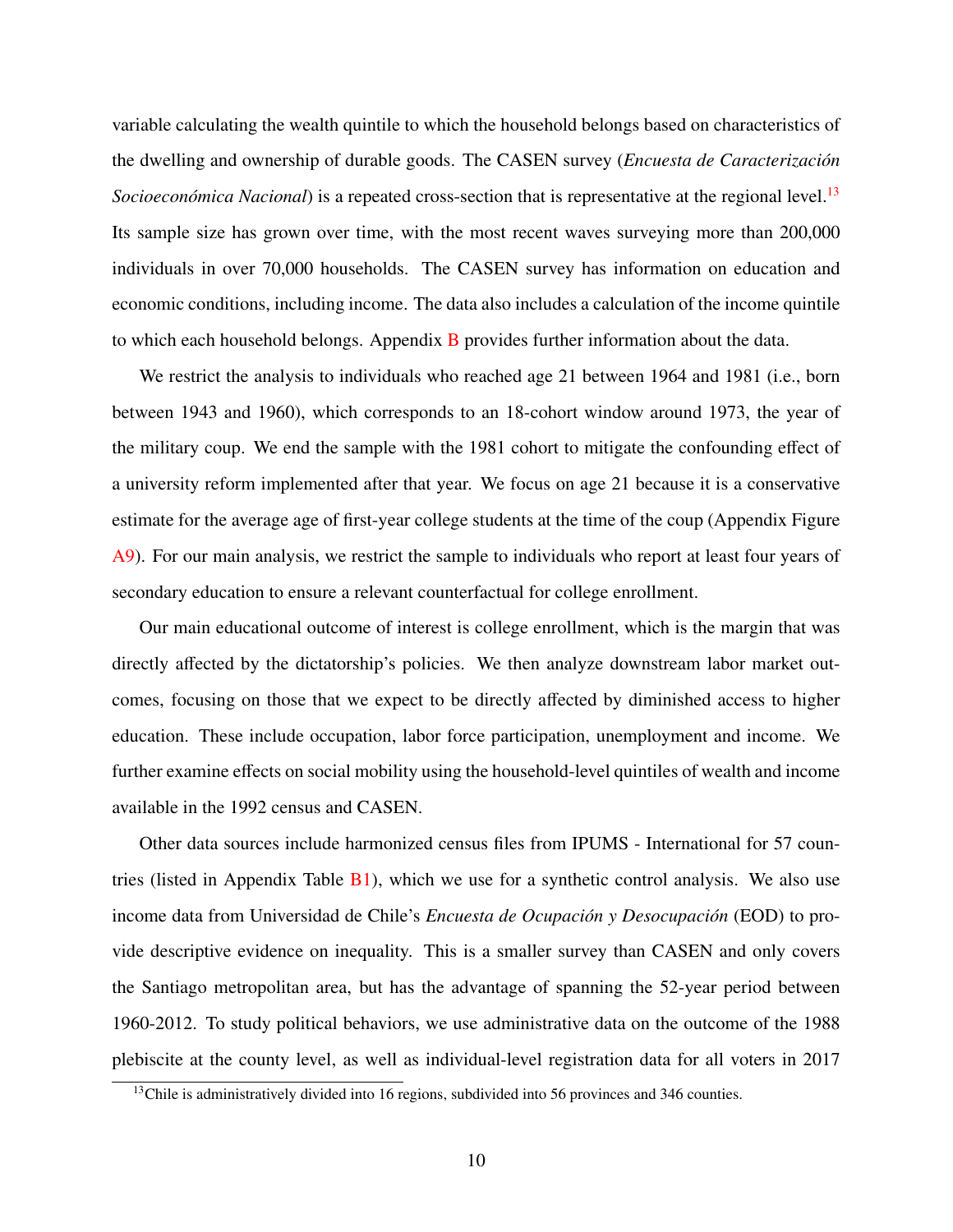variable calculating the wealth quintile to which the household belongs based on characteristics of the dwelling and ownership of durable goods. The CASEN survey (*Encuesta de Caracterización*) *Socioeconómica Nacional*) is a repeated cross-section that is representative at the regional level.<sup>[13](#page-1-0)</sup> Its sample size has grown over time, with the most recent waves surveying more than 200,000 individuals in over 70,000 households. The CASEN survey has information on education and economic conditions, including income. The data also includes a calculation of the income quintile to which each household belongs. Appendix [B](#page-50-0) provides further information about the data.

We restrict the analysis to individuals who reached age 21 between 1964 and 1981 (i.e., born between 1943 and 1960), which corresponds to an 18-cohort window around 1973, the year of the military coup. We end the sample with the 1981 cohort to mitigate the confounding effect of a university reform implemented after that year. We focus on age 21 because it is a conservative estimate for the average age of first-year college students at the time of the coup (Appendix Figure [A9\)](#page-47-1). For our main analysis, we restrict the sample to individuals who report at least four years of secondary education to ensure a relevant counterfactual for college enrollment.

Our main educational outcome of interest is college enrollment, which is the margin that was directly affected by the dictatorship's policies. We then analyze downstream labor market outcomes, focusing on those that we expect to be directly affected by diminished access to higher education. These include occupation, labor force participation, unemployment and income. We further examine effects on social mobility using the household-level quintiles of wealth and income available in the 1992 census and CASEN.

Other data sources include harmonized census files from IPUMS - International for 57 countries (listed in Appendix Table  $B1$ ), which we use for a synthetic control analysis. We also use income data from Universidad de Chile's *Encuesta de Ocupación y Desocupación* (EOD) to provide descriptive evidence on inequality. This is a smaller survey than CASEN and only covers the Santiago metropolitan area, but has the advantage of spanning the 52-year period between 1960-2012. To study political behaviors, we use administrative data on the outcome of the 1988 plebiscite at the county level, as well as individual-level registration data for all voters in 2017

<sup>&</sup>lt;sup>13</sup>Chile is administratively divided into 16 regions, subdivided into 56 provinces and 346 counties.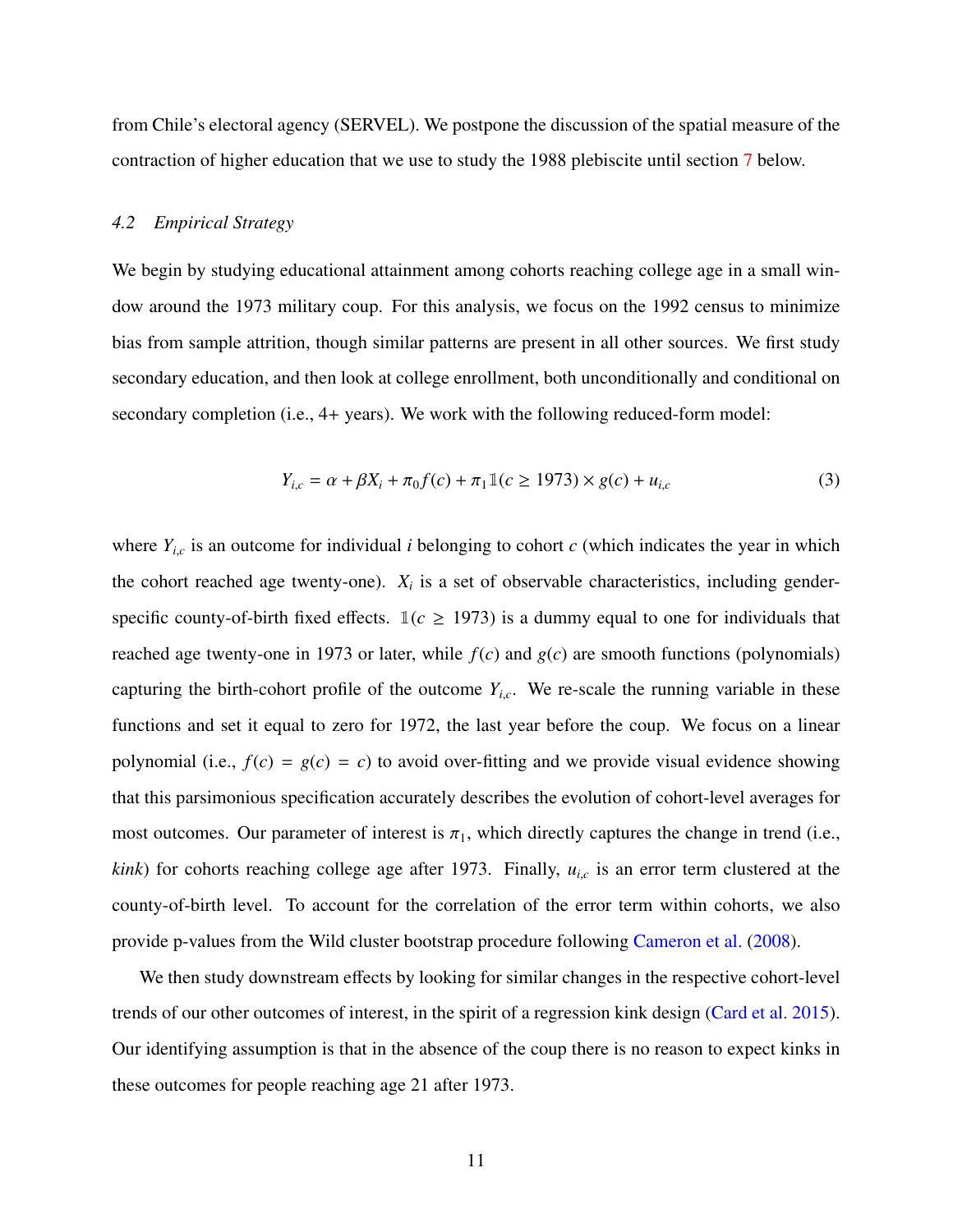from Chile's electoral agency (SERVEL). We postpone the discussion of the spatial measure of the contraction of higher education that we use to study the 1988 plebiscite until section [7](#page-21-0) below.

#### *4.2 Empirical Strategy*

We begin by studying educational attainment among cohorts reaching college age in a small window around the 1973 military coup. For this analysis, we focus on the 1992 census to minimize bias from sample attrition, though similar patterns are present in all other sources. We first study secondary education, and then look at college enrollment, both unconditionally and conditional on secondary completion (i.e., 4+ years). We work with the following reduced-form model:

<span id="page-12-0"></span>
$$
Y_{i,c} = \alpha + \beta X_i + \pi_0 f(c) + \pi_1 \mathbb{1}(c \ge 1973) \times g(c) + u_{i,c}
$$
 (3)

where  $Y_{i,c}$  is an outcome for individual *i* belonging to cohort *c* (which indicates the year in which the cohort reached age twenty-one).  $X_i$  is a set of observable characteristics, including genderspecific county-of-birth fixed effects.  $\mathbb{1}(c \ge 1973)$  is a dummy equal to one for individuals that reached age twenty-one in 1973 or later, while  $f(c)$  and  $g(c)$  are smooth functions (polynomials) capturing the birth-cohort profile of the outcome  $Y_{i,c}$ . We re-scale the running variable in these functions and set it equal to zero for 1972, the last year before the coup. We focus on a linear polynomial (i.e.,  $f(c) = g(c) = c$ ) to avoid over-fitting and we provide visual evidence showing that this parsimonious specification accurately describes the evolution of cohort-level averages for most outcomes. Our parameter of interest is  $\pi_1$ , which directly captures the change in trend (i.e., *kink*) for cohorts reaching college age after 1973. Finally,  $u_{i,c}$  is an error term clustered at the county-of-birth level. To account for the correlation of the error term within cohorts, we also provide p-values from the Wild cluster bootstrap procedure following [Cameron et al.](#page-26-10) [\(2008\)](#page-26-10).

We then study downstream effects by looking for similar changes in the respective cohort-level trends of our other outcomes of interest, in the spirit of a regression kink design [\(Card et al.](#page-26-11) [2015\)](#page-26-11). Our identifying assumption is that in the absence of the coup there is no reason to expect kinks in these outcomes for people reaching age 21 after 1973.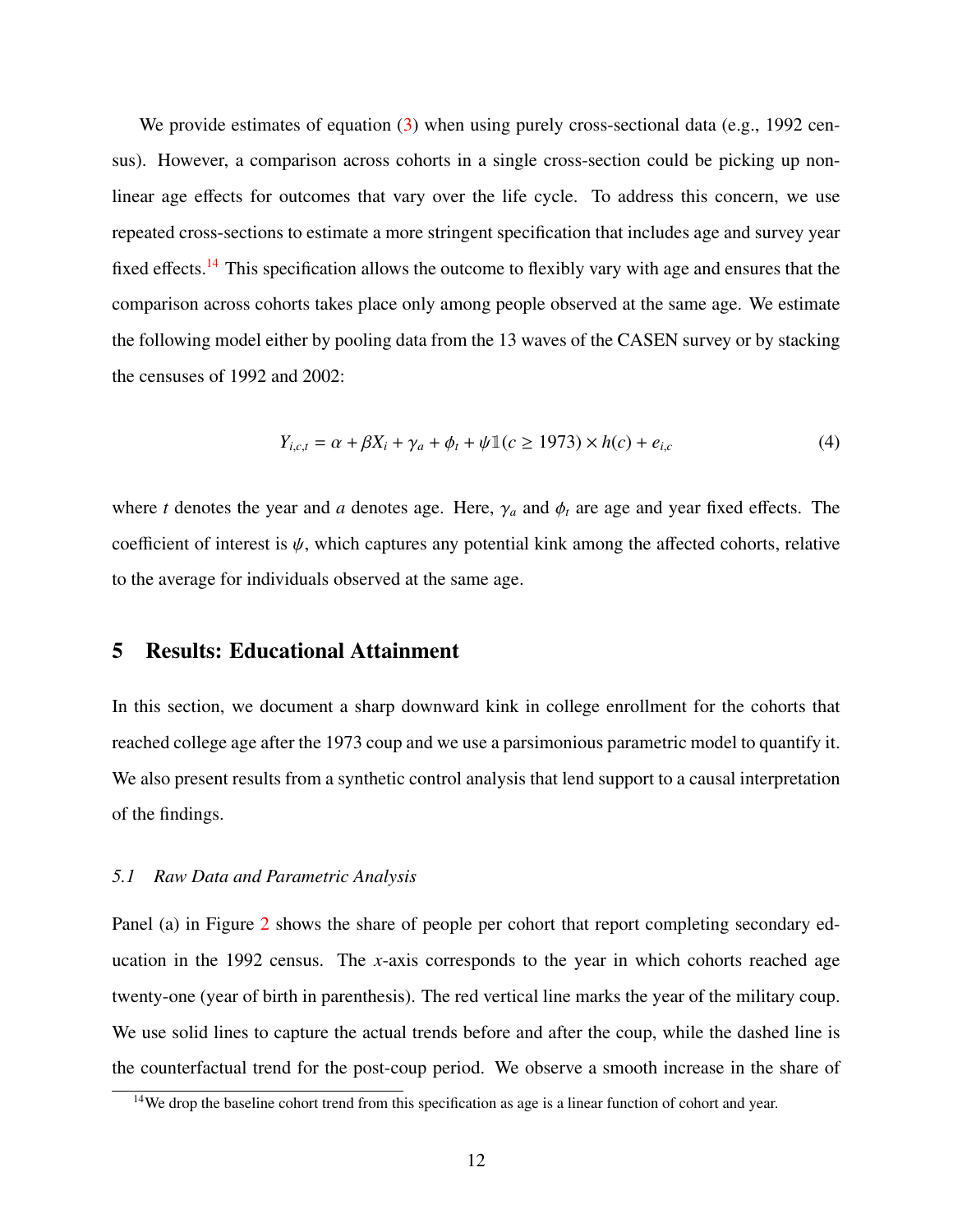We provide estimates of equation [\(3\)](#page-12-0) when using purely cross-sectional data (e.g., 1992 census). However, a comparison across cohorts in a single cross-section could be picking up nonlinear age effects for outcomes that vary over the life cycle. To address this concern, we use repeated cross-sections to estimate a more stringent specification that includes age and survey year fixed effects.[14](#page-1-0) This specification allows the outcome to flexibly vary with age and ensures that the comparison across cohorts takes place only among people observed at the same age. We estimate the following model either by pooling data from the 13 waves of the CASEN survey or by stacking the censuses of 1992 and 2002:

<span id="page-13-1"></span>
$$
Y_{i,c,t} = \alpha + \beta X_i + \gamma_a + \phi_t + \psi \mathbb{1}(c \ge 1973) \times h(c) + e_{i,c}
$$
 (4)

where *t* denotes the year and *a* denotes age. Here,  $\gamma_a$  and  $\phi_t$  are age and year fixed effects. The coefficient of interest is  $\psi$ , which captures any potential kink among the affected cohorts, relative to the average for individuals observed at the same age.

## <span id="page-13-0"></span>5 Results: Educational Attainment

In this section, we document a sharp downward kink in college enrollment for the cohorts that reached college age after the 1973 coup and we use a parsimonious parametric model to quantify it. We also present results from a synthetic control analysis that lend support to a causal interpretation of the findings.

## *5.1 Raw Data and Parametric Analysis*

Panel (a) in Figure [2](#page-32-1) shows the share of people per cohort that report completing secondary education in the 1992 census. The *x*-axis corresponds to the year in which cohorts reached age twenty-one (year of birth in parenthesis). The red vertical line marks the year of the military coup. We use solid lines to capture the actual trends before and after the coup, while the dashed line is the counterfactual trend for the post-coup period. We observe a smooth increase in the share of

<sup>&</sup>lt;sup>14</sup>We drop the baseline cohort trend from this specification as age is a linear function of cohort and year.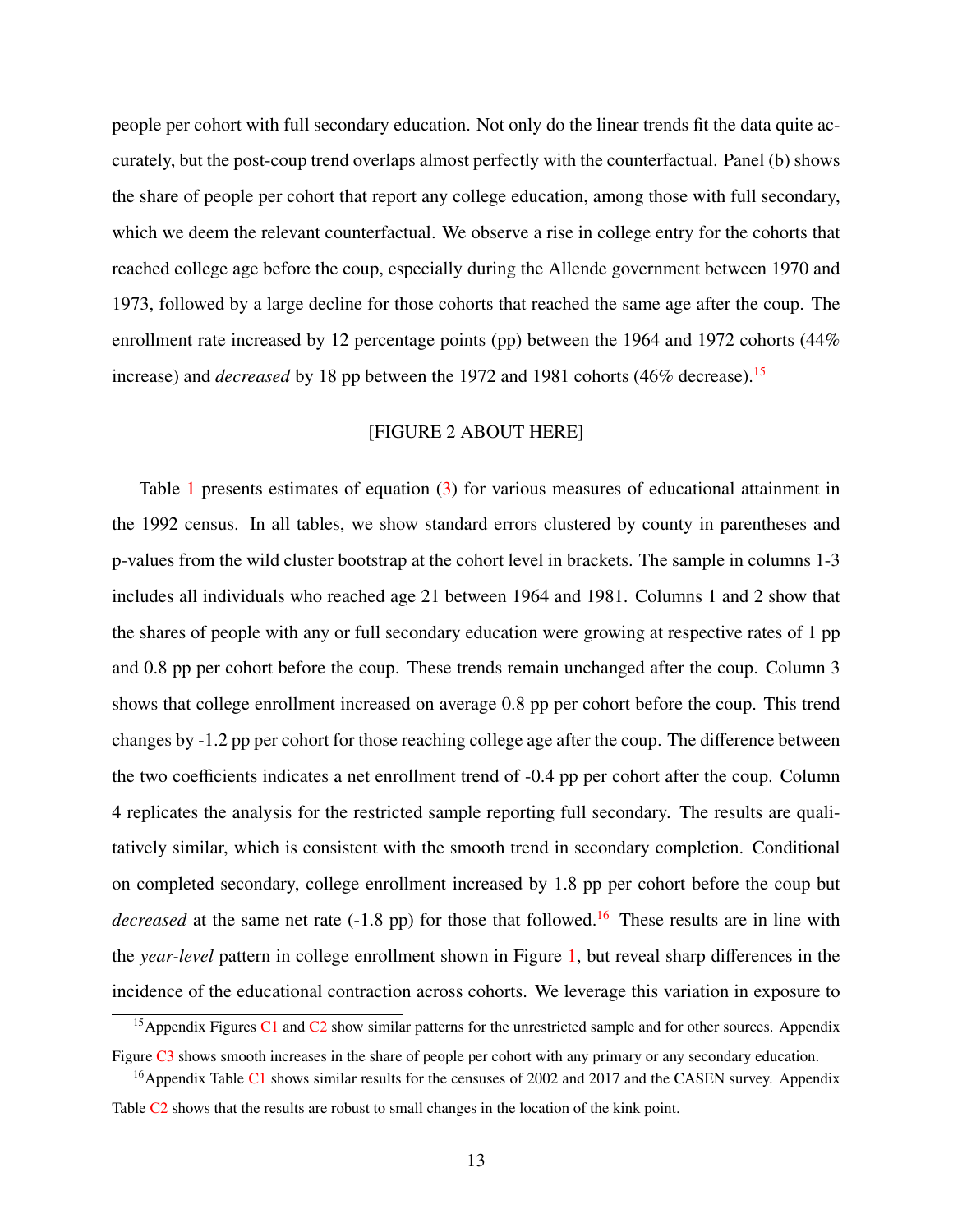people per cohort with full secondary education. Not only do the linear trends fit the data quite accurately, but the post-coup trend overlaps almost perfectly with the counterfactual. Panel (b) shows the share of people per cohort that report any college education, among those with full secondary, which we deem the relevant counterfactual. We observe a rise in college entry for the cohorts that reached college age before the coup, especially during the Allende government between 1970 and 1973, followed by a large decline for those cohorts that reached the same age after the coup. The enrollment rate increased by 12 percentage points (pp) between the 1964 and 1972 cohorts (44% increase) and *decreased* by 18 pp between the 1972 and 1981 cohorts (46% decrease).<sup>[15](#page-1-0)</sup>

## [FIGURE 2 ABOUT HERE]

Table [1](#page-37-0) presents estimates of equation [\(3\)](#page-12-0) for various measures of educational attainment in the 1992 census. In all tables, we show standard errors clustered by county in parentheses and p-values from the wild cluster bootstrap at the cohort level in brackets. The sample in columns 1-3 includes all individuals who reached age 21 between 1964 and 1981. Columns 1 and 2 show that the shares of people with any or full secondary education were growing at respective rates of 1 pp and 0.8 pp per cohort before the coup. These trends remain unchanged after the coup. Column 3 shows that college enrollment increased on average 0.8 pp per cohort before the coup. This trend changes by -1.2 pp per cohort for those reaching college age after the coup. The difference between the two coefficients indicates a net enrollment trend of -0.4 pp per cohort after the coup. Column 4 replicates the analysis for the restricted sample reporting full secondary. The results are qualitatively similar, which is consistent with the smooth trend in secondary completion. Conditional on completed secondary, college enrollment increased by 1.8 pp per cohort before the coup but *decreased* at the same net rate (-1.8 pp) for those that followed.<sup>[16](#page-1-0)</sup> These results are in line with the *year-level* pattern in college enrollment shown in Figure [1,](#page-32-0) but reveal sharp differences in the incidence of the educational contraction across cohorts. We leverage this variation in exposure to

<sup>&</sup>lt;sup>15</sup> Appendix Figures [C1](#page-54-0) and [C2](#page-54-1) show similar patterns for the unrestricted sample and for other sources. Appendix Figure [C3](#page-55-0) shows smooth increases in the share of people per cohort with any primary or any secondary education.

<sup>&</sup>lt;sup>16</sup>Appendix Table [C1](#page-52-0) shows similar results for the censuses of 2002 and 2017 and the CASEN survey. Appendix Table C<sub>2</sub> shows that the results are robust to small changes in the location of the kink point.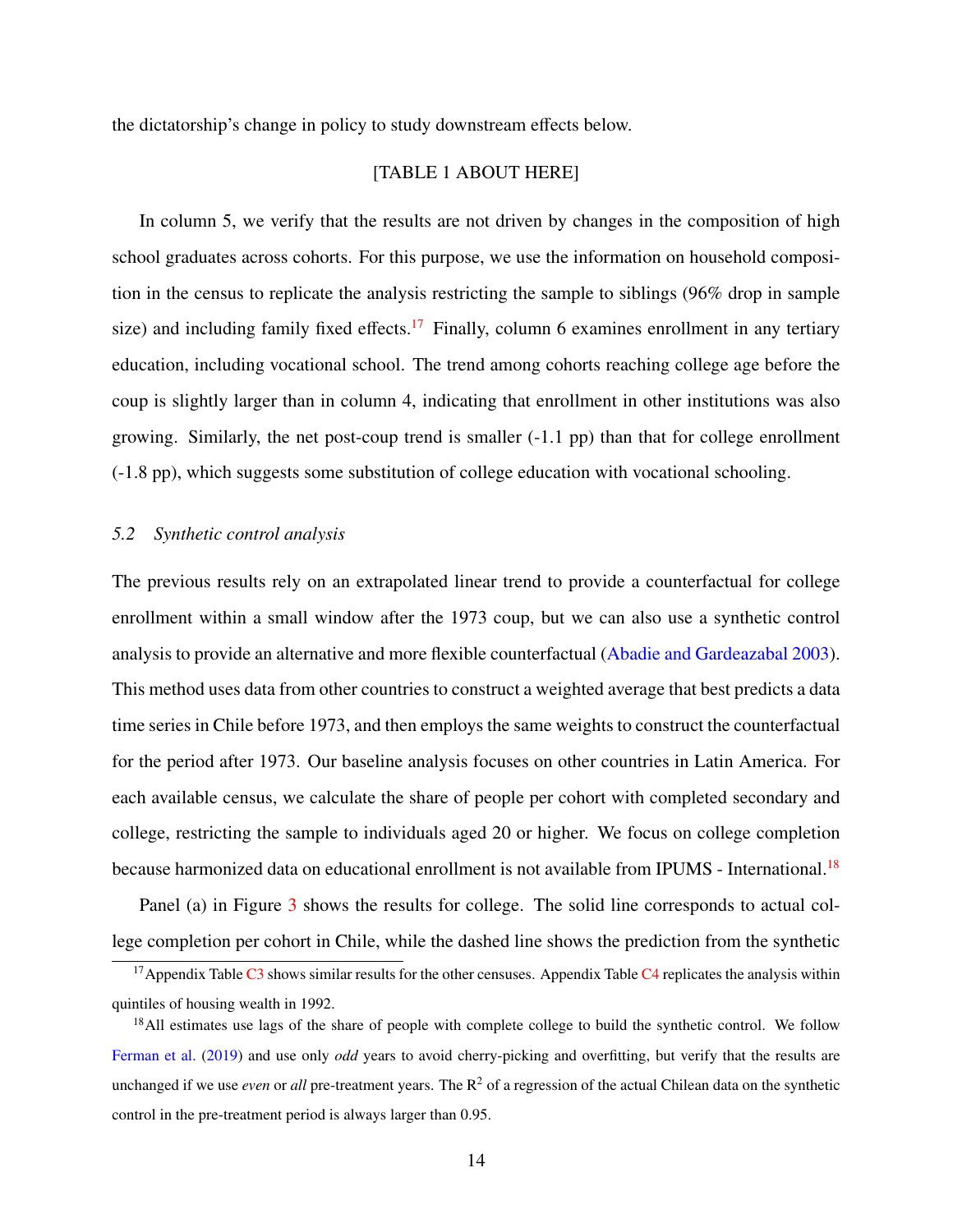the dictatorship's change in policy to study downstream effects below.

## [TABLE 1 ABOUT HERE]

In column 5, we verify that the results are not driven by changes in the composition of high school graduates across cohorts. For this purpose, we use the information on household composition in the census to replicate the analysis restricting the sample to siblings (96% drop in sample size) and including family fixed effects.<sup>[17](#page-1-0)</sup> Finally, column 6 examines enrollment in any tertiary education, including vocational school. The trend among cohorts reaching college age before the coup is slightly larger than in column 4, indicating that enrollment in other institutions was also growing. Similarly, the net post-coup trend is smaller (-1.1 pp) than that for college enrollment (-1.8 pp), which suggests some substitution of college education with vocational schooling.

## *5.2 Synthetic control analysis*

The previous results rely on an extrapolated linear trend to provide a counterfactual for college enrollment within a small window after the 1973 coup, but we can also use a synthetic control analysis to provide an alternative and more flexible counterfactual [\(Abadie and Gardeazabal](#page-24-4) [2003\)](#page-24-4). This method uses data from other countries to construct a weighted average that best predicts a data time series in Chile before 1973, and then employs the same weights to construct the counterfactual for the period after 1973. Our baseline analysis focuses on other countries in Latin America. For each available census, we calculate the share of people per cohort with completed secondary and college, restricting the sample to individuals aged 20 or higher. We focus on college completion because harmonized data on educational enrollment is not available from IPUMS - International.<sup>[18](#page-1-0)</sup>

Panel (a) in Figure [3](#page-33-0) shows the results for college. The solid line corresponds to actual college completion per cohort in Chile, while the dashed line shows the prediction from the synthetic

 $17$ Appendix Table [C3](#page-53-0) shows similar results for the other censuses. Appendix Table [C4](#page-53-1) replicates the analysis within quintiles of housing wealth in 1992.

<sup>&</sup>lt;sup>18</sup>All estimates use lags of the share of people with complete college to build the synthetic control. We follow [Ferman et al.](#page-27-5) [\(2019\)](#page-27-5) and use only *odd* years to avoid cherry-picking and overfitting, but verify that the results are unchanged if we use *even* or *all* pre-treatment years. The  $R^2$  of a regression of the actual Chilean data on the synthetic control in the pre-treatment period is always larger than 0.95.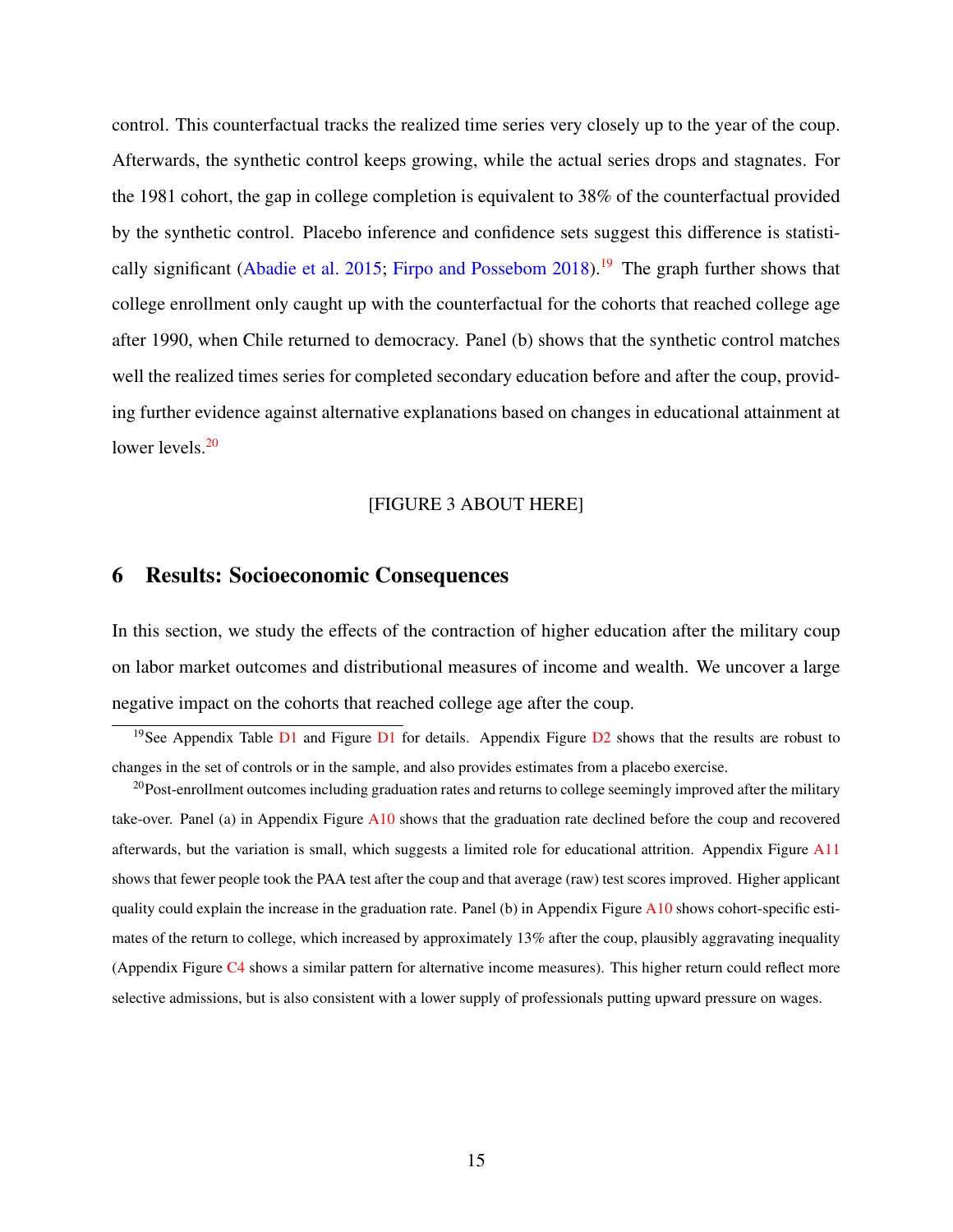control. This counterfactual tracks the realized time series very closely up to the year of the coup. Afterwards, the synthetic control keeps growing, while the actual series drops and stagnates. For the 1981 cohort, the gap in college completion is equivalent to 38% of the counterfactual provided by the synthetic control. Placebo inference and confidence sets suggest this difference is statisti-cally significant [\(Abadie et al.](#page-24-5) [2015;](#page-24-5) [Firpo and Possebom](#page-27-6) [2018\)](#page-27-6).<sup>[19](#page-1-0)</sup> The graph further shows that college enrollment only caught up with the counterfactual for the cohorts that reached college age after 1990, when Chile returned to democracy. Panel (b) shows that the synthetic control matches well the realized times series for completed secondary education before and after the coup, providing further evidence against alternative explanations based on changes in educational attainment at lower levels.<sup>[20](#page-1-0)</sup>

#### [FIGURE 3 ABOUT HERE]

## <span id="page-16-0"></span>6 Results: Socioeconomic Consequences

In this section, we study the effects of the contraction of higher education after the military coup on labor market outcomes and distributional measures of income and wealth. We uncover a large negative impact on the cohorts that reached college age after the coup.

<sup>&</sup>lt;sup>19</sup>See Appendix Table  $\overline{D1}$  $\overline{D1}$  $\overline{D1}$  and Figure  $\overline{D1}$  for details. Appendix Figure  $\overline{D2}$  $\overline{D2}$  $\overline{D2}$  shows that the results are robust to changes in the set of controls or in the sample, and also provides estimates from a placebo exercise.

 $^{20}$ Post-enrollment outcomes including graduation rates and returns to college seemingly improved after the military take-over. Panel (a) in Appendix Figure [A10](#page-48-0) shows that the graduation rate declined before the coup and recovered afterwards, but the variation is small, which suggests a limited role for educational attrition. Appendix Figure [A11](#page-48-1) shows that fewer people took the PAA test after the coup and that average (raw) test scores improved. Higher applicant quality could explain the increase in the graduation rate. Panel (b) in Appendix Figure  $A10$  shows cohort-specific estimates of the return to college, which increased by approximately 13% after the coup, plausibly aggravating inequality (Appendix Figure [C4](#page-56-0) shows a similar pattern for alternative income measures). This higher return could reflect more selective admissions, but is also consistent with a lower supply of professionals putting upward pressure on wages.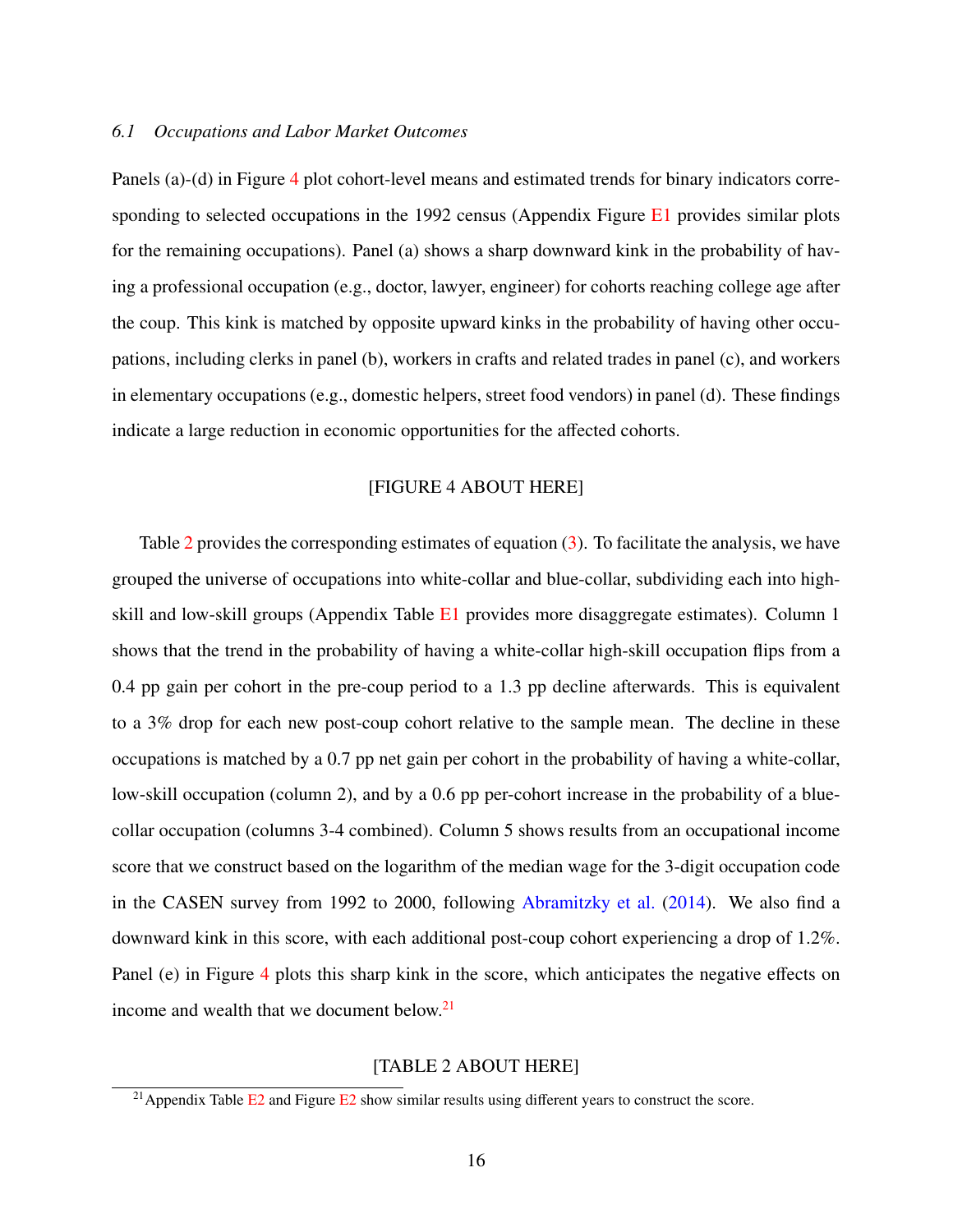## *6.1 Occupations and Labor Market Outcomes*

Panels (a)-(d) in Figure [4](#page-34-0) plot cohort-level means and estimated trends for binary indicators corresponding to selected occupations in the 1992 census (Appendix Figure  $E1$  provides similar plots for the remaining occupations). Panel (a) shows a sharp downward kink in the probability of having a professional occupation (e.g., doctor, lawyer, engineer) for cohorts reaching college age after the coup. This kink is matched by opposite upward kinks in the probability of having other occupations, including clerks in panel (b), workers in crafts and related trades in panel (c), and workers in elementary occupations (e.g., domestic helpers, street food vendors) in panel (d). These findings indicate a large reduction in economic opportunities for the affected cohorts.

### [FIGURE 4 ABOUT HERE]

Table [2](#page-38-0) provides the corresponding estimates of equation [\(3\)](#page-12-0). To facilitate the analysis, we have grouped the universe of occupations into white-collar and blue-collar, subdividing each into highskill and low-skill groups (Appendix Table [E1](#page-60-0) provides more disaggregate estimates). Column 1 shows that the trend in the probability of having a white-collar high-skill occupation flips from a 0.4 pp gain per cohort in the pre-coup period to a 1.3 pp decline afterwards. This is equivalent to a 3% drop for each new post-coup cohort relative to the sample mean. The decline in these occupations is matched by a 0.7 pp net gain per cohort in the probability of having a white-collar, low-skill occupation (column 2), and by a 0.6 pp per-cohort increase in the probability of a bluecollar occupation (columns 3-4 combined). Column 5 shows results from an occupational income score that we construct based on the logarithm of the median wage for the 3-digit occupation code in the CASEN survey from 1992 to 2000, following [Abramitzky et al.](#page-24-6) [\(2014\)](#page-24-6). We also find a downward kink in this score, with each additional post-coup cohort experiencing a drop of 1.2%. Panel (e) in Figure [4](#page-34-0) plots this sharp kink in the score, which anticipates the negative effects on income and wealth that we document below.<sup>[21](#page-1-0)</sup>

## [TABLE 2 ABOUT HERE]

<sup>&</sup>lt;sup>21</sup> Appendix Table  $E_2$  and Figure  $E_2$  show similar results using different years to construct the score.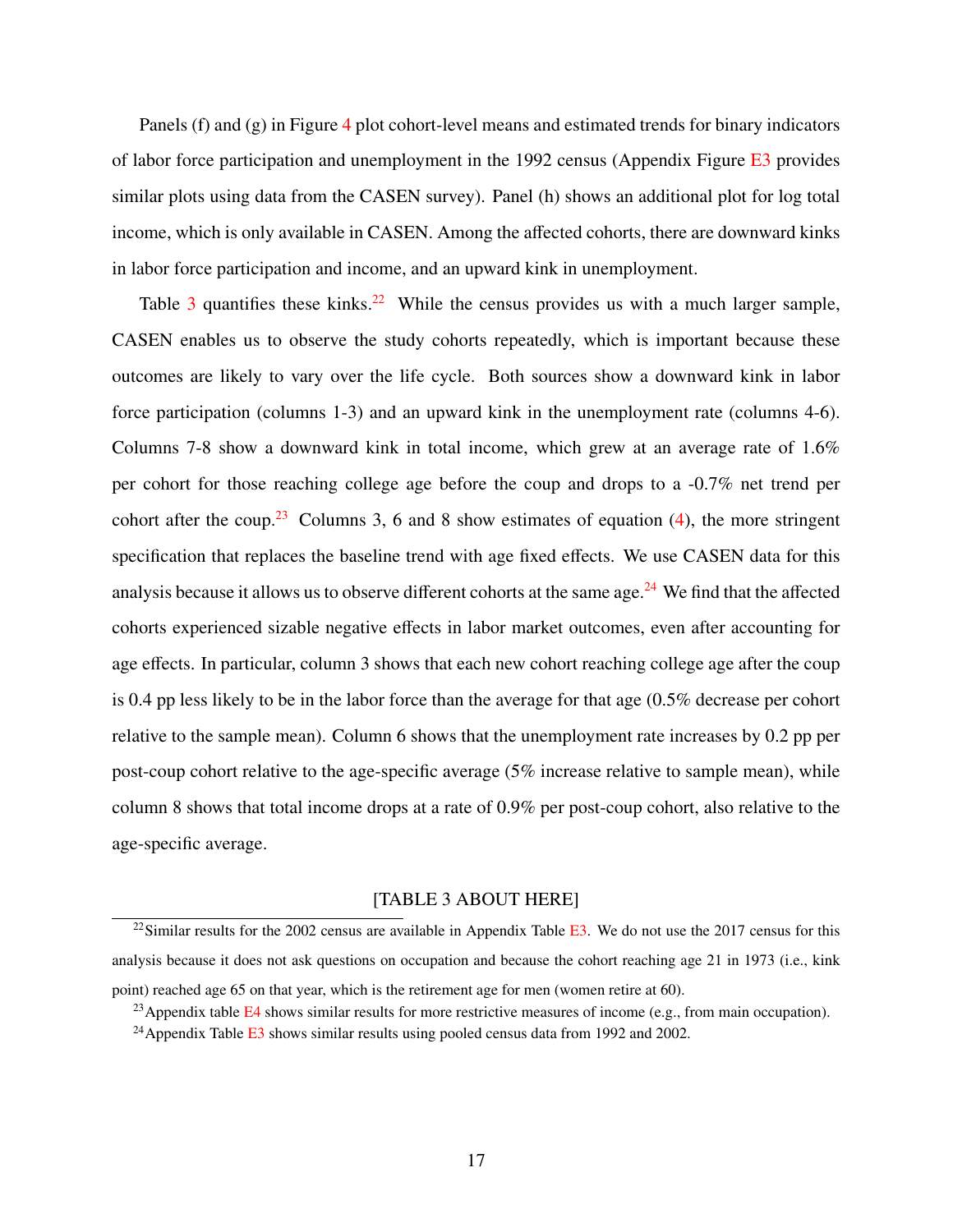Panels (f) and (g) in Figure [4](#page-34-0) plot cohort-level means and estimated trends for binary indicators of labor force participation and unemployment in the 1992 census (Appendix Figure  $E_3$  provides similar plots using data from the CASEN survey). Panel (h) shows an additional plot for log total income, which is only available in CASEN. Among the affected cohorts, there are downward kinks in labor force participation and income, and an upward kink in unemployment.

Table [3](#page-39-0) quantifies these kinks.<sup>[22](#page-1-0)</sup> While the census provides us with a much larger sample, CASEN enables us to observe the study cohorts repeatedly, which is important because these outcomes are likely to vary over the life cycle. Both sources show a downward kink in labor force participation (columns 1-3) and an upward kink in the unemployment rate (columns 4-6). Columns 7-8 show a downward kink in total income, which grew at an average rate of 1.6% per cohort for those reaching college age before the coup and drops to a -0.7% net trend per cohort after the coup.<sup>[23](#page-1-0)</sup> Columns 3, 6 and 8 show estimates of equation [\(4\)](#page-13-1), the more stringent specification that replaces the baseline trend with age fixed effects. We use CASEN data for this analysis because it allows us to observe different cohorts at the same age. $^{24}$  $^{24}$  $^{24}$  We find that the affected cohorts experienced sizable negative effects in labor market outcomes, even after accounting for age effects. In particular, column 3 shows that each new cohort reaching college age after the coup is 0.4 pp less likely to be in the labor force than the average for that age (0.5% decrease per cohort relative to the sample mean). Column 6 shows that the unemployment rate increases by 0.2 pp per post-coup cohort relative to the age-specific average (5% increase relative to sample mean), while column 8 shows that total income drops at a rate of 0.9% per post-coup cohort, also relative to the age-specific average.

#### [TABLE 3 ABOUT HERE]

<sup>&</sup>lt;sup>22</sup>Similar results for the 2002 census are available in Appendix Table  $E3$ . We do not use the 2017 census for this analysis because it does not ask questions on occupation and because the cohort reaching age 21 in 1973 (i.e., kink point) reached age 65 on that year, which is the retirement age for men (women retire at 60).

<sup>&</sup>lt;sup>23</sup>Appendix table [E4](#page-61-1) shows similar results for more restrictive measures of income (e.g., from main occupation).

<sup>&</sup>lt;sup>24</sup> Appendix Table  $\overline{E3}$  $\overline{E3}$  $\overline{E3}$  shows similar results using pooled census data from 1992 and 2002.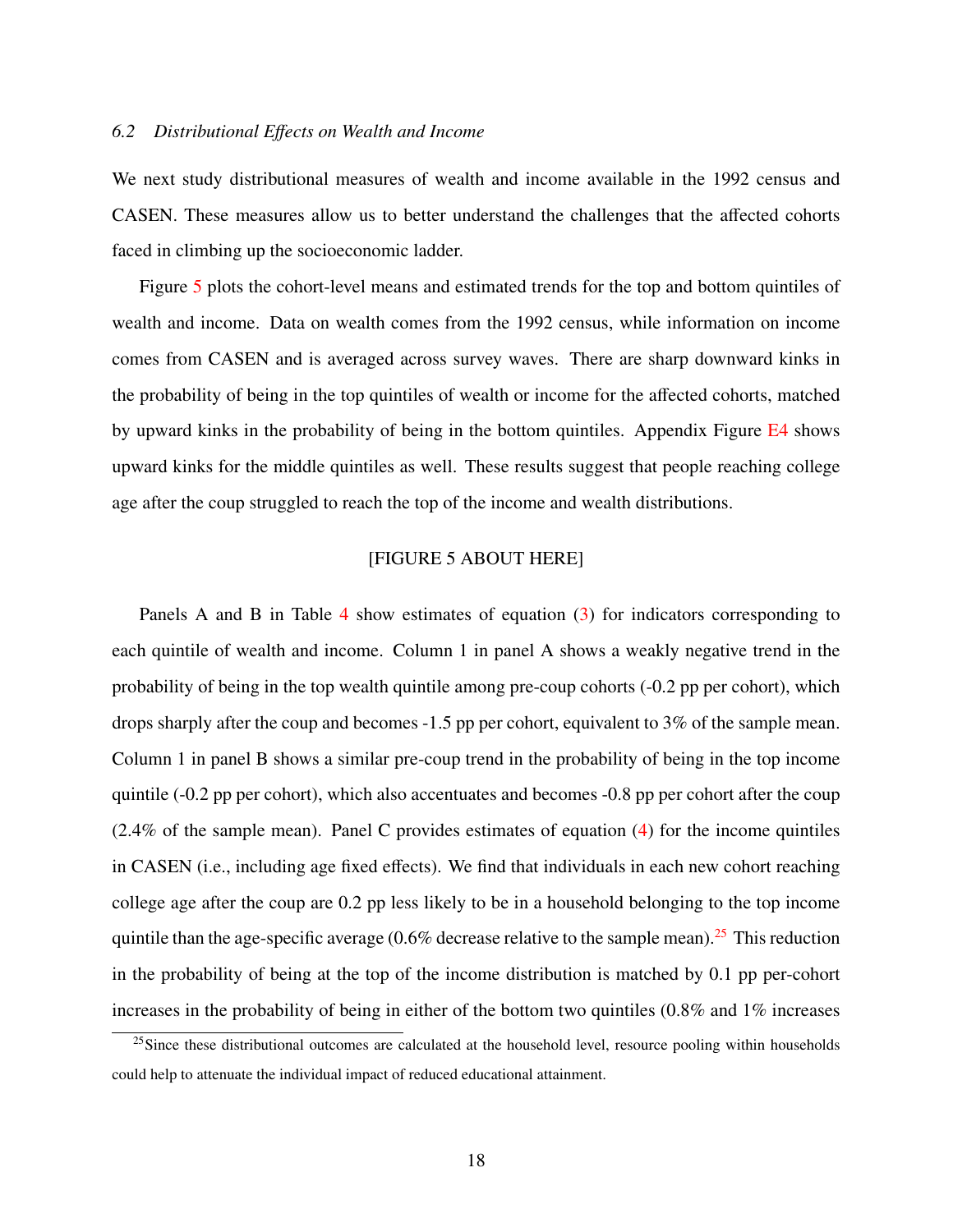#### *6.2 Distributional E*ff*ects on Wealth and Income*

We next study distributional measures of wealth and income available in the 1992 census and CASEN. These measures allow us to better understand the challenges that the affected cohorts faced in climbing up the socioeconomic ladder.

Figure [5](#page-35-0) plots the cohort-level means and estimated trends for the top and bottom quintiles of wealth and income. Data on wealth comes from the 1992 census, while information on income comes from CASEN and is averaged across survey waves. There are sharp downward kinks in the probability of being in the top quintiles of wealth or income for the affected cohorts, matched by upward kinks in the probability of being in the bottom quintiles. Appendix Figure [E4](#page-68-0) shows upward kinks for the middle quintiles as well. These results suggest that people reaching college age after the coup struggled to reach the top of the income and wealth distributions.

## [FIGURE 5 ABOUT HERE]

Panels A and B in Table [4](#page-40-0) show estimates of equation [\(3\)](#page-12-0) for indicators corresponding to each quintile of wealth and income. Column 1 in panel A shows a weakly negative trend in the probability of being in the top wealth quintile among pre-coup cohorts (-0.2 pp per cohort), which drops sharply after the coup and becomes -1.5 pp per cohort, equivalent to 3% of the sample mean. Column 1 in panel B shows a similar pre-coup trend in the probability of being in the top income quintile (-0.2 pp per cohort), which also accentuates and becomes -0.8 pp per cohort after the coup (2.4% of the sample mean). Panel C provides estimates of equation [\(4\)](#page-13-1) for the income quintiles in CASEN (i.e., including age fixed effects). We find that individuals in each new cohort reaching college age after the coup are 0.2 pp less likely to be in a household belonging to the top income quintile than the age-specific average (0.6% decrease relative to the sample mean).<sup>[25](#page-1-0)</sup> This reduction in the probability of being at the top of the income distribution is matched by 0.1 pp per-cohort increases in the probability of being in either of the bottom two quintiles  $(0.8\%$  and  $1\%$  increases

<sup>&</sup>lt;sup>25</sup>Since these distributional outcomes are calculated at the household level, resource pooling within households could help to attenuate the individual impact of reduced educational attainment.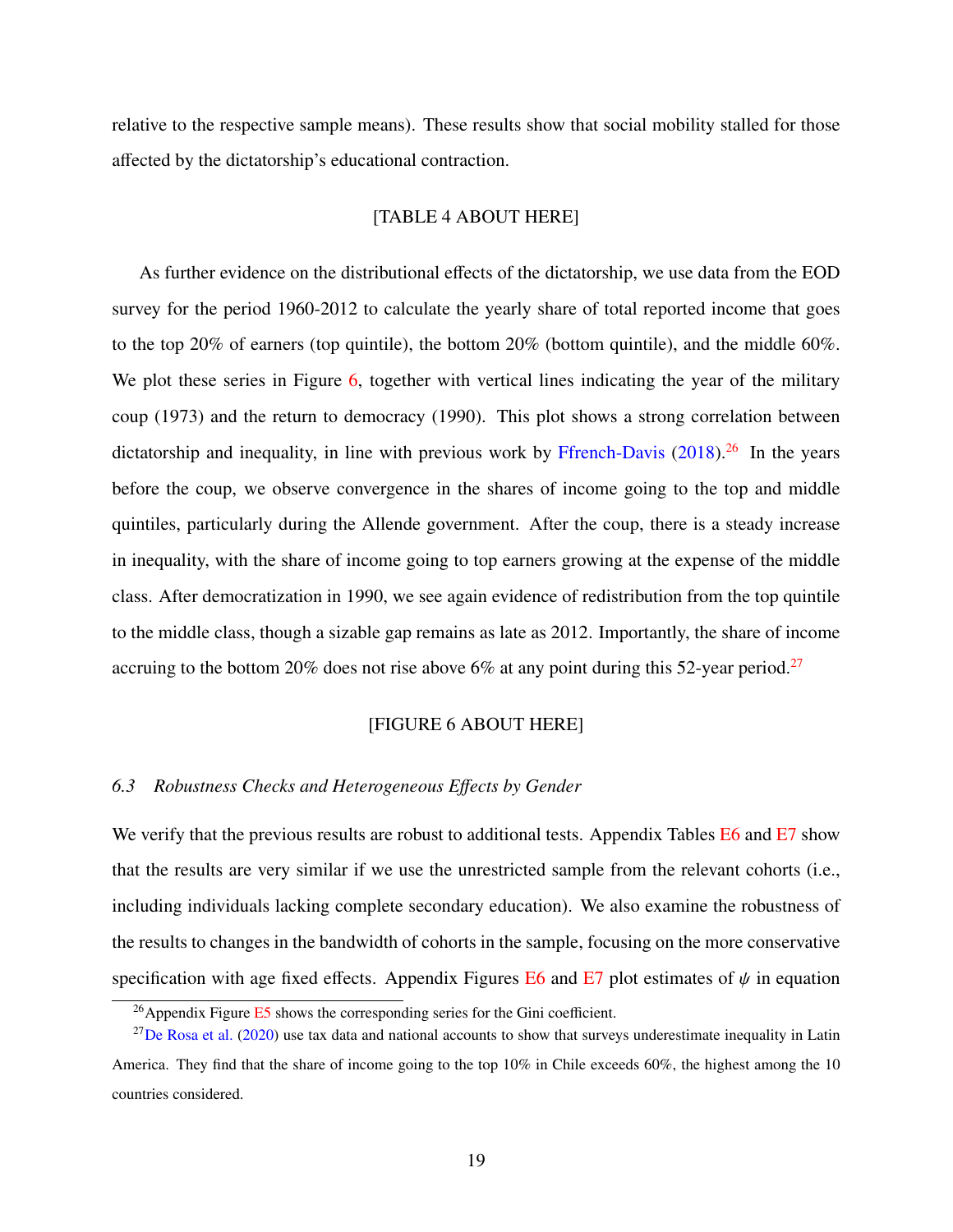relative to the respective sample means). These results show that social mobility stalled for those affected by the dictatorship's educational contraction.

## [TABLE 4 ABOUT HERE]

As further evidence on the distributional effects of the dictatorship, we use data from the EOD survey for the period 1960-2012 to calculate the yearly share of total reported income that goes to the top 20% of earners (top quintile), the bottom 20% (bottom quintile), and the middle 60%. We plot these series in Figure [6,](#page-36-0) together with vertical lines indicating the year of the military coup (1973) and the return to democracy (1990). This plot shows a strong correlation between dictatorship and inequality, in line with previous work by [Ffrench-Davis](#page-27-7)  $(2018)^{26}$  $(2018)^{26}$  $(2018)^{26}$  $(2018)^{26}$  In the years before the coup, we observe convergence in the shares of income going to the top and middle quintiles, particularly during the Allende government. After the coup, there is a steady increase in inequality, with the share of income going to top earners growing at the expense of the middle class. After democratization in 1990, we see again evidence of redistribution from the top quintile to the middle class, though a sizable gap remains as late as 2012. Importantly, the share of income accruing to the bottom 20% does not rise above 6% at any point during this 52-year period.<sup>[27](#page-1-0)</sup>

#### [FIGURE 6 ABOUT HERE]

## *6.3 Robustness Checks and Heterogeneous E*ff*ects by Gender*

We verify that the previous results are robust to additional tests. Appendix Tables [E6](#page-63-0) and [E7](#page-64-0) show that the results are very similar if we use the unrestricted sample from the relevant cohorts (i.e., including individuals lacking complete secondary education). We also examine the robustness of the results to changes in the bandwidth of cohorts in the sample, focusing on the more conservative specification with age fixed effects. Appendix Figures [E6](#page-70-0) and [E7](#page-71-0) plot estimates of  $\psi$  in equation

 $^{26}$ Appendix Figure [E5](#page-69-0) shows the corresponding series for the Gini coefficient.

 $^{27}$ [De Rosa et al.](#page-27-8) [\(2020\)](#page-27-8) use tax data and national accounts to show that surveys underestimate inequality in Latin America. They find that the share of income going to the top 10% in Chile exceeds 60%, the highest among the 10 countries considered.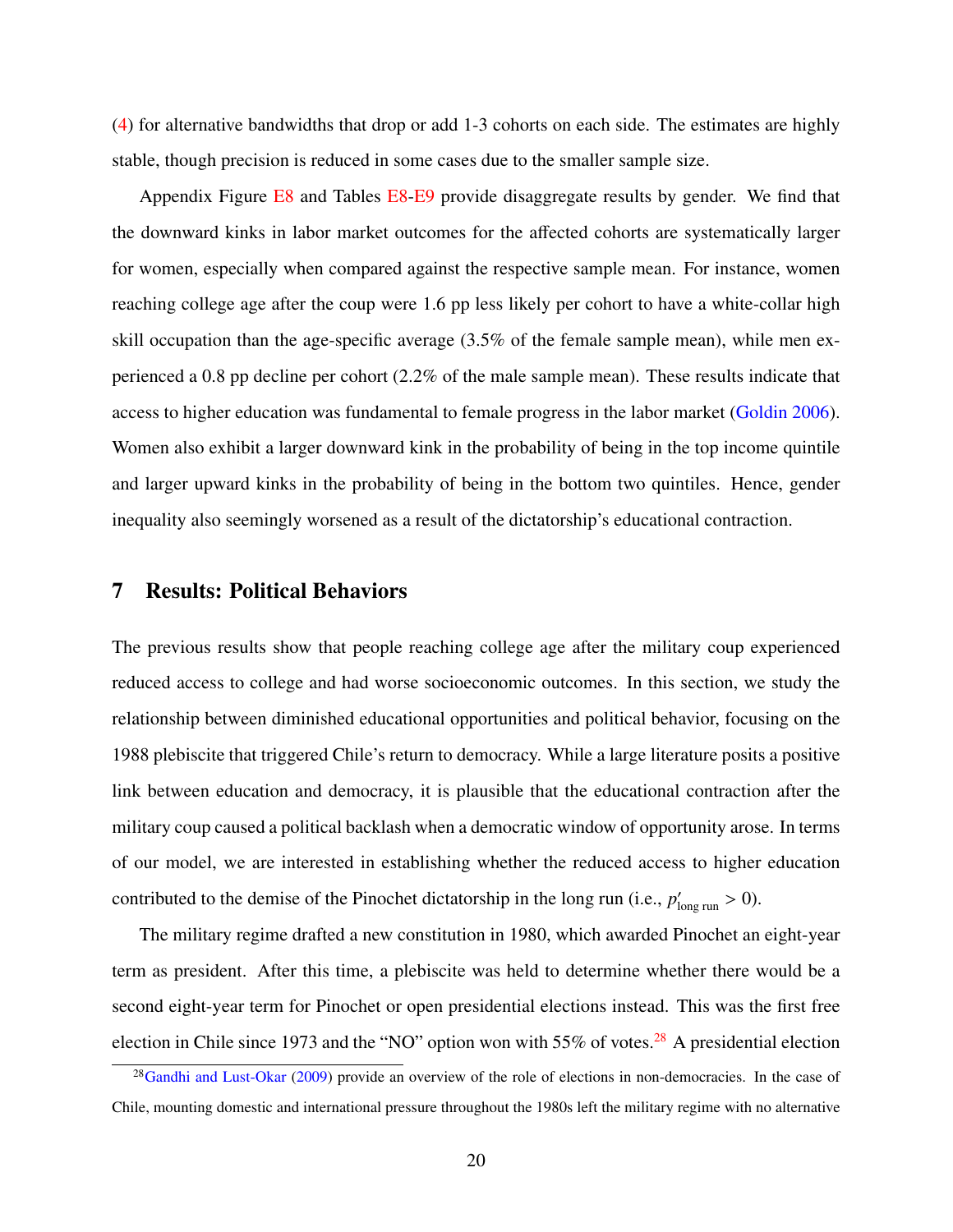[\(4\)](#page-13-1) for alternative bandwidths that drop or add 1-3 cohorts on each side. The estimates are highly stable, though precision is reduced in some cases due to the smaller sample size.

Appendix Figure [E8](#page-65-0) and Tables E8[-E9](#page-65-1) provide disaggregate results by gender. We find that the downward kinks in labor market outcomes for the affected cohorts are systematically larger for women, especially when compared against the respective sample mean. For instance, women reaching college age after the coup were 1.6 pp less likely per cohort to have a white-collar high skill occupation than the age-specific average (3.5% of the female sample mean), while men experienced a 0.8 pp decline per cohort (2.2% of the male sample mean). These results indicate that access to higher education was fundamental to female progress in the labor market [\(Goldin](#page-28-8) [2006\)](#page-28-8). Women also exhibit a larger downward kink in the probability of being in the top income quintile and larger upward kinks in the probability of being in the bottom two quintiles. Hence, gender inequality also seemingly worsened as a result of the dictatorship's educational contraction.

## <span id="page-21-0"></span>7 Results: Political Behaviors

The previous results show that people reaching college age after the military coup experienced reduced access to college and had worse socioeconomic outcomes. In this section, we study the relationship between diminished educational opportunities and political behavior, focusing on the 1988 plebiscite that triggered Chile's return to democracy. While a large literature posits a positive link between education and democracy, it is plausible that the educational contraction after the military coup caused a political backlash when a democratic window of opportunity arose. In terms of our model, we are interested in establishing whether the reduced access to higher education contributed to the demise of the Pinochet dictatorship in the long run (i.e.,  $p'_{\text{long run}} > 0$ ).

The military regime drafted a new constitution in 1980, which awarded Pinochet an eight-year term as president. After this time, a plebiscite was held to determine whether there would be a second eight-year term for Pinochet or open presidential elections instead. This was the first free election in Chile since 1973 and the "NO" option won with 55% of votes.<sup>[28](#page-1-0)</sup> A presidential election

<sup>&</sup>lt;sup>28</sup>[Gandhi and Lust-Okar](#page-28-9) [\(2009\)](#page-28-9) provide an overview of the role of elections in non-democracies. In the case of Chile, mounting domestic and international pressure throughout the 1980s left the military regime with no alternative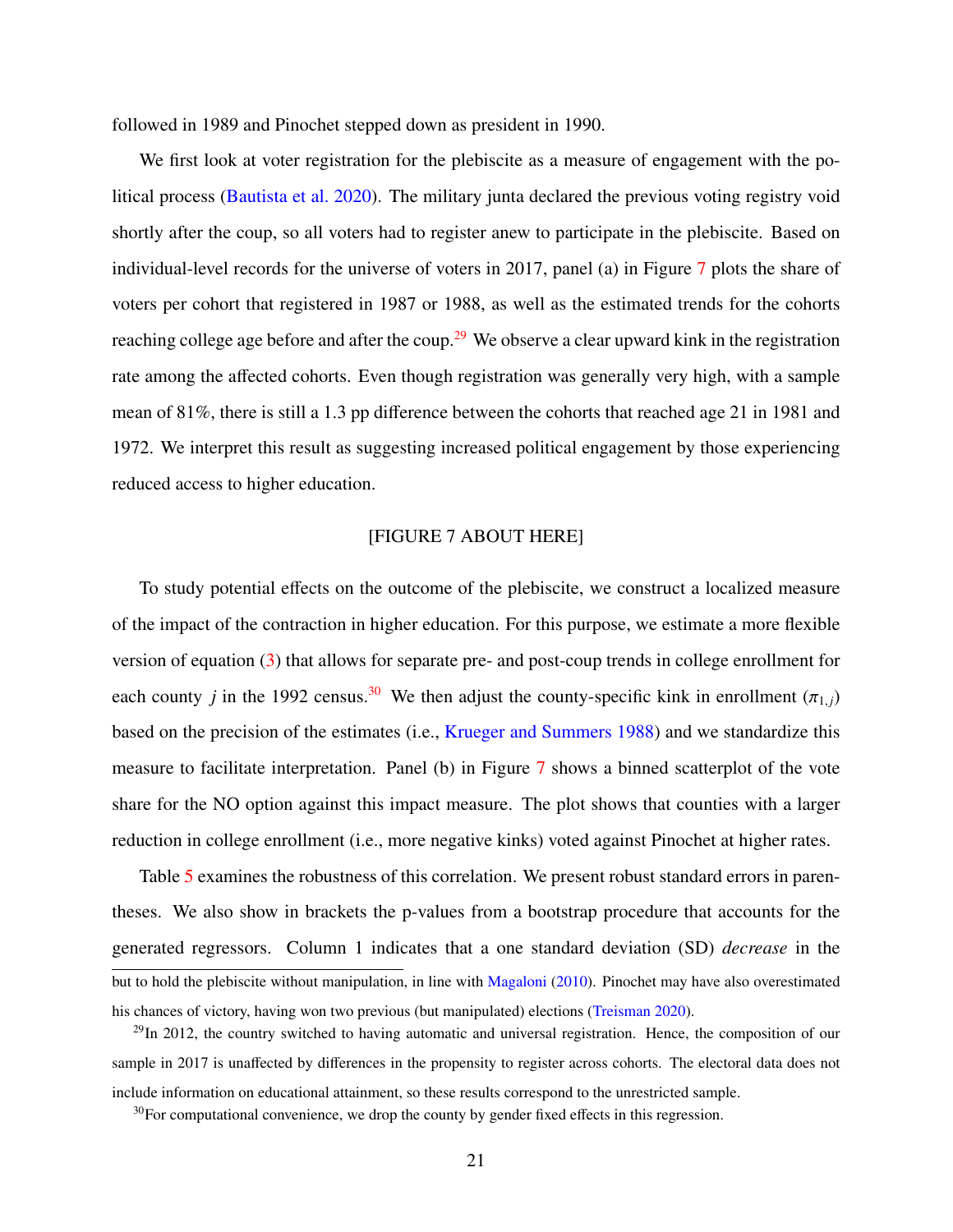followed in 1989 and Pinochet stepped down as president in 1990.

We first look at voter registration for the plebiscite as a measure of engagement with the political process [\(Bautista et al.](#page-25-3) [2020\)](#page-25-3). The military junta declared the previous voting registry void shortly after the coup, so all voters had to register anew to participate in the plebiscite. Based on individual-level records for the universe of voters in 2017, panel (a) in Figure [7](#page-36-1) plots the share of voters per cohort that registered in 1987 or 1988, as well as the estimated trends for the cohorts reaching college age before and after the coup.<sup>[29](#page-1-0)</sup> We observe a clear upward kink in the registration rate among the affected cohorts. Even though registration was generally very high, with a sample mean of 81%, there is still a 1.3 pp difference between the cohorts that reached age 21 in 1981 and 1972. We interpret this result as suggesting increased political engagement by those experiencing reduced access to higher education.

#### [FIGURE 7 ABOUT HERE]

To study potential effects on the outcome of the plebiscite, we construct a localized measure of the impact of the contraction in higher education. For this purpose, we estimate a more flexible version of equation [\(3\)](#page-12-0) that allows for separate pre- and post-coup trends in college enrollment for each county *j* in the 1992 census.<sup>[30](#page-1-0)</sup> We then adjust the county-specific kink in enrollment ( $\pi$ <sub>1, *i*</sub>) based on the precision of the estimates (i.e., [Krueger and Summers](#page-28-10) [1988\)](#page-28-10) and we standardize this measure to facilitate interpretation. Panel (b) in Figure [7](#page-36-1) shows a binned scatterplot of the vote share for the NO option against this impact measure. The plot shows that counties with a larger reduction in college enrollment (i.e., more negative kinks) voted against Pinochet at higher rates.

Table [5](#page-41-0) examines the robustness of this correlation. We present robust standard errors in parentheses. We also show in brackets the p-values from a bootstrap procedure that accounts for the generated regressors. Column 1 indicates that a one standard deviation (SD) *decrease* in the but to hold the plebiscite without manipulation, in line with [Magaloni](#page-29-10) [\(2010\)](#page-29-10). Pinochet may have also overestimated his chances of victory, having won two previous (but manipulated) elections [\(Treisman](#page-31-0) [2020\)](#page-31-0).

 $^{29}$ In 2012, the country switched to having automatic and universal registration. Hence, the composition of our sample in 2017 is unaffected by differences in the propensity to register across cohorts. The electoral data does not include information on educational attainment, so these results correspond to the unrestricted sample.

 $30$ For computational convenience, we drop the county by gender fixed effects in this regression.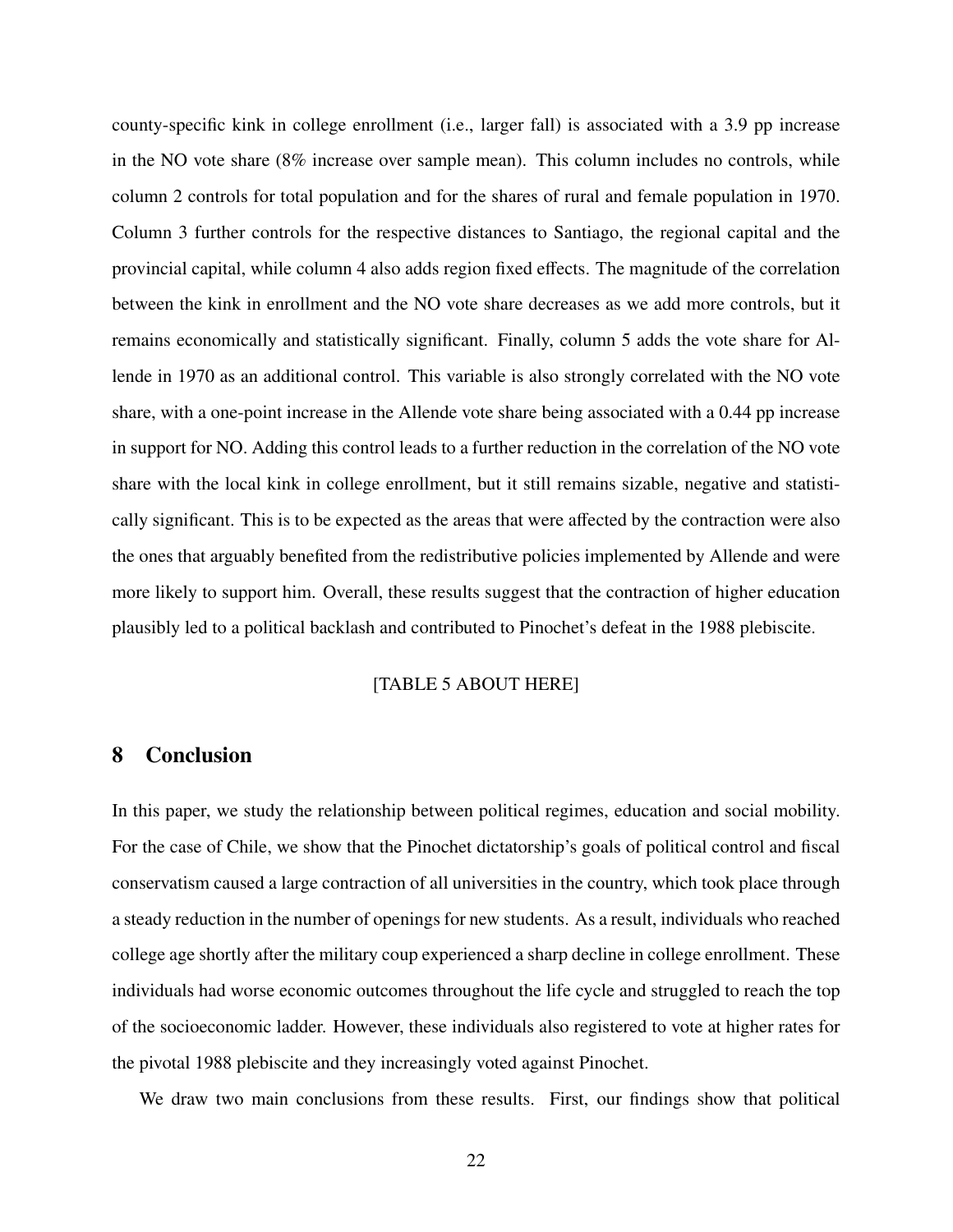county-specific kink in college enrollment (i.e., larger fall) is associated with a 3.9 pp increase in the NO vote share (8% increase over sample mean). This column includes no controls, while column 2 controls for total population and for the shares of rural and female population in 1970. Column 3 further controls for the respective distances to Santiago, the regional capital and the provincial capital, while column 4 also adds region fixed effects. The magnitude of the correlation between the kink in enrollment and the NO vote share decreases as we add more controls, but it remains economically and statistically significant. Finally, column 5 adds the vote share for Allende in 1970 as an additional control. This variable is also strongly correlated with the NO vote share, with a one-point increase in the Allende vote share being associated with a 0.44 pp increase in support for NO. Adding this control leads to a further reduction in the correlation of the NO vote share with the local kink in college enrollment, but it still remains sizable, negative and statistically significant. This is to be expected as the areas that were affected by the contraction were also the ones that arguably benefited from the redistributive policies implemented by Allende and were more likely to support him. Overall, these results suggest that the contraction of higher education plausibly led to a political backlash and contributed to Pinochet's defeat in the 1988 plebiscite.

## [TABLE 5 ABOUT HERE]

## <span id="page-23-0"></span>8 Conclusion

In this paper, we study the relationship between political regimes, education and social mobility. For the case of Chile, we show that the Pinochet dictatorship's goals of political control and fiscal conservatism caused a large contraction of all universities in the country, which took place through a steady reduction in the number of openings for new students. As a result, individuals who reached college age shortly after the military coup experienced a sharp decline in college enrollment. These individuals had worse economic outcomes throughout the life cycle and struggled to reach the top of the socioeconomic ladder. However, these individuals also registered to vote at higher rates for the pivotal 1988 plebiscite and they increasingly voted against Pinochet.

We draw two main conclusions from these results. First, our findings show that political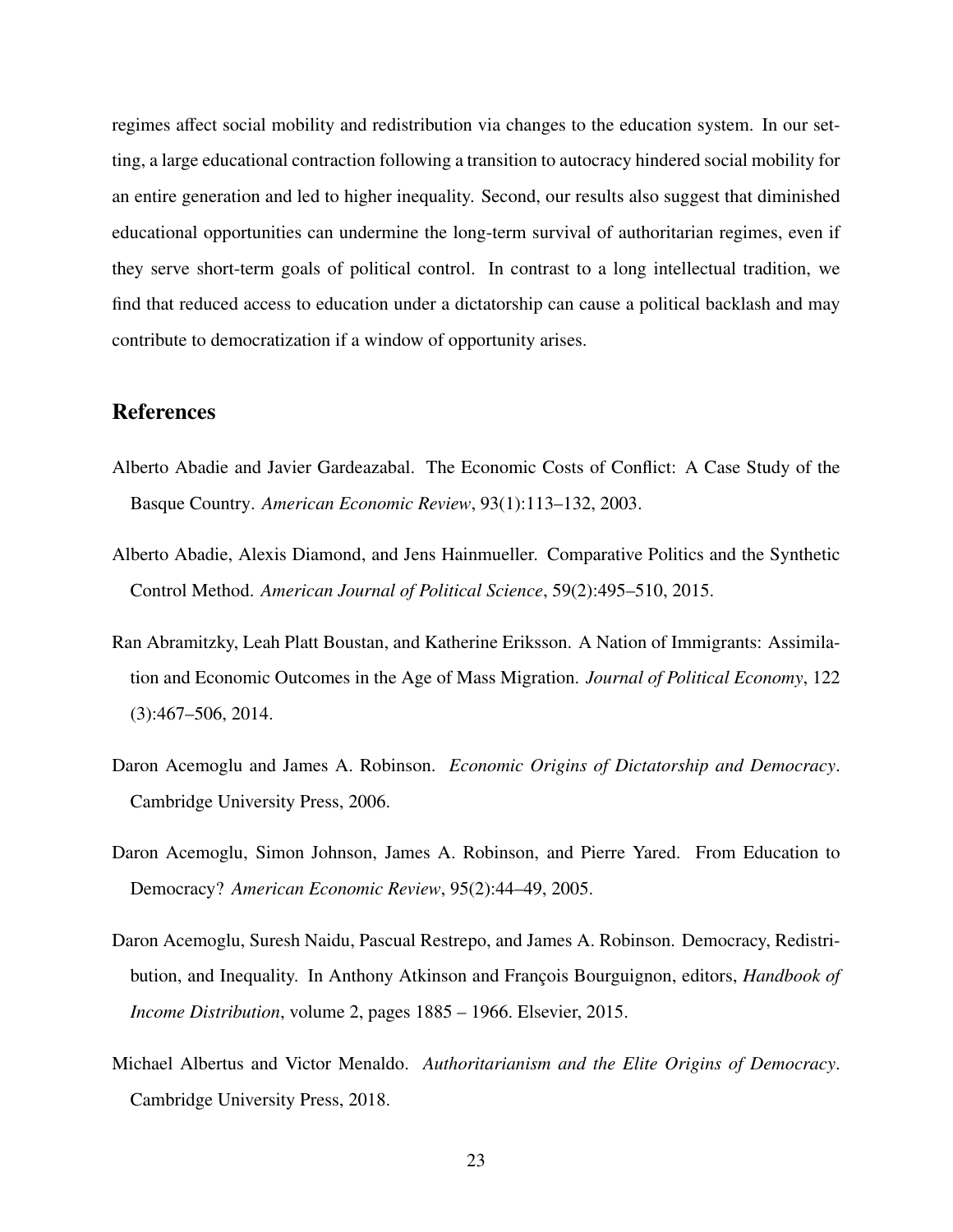regimes affect social mobility and redistribution via changes to the education system. In our setting, a large educational contraction following a transition to autocracy hindered social mobility for an entire generation and led to higher inequality. Second, our results also suggest that diminished educational opportunities can undermine the long-term survival of authoritarian regimes, even if they serve short-term goals of political control. In contrast to a long intellectual tradition, we find that reduced access to education under a dictatorship can cause a political backlash and may contribute to democratization if a window of opportunity arises.

## References

- <span id="page-24-4"></span>Alberto Abadie and Javier Gardeazabal. The Economic Costs of Conflict: A Case Study of the Basque Country. *American Economic Review*, 93(1):113–132, 2003.
- <span id="page-24-5"></span>Alberto Abadie, Alexis Diamond, and Jens Hainmueller. Comparative Politics and the Synthetic Control Method. *American Journal of Political Science*, 59(2):495–510, 2015.
- <span id="page-24-6"></span>Ran Abramitzky, Leah Platt Boustan, and Katherine Eriksson. A Nation of Immigrants: Assimilation and Economic Outcomes in the Age of Mass Migration. *Journal of Political Economy*, 122 (3):467–506, 2014.
- <span id="page-24-0"></span>Daron Acemoglu and James A. Robinson. *Economic Origins of Dictatorship and Democracy*. Cambridge University Press, 2006.
- <span id="page-24-3"></span>Daron Acemoglu, Simon Johnson, James A. Robinson, and Pierre Yared. From Education to Democracy? *American Economic Review*, 95(2):44–49, 2005.
- <span id="page-24-1"></span>Daron Acemoglu, Suresh Naidu, Pascual Restrepo, and James A. Robinson. Democracy, Redistribution, and Inequality. In Anthony Atkinson and François Bourguignon, editors, *Handbook of Income Distribution*, volume 2, pages 1885 – 1966. Elsevier, 2015.
- <span id="page-24-2"></span>Michael Albertus and Victor Menaldo. *Authoritarianism and the Elite Origins of Democracy*. Cambridge University Press, 2018.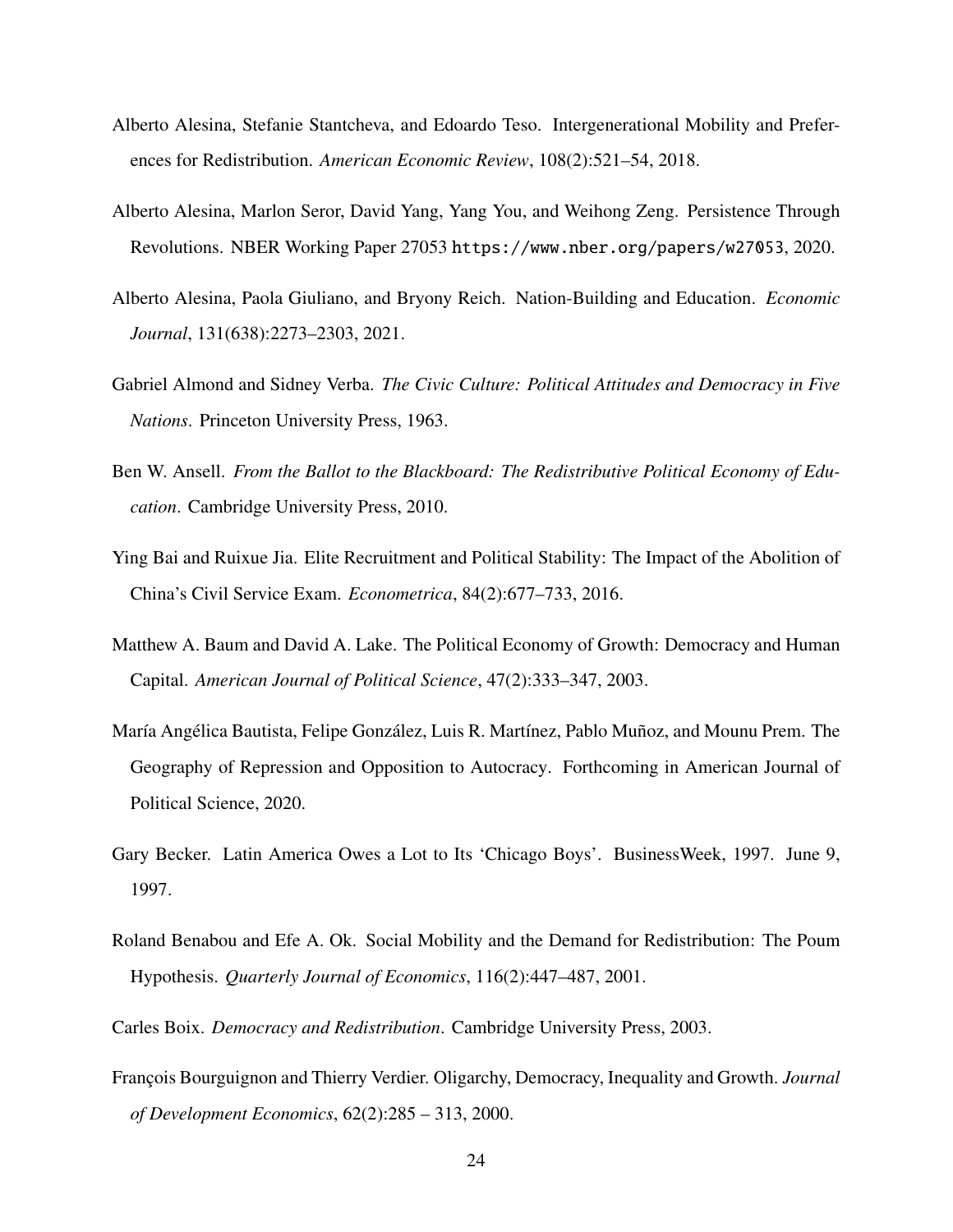- <span id="page-25-10"></span>Alberto Alesina, Stefanie Stantcheva, and Edoardo Teso. Intergenerational Mobility and Preferences for Redistribution. *American Economic Review*, 108(2):521–54, 2018.
- <span id="page-25-5"></span>Alberto Alesina, Marlon Seror, David Yang, Yang You, and Weihong Zeng. Persistence Through Revolutions. NBER Working Paper 27053 <https://www.nber.org/papers/w27053>, 2020.
- <span id="page-25-6"></span>Alberto Alesina, Paola Giuliano, and Bryony Reich. Nation-Building and Education. *Economic Journal*, 131(638):2273–2303, 2021.
- <span id="page-25-8"></span>Gabriel Almond and Sidney Verba. *The Civic Culture: Political Attitudes and Democracy in Five Nations*. Princeton University Press, 1963.
- <span id="page-25-1"></span>Ben W. Ansell. *From the Ballot to the Blackboard: The Redistributive Political Economy of Education*. Cambridge University Press, 2010.
- <span id="page-25-11"></span>Ying Bai and Ruixue Jia. Elite Recruitment and Political Stability: The Impact of the Abolition of China's Civil Service Exam. *Econometrica*, 84(2):677–733, 2016.
- <span id="page-25-4"></span>Matthew A. Baum and David A. Lake. The Political Economy of Growth: Democracy and Human Capital. *American Journal of Political Science*, 47(2):333–347, 2003.
- <span id="page-25-3"></span>María Angélica Bautista, Felipe González, Luis R. Martínez, Pablo Muñoz, and Mounu Prem. The Geography of Repression and Opposition to Autocracy. Forthcoming in American Journal of Political Science, 2020.
- <span id="page-25-7"></span>Gary Becker. Latin America Owes a Lot to Its 'Chicago Boys'. BusinessWeek, 1997. June 9, 1997.
- <span id="page-25-9"></span>Roland Benabou and Efe A. Ok. Social Mobility and the Demand for Redistribution: The Poum Hypothesis. *Quarterly Journal of Economics*, 116(2):447–487, 2001.
- <span id="page-25-0"></span>Carles Boix. *Democracy and Redistribution*. Cambridge University Press, 2003.
- <span id="page-25-2"></span>François Bourguignon and Thierry Verdier. Oligarchy, Democracy, Inequality and Growth. *Journal of Development Economics*, 62(2):285 – 313, 2000.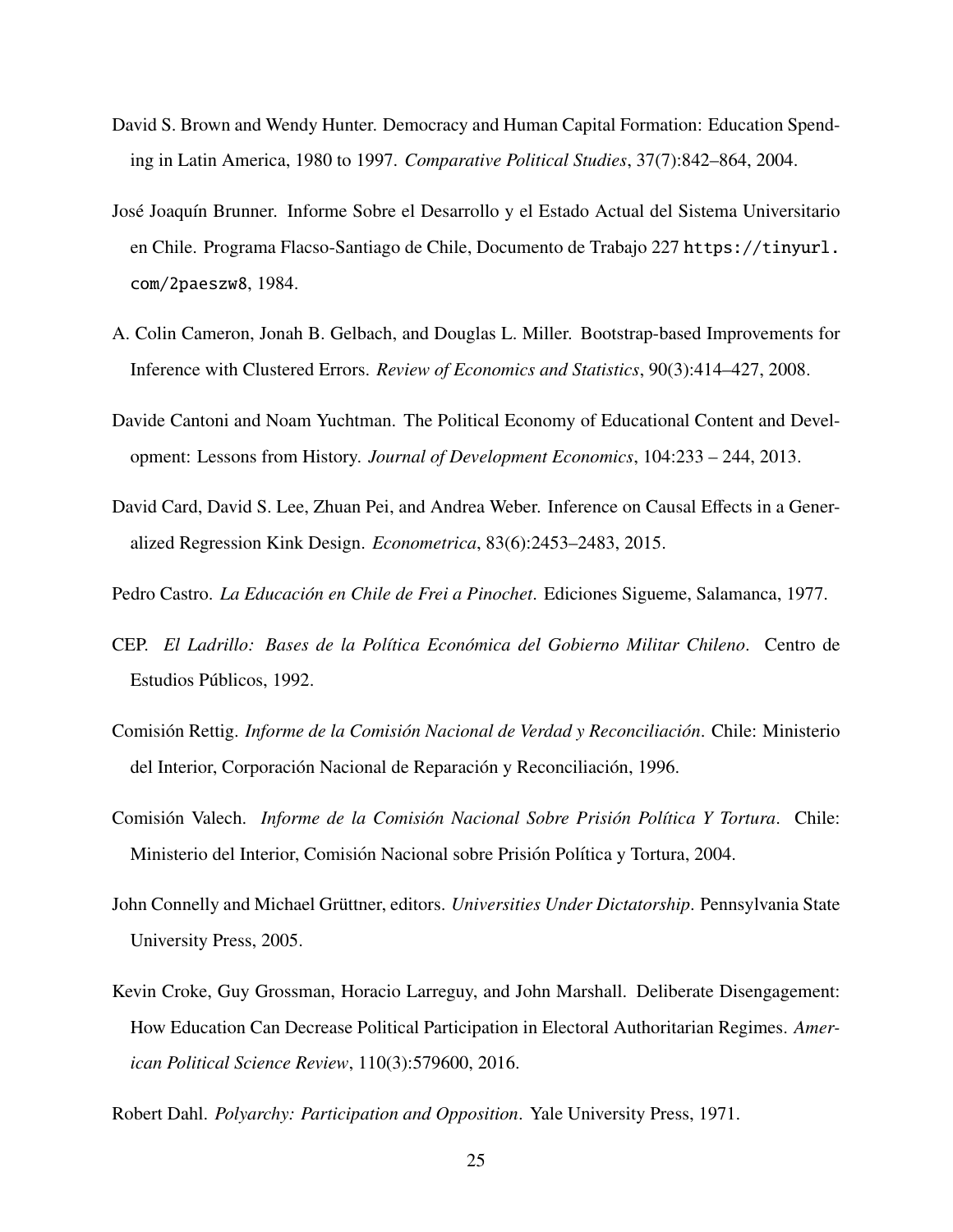- <span id="page-26-2"></span>David S. Brown and Wendy Hunter. Democracy and Human Capital Formation: Education Spending in Latin America, 1980 to 1997. *Comparative Political Studies*, 37(7):842–864, 2004.
- <span id="page-26-5"></span>José Joaquín Brunner. Informe Sobre el Desarrollo y el Estado Actual del Sistema Universitario en Chile. Programa Flacso-Santiago de Chile, Documento de Trabajo 227 [https://tinyurl.](https://tinyurl.com/2paeszw8) [com/2paeszw8](https://tinyurl.com/2paeszw8), 1984.
- <span id="page-26-10"></span>A. Colin Cameron, Jonah B. Gelbach, and Douglas L. Miller. Bootstrap-based Improvements for Inference with Clustered Errors. *Review of Economics and Statistics*, 90(3):414–427, 2008.
- <span id="page-26-0"></span>Davide Cantoni and Noam Yuchtman. The Political Economy of Educational Content and Development: Lessons from History. *Journal of Development Economics*, 104:233 – 244, 2013.
- <span id="page-26-11"></span>David Card, David S. Lee, Zhuan Pei, and Andrea Weber. Inference on Causal Effects in a Generalized Regression Kink Design. *Econometrica*, 83(6):2453–2483, 2015.
- <span id="page-26-6"></span>Pedro Castro. *La Educación en Chile de Frei a Pinochet*. Ediciones Sigueme, Salamanca, 1977.
- <span id="page-26-7"></span>CEP. *El Ladrillo: Bases de la Pol´ıtica Econ ´omica del Gobierno Militar Chileno*. Centro de Estudios Públicos, 1992.
- <span id="page-26-8"></span>Comisión Rettig. *Informe de la Comisión Nacional de Verdad y Reconciliación*. Chile: Ministerio del Interior, Corporación Nacional de Reparación y Reconciliación, 1996.
- <span id="page-26-9"></span>Comisión Valech. *Informe de la Comisión Nacional Sobre Prisión Política Y Tortura*. Chile: Ministerio del Interior, Comisión Nacional sobre Prisión Política y Tortura, 2004.
- <span id="page-26-1"></span>John Connelly and Michael Grüttner, editors. *Universities Under Dictatorship*. Pennsylvania State University Press, 2005.
- <span id="page-26-4"></span>Kevin Croke, Guy Grossman, Horacio Larreguy, and John Marshall. Deliberate Disengagement: How Education Can Decrease Political Participation in Electoral Authoritarian Regimes. *American Political Science Review*, 110(3):579600, 2016.

<span id="page-26-3"></span>Robert Dahl. *Polyarchy: Participation and Opposition*. Yale University Press, 1971.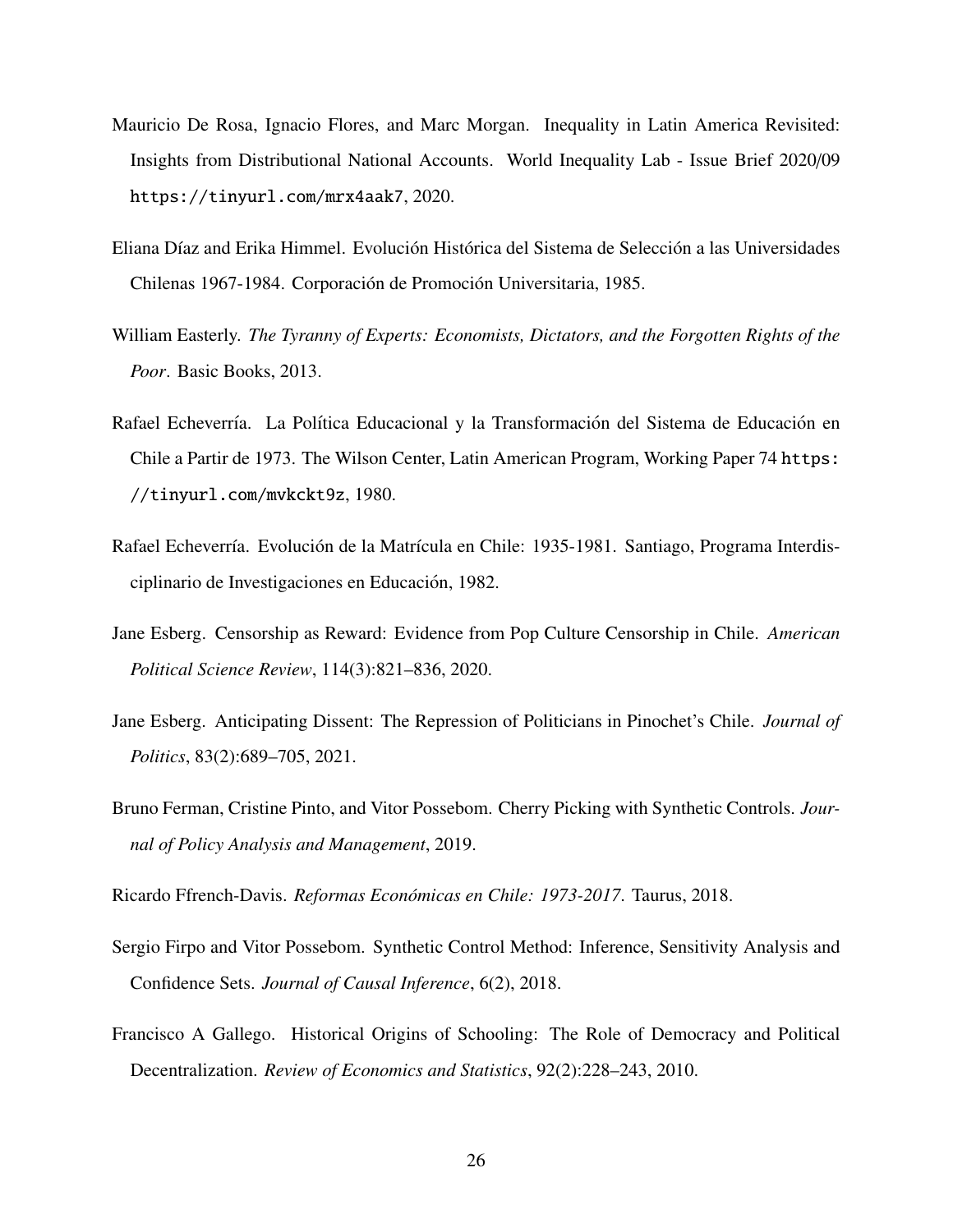- <span id="page-27-8"></span>Mauricio De Rosa, Ignacio Flores, and Marc Morgan. Inequality in Latin America Revisited: Insights from Distributional National Accounts. World Inequality Lab - Issue Brief 2020/09 <https://tinyurl.com/mrx4aak7>, 2020.
- Eliana Díaz and Erika Himmel. Evolución Histórica del Sistema de Selección a las Universidades Chilenas 1967-1984. Corporación de Promoción Universitaria, 1985.
- <span id="page-27-3"></span>William Easterly. *The Tyranny of Experts: Economists, Dictators, and the Forgotten Rights of the Poor*. Basic Books, 2013.
- <span id="page-27-4"></span>Rafael Echeverría. La Política Educacional y la Transformación del Sistema de Educación en Chile a Partir de 1973. The Wilson Center, Latin American Program, Working Paper 74 [https:](https://tinyurl.com/mvkckt9z) [//tinyurl.com/mvkckt9z](https://tinyurl.com/mvkckt9z), 1980.
- Rafael Echeverría. Evolución de la Matrícula en Chile: 1935-1981. Santiago, Programa Interdisciplinario de Investigaciones en Educación, 1982.
- <span id="page-27-1"></span>Jane Esberg. Censorship as Reward: Evidence from Pop Culture Censorship in Chile. *American Political Science Review*, 114(3):821–836, 2020.
- <span id="page-27-2"></span>Jane Esberg. Anticipating Dissent: The Repression of Politicians in Pinochet's Chile. *Journal of Politics*, 83(2):689–705, 2021.
- <span id="page-27-5"></span>Bruno Ferman, Cristine Pinto, and Vitor Possebom. Cherry Picking with Synthetic Controls. *Journal of Policy Analysis and Management*, 2019.

<span id="page-27-7"></span>Ricardo Ffrench-Davis. *Reformas Económicas en Chile: 1973-2017*. Taurus, 2018.

- <span id="page-27-6"></span>Sergio Firpo and Vitor Possebom. Synthetic Control Method: Inference, Sensitivity Analysis and Confidence Sets. *Journal of Causal Inference*, 6(2), 2018.
- <span id="page-27-0"></span>Francisco A Gallego. Historical Origins of Schooling: The Role of Democracy and Political Decentralization. *Review of Economics and Statistics*, 92(2):228–243, 2010.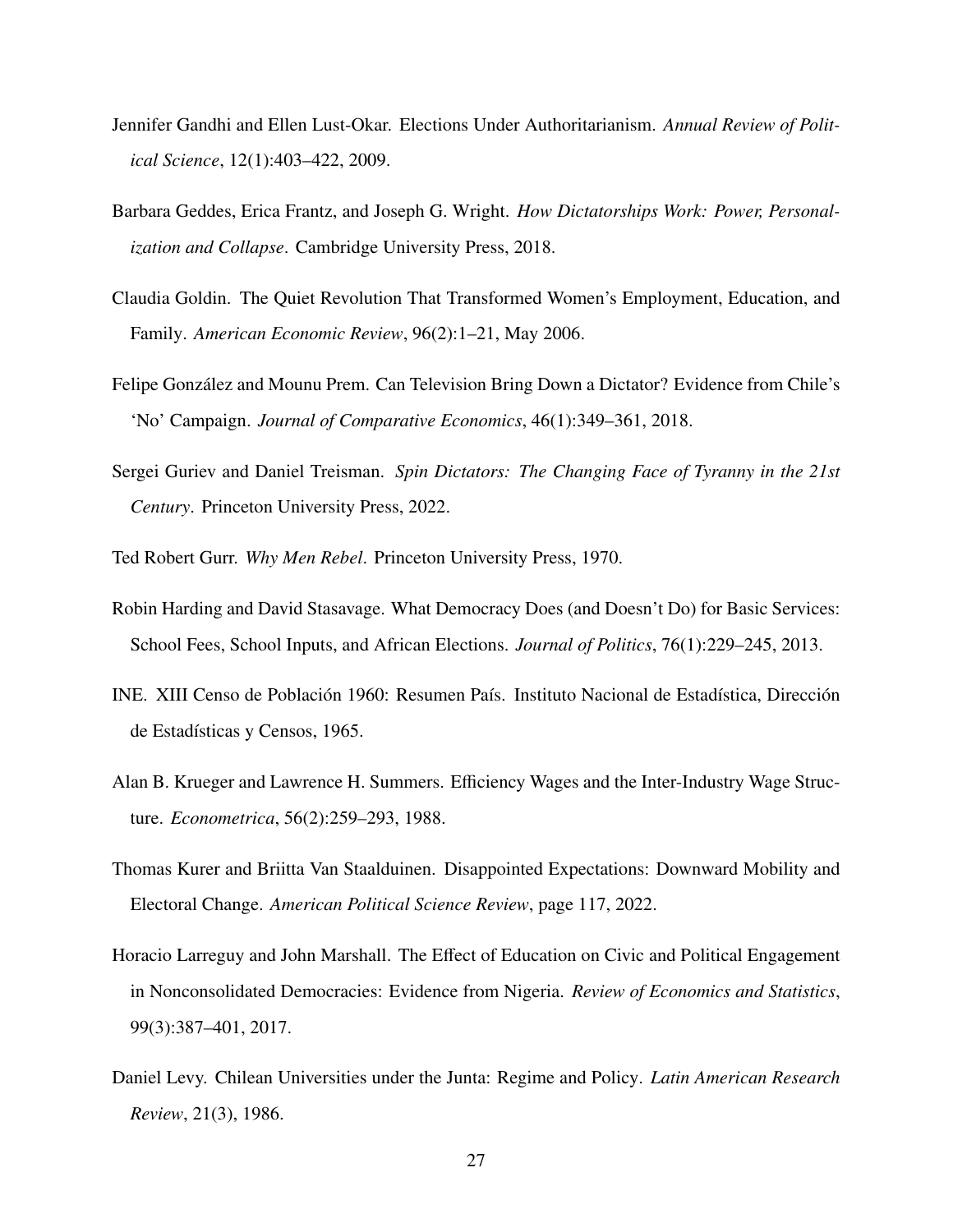- <span id="page-28-9"></span>Jennifer Gandhi and Ellen Lust-Okar. Elections Under Authoritarianism. *Annual Review of Political Science*, 12(1):403–422, 2009.
- <span id="page-28-2"></span>Barbara Geddes, Erica Frantz, and Joseph G. Wright. *How Dictatorships Work: Power, Personalization and Collapse*. Cambridge University Press, 2018.
- <span id="page-28-8"></span>Claudia Goldin. The Quiet Revolution That Transformed Women's Employment, Education, and Family. *American Economic Review*, 96(2):1–21, May 2006.
- <span id="page-28-1"></span>Felipe González and Mounu Prem. Can Television Bring Down a Dictator? Evidence from Chile's 'No' Campaign. *Journal of Comparative Economics*, 46(1):349–361, 2018.
- <span id="page-28-3"></span>Sergei Guriev and Daniel Treisman. *Spin Dictators: The Changing Face of Tyranny in the 21st Century*. Princeton University Press, 2022.
- <span id="page-28-6"></span>Ted Robert Gurr. *Why Men Rebel*. Princeton University Press, 1970.
- <span id="page-28-0"></span>Robin Harding and David Stasavage. What Democracy Does (and Doesn't Do) for Basic Services: School Fees, School Inputs, and African Elections. *Journal of Politics*, 76(1):229–245, 2013.
- INE. XIII Censo de Población 1960: Resumen País. Instituto Nacional de Estadística, Dirección de Estadísticas y Censos, 1965.
- <span id="page-28-10"></span>Alan B. Krueger and Lawrence H. Summers. Efficiency Wages and the Inter-Industry Wage Structure. *Econometrica*, 56(2):259–293, 1988.
- <span id="page-28-5"></span>Thomas Kurer and Briitta Van Staalduinen. Disappointed Expectations: Downward Mobility and Electoral Change. *American Political Science Review*, page 117, 2022.
- <span id="page-28-4"></span>Horacio Larreguy and John Marshall. The Effect of Education on Civic and Political Engagement in Nonconsolidated Democracies: Evidence from Nigeria. *Review of Economics and Statistics*, 99(3):387–401, 2017.
- <span id="page-28-7"></span>Daniel Levy. Chilean Universities under the Junta: Regime and Policy. *Latin American Research Review*, 21(3), 1986.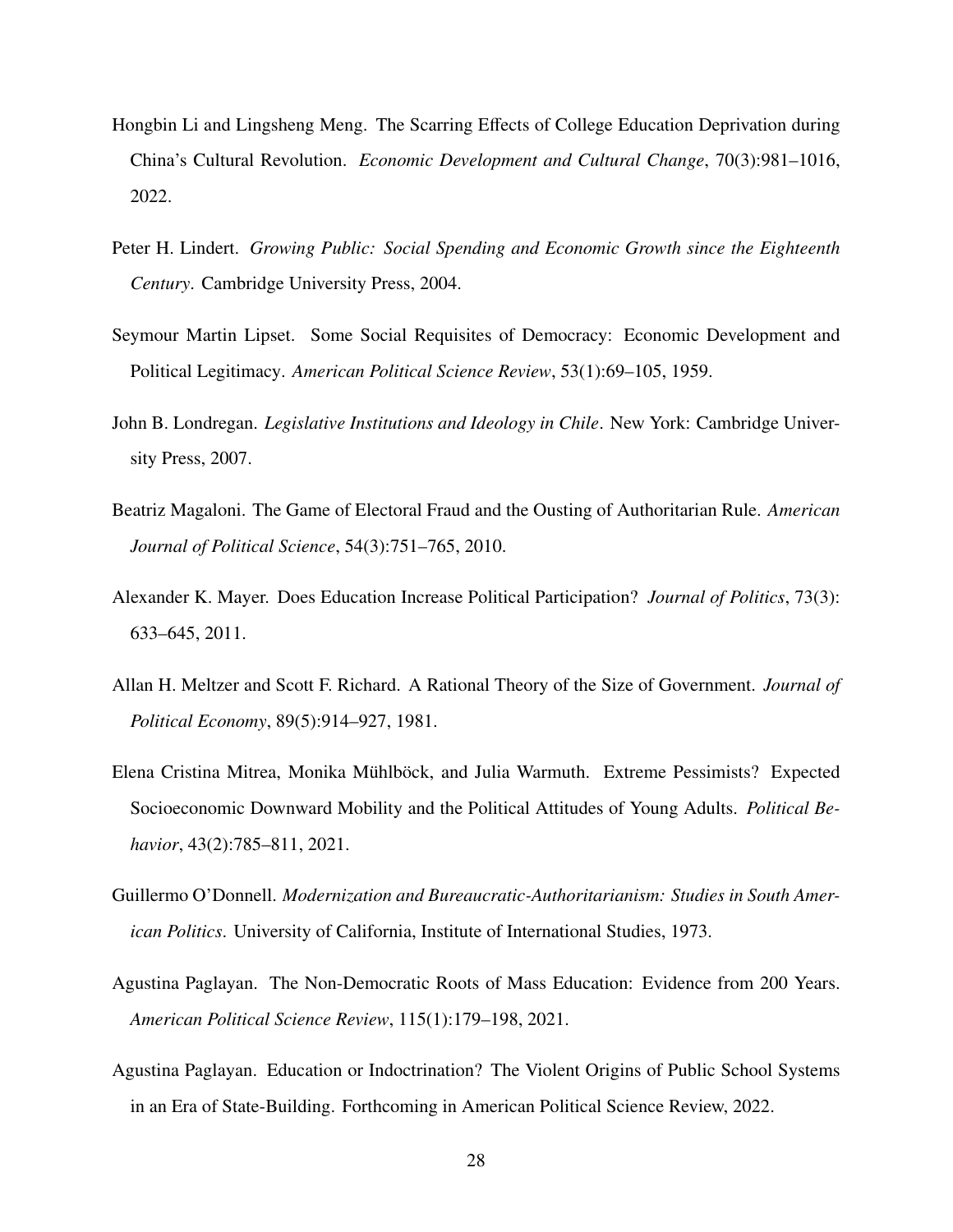- <span id="page-29-4"></span>Hongbin Li and Lingsheng Meng. The Scarring Effects of College Education Deprivation during China's Cultural Revolution. *Economic Development and Cultural Change*, 70(3):981–1016, 2022.
- <span id="page-29-0"></span>Peter H. Lindert. *Growing Public: Social Spending and Economic Growth since the Eighteenth Century*. Cambridge University Press, 2004.
- <span id="page-29-6"></span>Seymour Martin Lipset. Some Social Requisites of Democracy: Economic Development and Political Legitimacy. *American Political Science Review*, 53(1):69–105, 1959.
- <span id="page-29-2"></span>John B. Londregan. *Legislative Institutions and Ideology in Chile*. New York: Cambridge University Press, 2007.
- <span id="page-29-10"></span>Beatriz Magaloni. The Game of Electoral Fraud and the Ousting of Authoritarian Rule. *American Journal of Political Science*, 54(3):751–765, 2010.
- <span id="page-29-8"></span>Alexander K. Mayer. Does Education Increase Political Participation? *Journal of Politics*, 73(3): 633–645, 2011.
- <span id="page-29-1"></span>Allan H. Meltzer and Scott F. Richard. A Rational Theory of the Size of Government. *Journal of Political Economy*, 89(5):914–927, 1981.
- <span id="page-29-9"></span>Elena Cristina Mitrea, Monika Mühlböck, and Julia Warmuth. Extreme Pessimists? Expected Socioeconomic Downward Mobility and the Political Attitudes of Young Adults. *Political Behavior*, 43(2):785–811, 2021.
- <span id="page-29-7"></span>Guillermo O'Donnell. *Modernization and Bureaucratic-Authoritarianism: Studies in South American Politics*. University of California, Institute of International Studies, 1973.
- <span id="page-29-3"></span>Agustina Paglayan. The Non-Democratic Roots of Mass Education: Evidence from 200 Years. *American Political Science Review*, 115(1):179–198, 2021.
- <span id="page-29-5"></span>Agustina Paglayan. Education or Indoctrination? The Violent Origins of Public School Systems in an Era of State-Building. Forthcoming in American Political Science Review, 2022.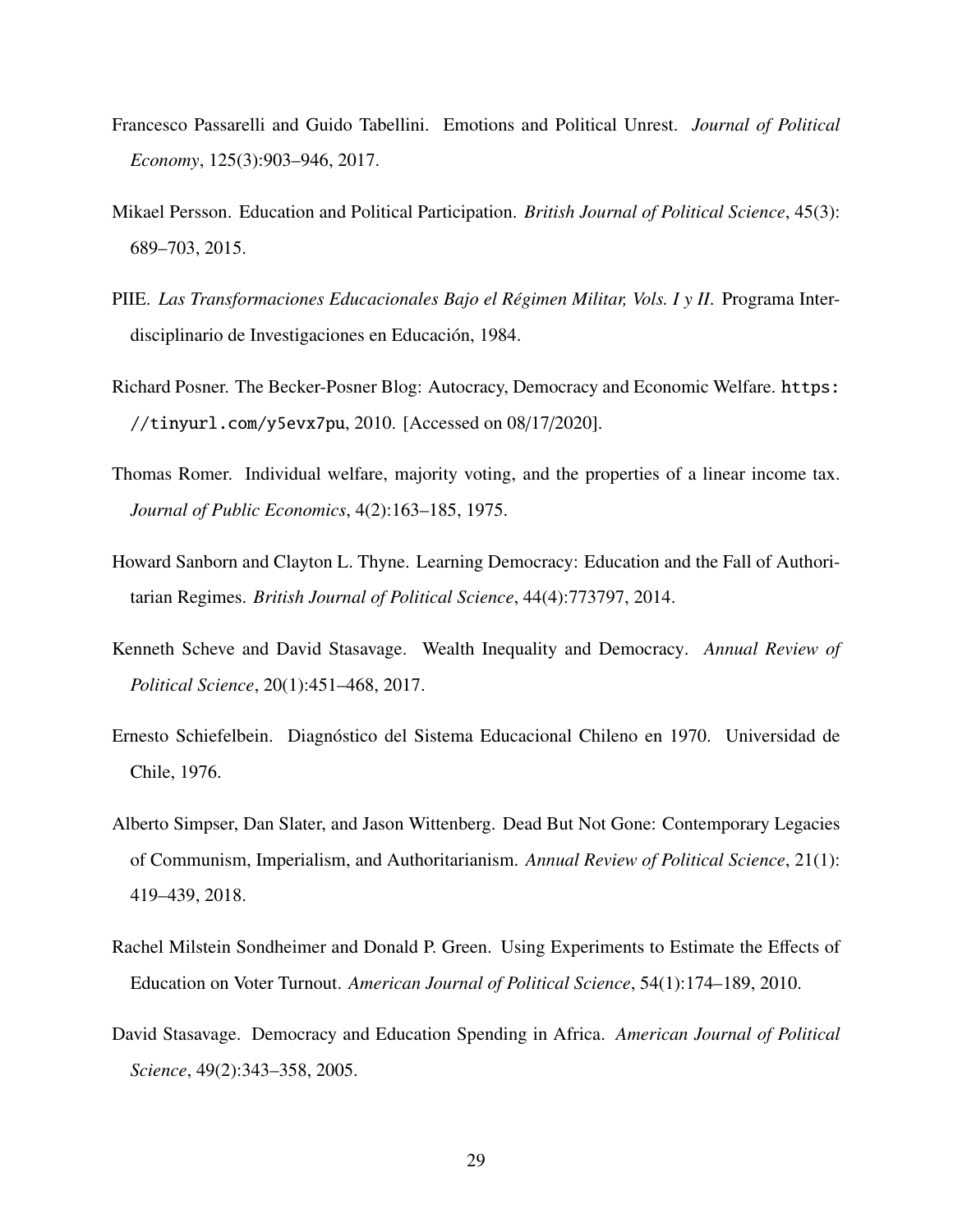- <span id="page-30-8"></span>Francesco Passarelli and Guido Tabellini. Emotions and Political Unrest. *Journal of Political Economy*, 125(3):903–946, 2017.
- <span id="page-30-7"></span>Mikael Persson. Education and Political Participation. *British Journal of Political Science*, 45(3): 689–703, 2015.
- <span id="page-30-9"></span>PIIE. *Las Transformaciones Educacionales Bajo el R´egimen Militar, Vols. I y II*. Programa Interdisciplinario de Investigaciones en Educación, 1984.
- <span id="page-30-4"></span>Richard Posner. The Becker-Posner Blog: Autocracy, Democracy and Economic Welfare. [https:](https://tinyurl.com/y5evx7pu) [//tinyurl.com/y5evx7pu](https://tinyurl.com/y5evx7pu), 2010. [Accessed on 08/17/2020].
- <span id="page-30-1"></span>Thomas Romer. Individual welfare, majority voting, and the properties of a linear income tax. *Journal of Public Economics*, 4(2):163–185, 1975.
- <span id="page-30-5"></span>Howard Sanborn and Clayton L. Thyne. Learning Democracy: Education and the Fall of Authoritarian Regimes. *British Journal of Political Science*, 44(4):773797, 2014.
- <span id="page-30-0"></span>Kenneth Scheve and David Stasavage. Wealth Inequality and Democracy. *Annual Review of Political Science*, 20(1):451–468, 2017.
- Ernesto Schiefelbein. Diagnóstico del Sistema Educacional Chileno en 1970. Universidad de Chile, 1976.
- <span id="page-30-3"></span>Alberto Simpser, Dan Slater, and Jason Wittenberg. Dead But Not Gone: Contemporary Legacies of Communism, Imperialism, and Authoritarianism. *Annual Review of Political Science*, 21(1): 419–439, 2018.
- <span id="page-30-6"></span>Rachel Milstein Sondheimer and Donald P. Green. Using Experiments to Estimate the Effects of Education on Voter Turnout. *American Journal of Political Science*, 54(1):174–189, 2010.
- <span id="page-30-2"></span>David Stasavage. Democracy and Education Spending in Africa. *American Journal of Political Science*, 49(2):343–358, 2005.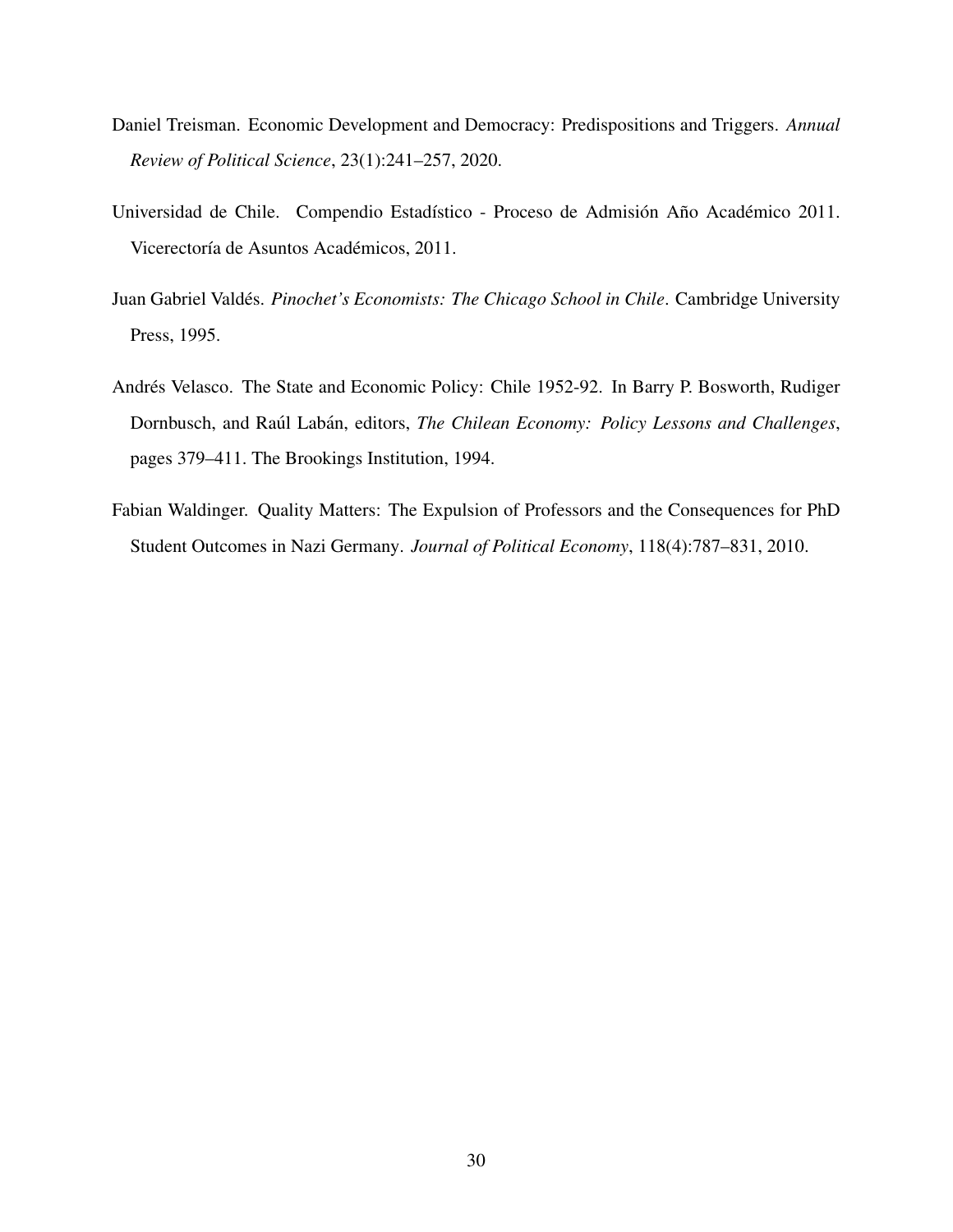- <span id="page-31-0"></span>Daniel Treisman. Economic Development and Democracy: Predispositions and Triggers. *Annual Review of Political Science*, 23(1):241–257, 2020.
- <span id="page-31-4"></span>Universidad de Chile. Compendio Estadístico - Proceso de Admisión Año Académico 2011. Vicerectoría de Asuntos Académicos, 2011.
- <span id="page-31-3"></span>Juan Gabriel Valdés. Pinochet's Economists: The Chicago School in Chile. Cambridge University Press, 1995.
- <span id="page-31-2"></span>Andrés Velasco. The State and Economic Policy: Chile 1952-92. In Barry P. Bosworth, Rudiger Dornbusch, and Raúl Labán, editors, *The Chilean Economy: Policy Lessons and Challenges*, pages 379–411. The Brookings Institution, 1994.
- <span id="page-31-1"></span>Fabian Waldinger. Quality Matters: The Expulsion of Professors and the Consequences for PhD Student Outcomes in Nazi Germany. *Journal of Political Economy*, 118(4):787–831, 2010.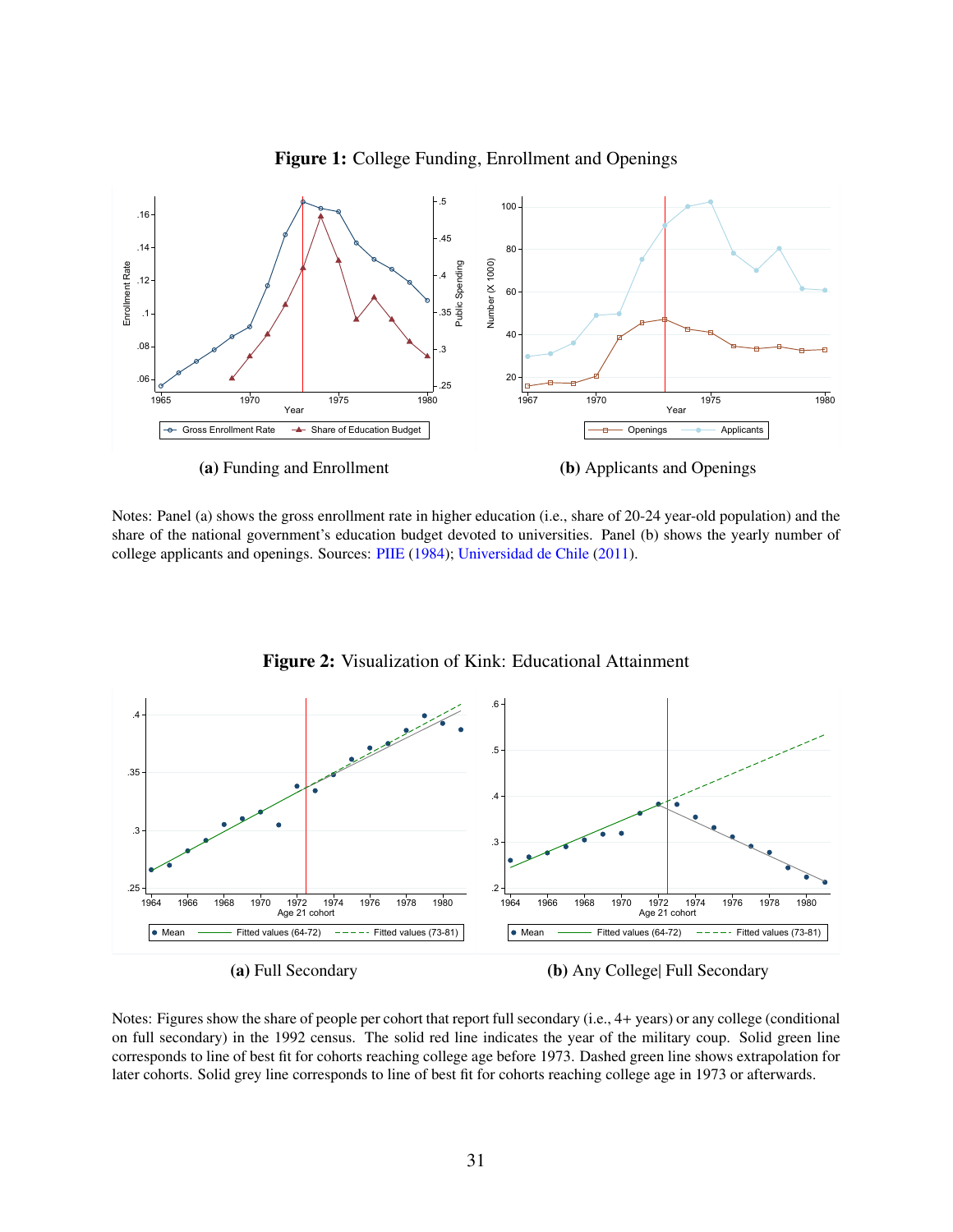<span id="page-32-0"></span>

Figure 1: College Funding, Enrollment and Openings

Notes: Panel (a) shows the gross enrollment rate in higher education (i.e., share of 20-24 year-old population) and the share of the national government's education budget devoted to universities. Panel (b) shows the yearly number of college applicants and openings. Sources: [PIIE](#page-30-9) [\(1984\)](#page-30-9); [Universidad de Chile](#page-31-4) [\(2011\)](#page-31-4).

<span id="page-32-1"></span>

Figure 2: Visualization of Kink: Educational Attainment

(a) Full Secondary

(b) Any College| Full Secondary

Notes: Figures show the share of people per cohort that report full secondary (i.e., 4+ years) or any college (conditional on full secondary) in the 1992 census. The solid red line indicates the year of the military coup. Solid green line corresponds to line of best fit for cohorts reaching college age before 1973. Dashed green line shows extrapolation for later cohorts. Solid grey line corresponds to line of best fit for cohorts reaching college age in 1973 or afterwards.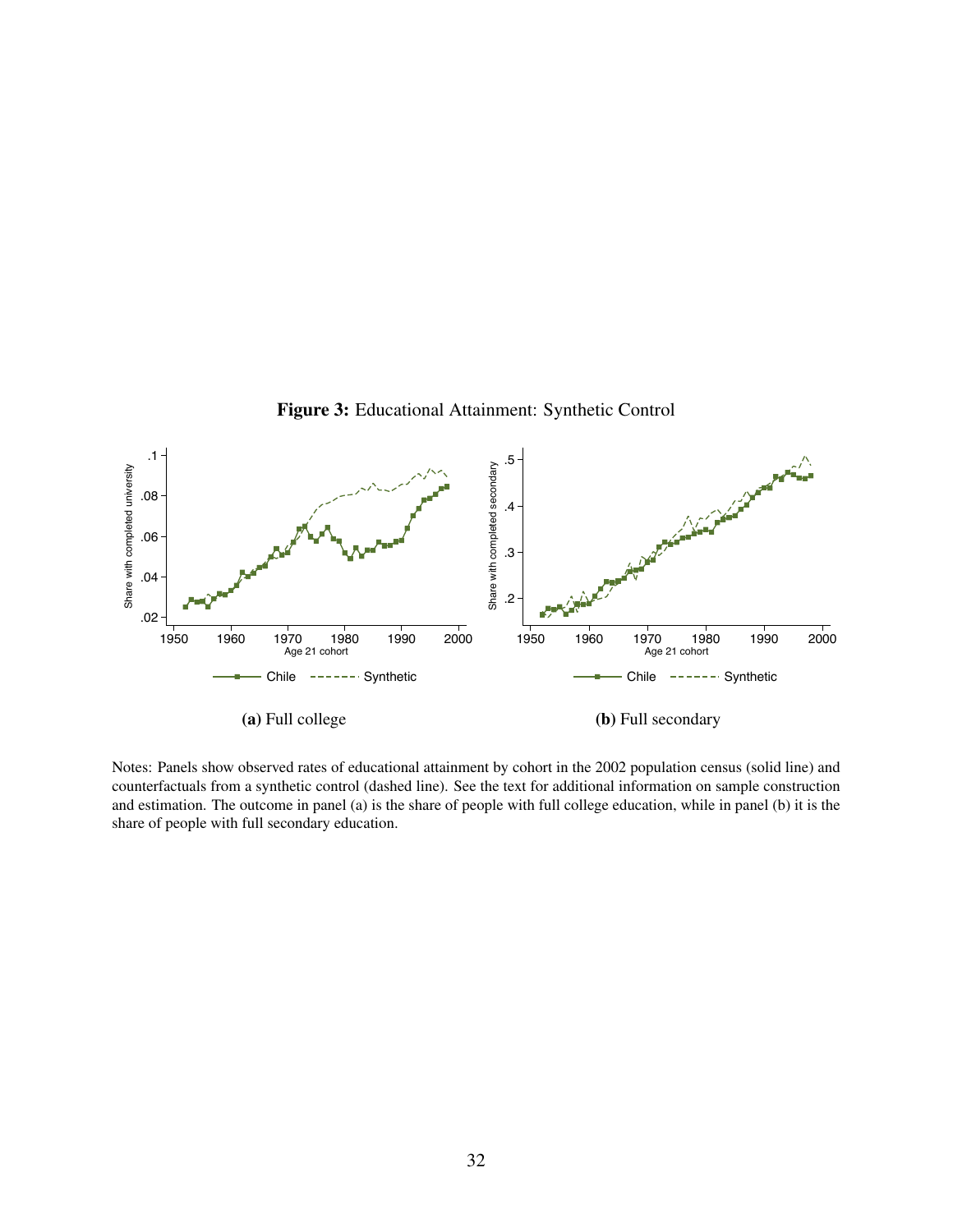<span id="page-33-0"></span>

Notes: Panels show observed rates of educational attainment by cohort in the 2002 population census (solid line) and counterfactuals from a synthetic control (dashed line). See the text for additional information on sample construction and estimation. The outcome in panel (a) is the share of people with full college education, while in panel (b) it is the share of people with full secondary education.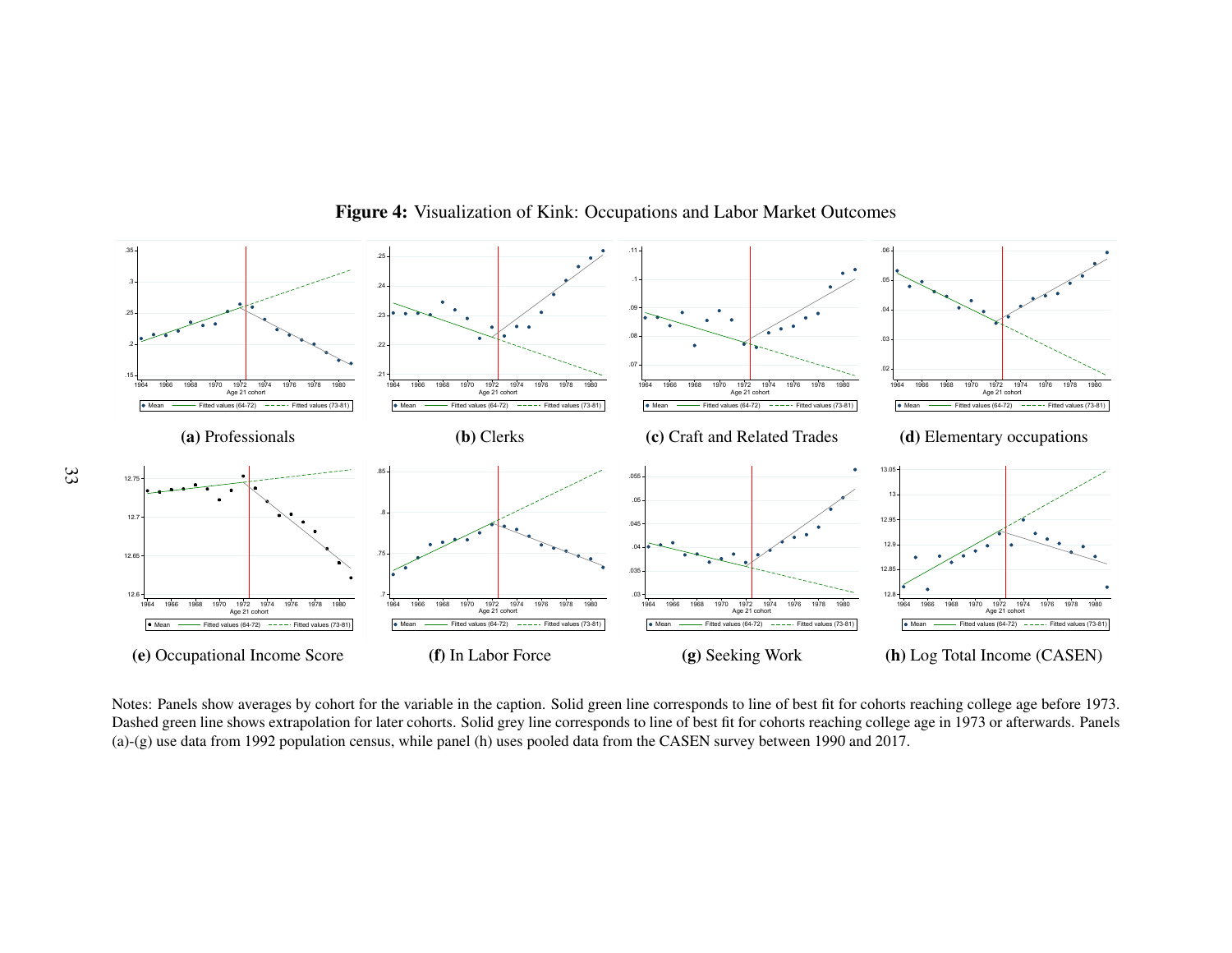

## Figure 4: Visualization of Kink: Occupations and Labor Market Outcomes

<span id="page-34-0"></span> (a)-(g) use data from 1992 population census, while panel (h) uses pooled data from the CASEN survey between 1990 and 2017.Notes: Panels show averages by cohort for the variable in the caption. Solid green line corresponds to line of best fit for cohorts reaching college age before 1973.Dashed green line shows extrapolation for later cohorts. Solid grey line corresponds to line of best fit for cohorts reaching college age in 1973 or afterwards. Panels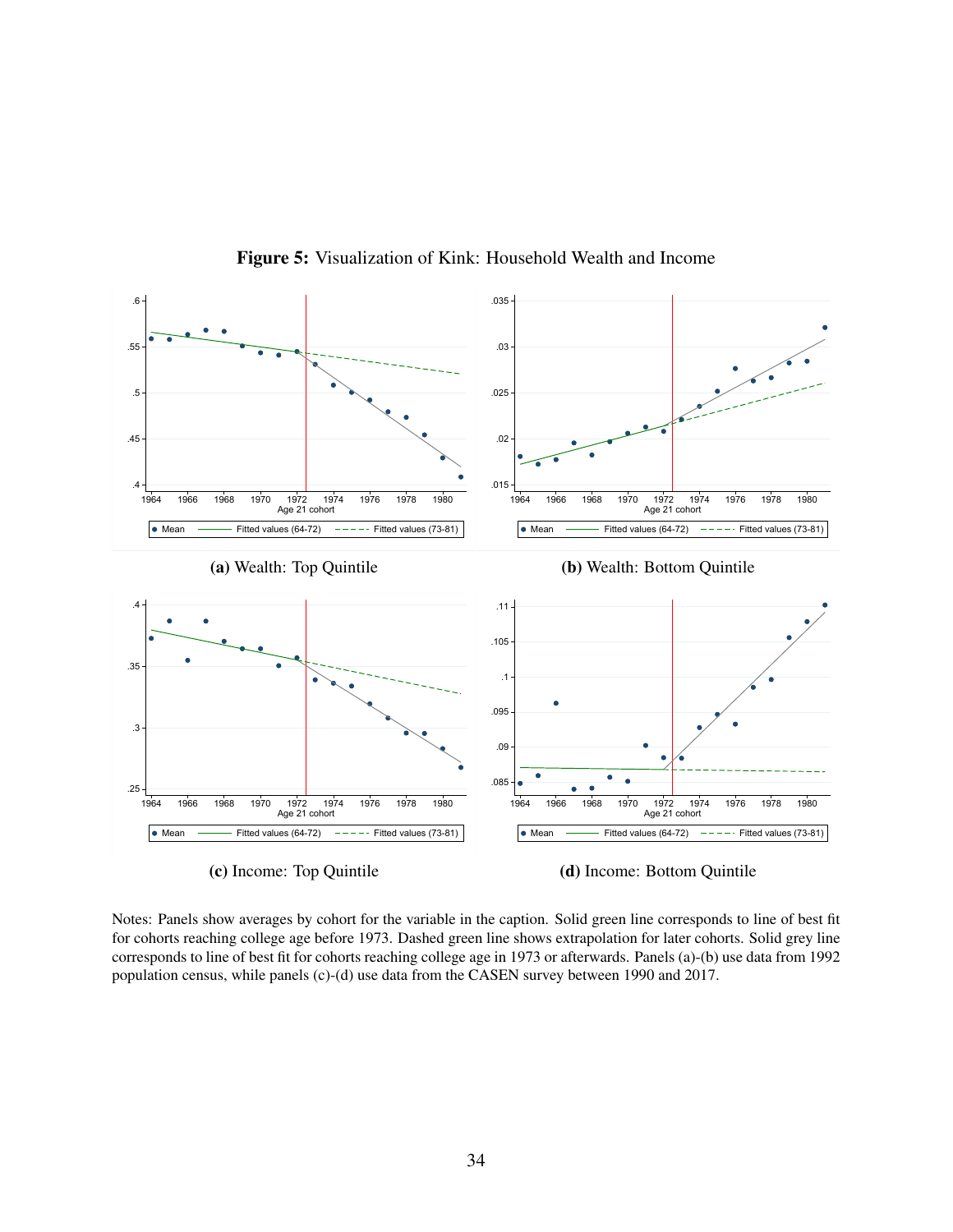<span id="page-35-0"></span>

Figure 5: Visualization of Kink: Household Wealth and Income

(c) Income: Top Quintile

(d) Income: Bottom Quintile

Notes: Panels show averages by cohort for the variable in the caption. Solid green line corresponds to line of best fit for cohorts reaching college age before 1973. Dashed green line shows extrapolation for later cohorts. Solid grey line corresponds to line of best fit for cohorts reaching college age in 1973 or afterwards. Panels (a)-(b) use data from 1992 population census, while panels (c)-(d) use data from the CASEN survey between 1990 and 2017.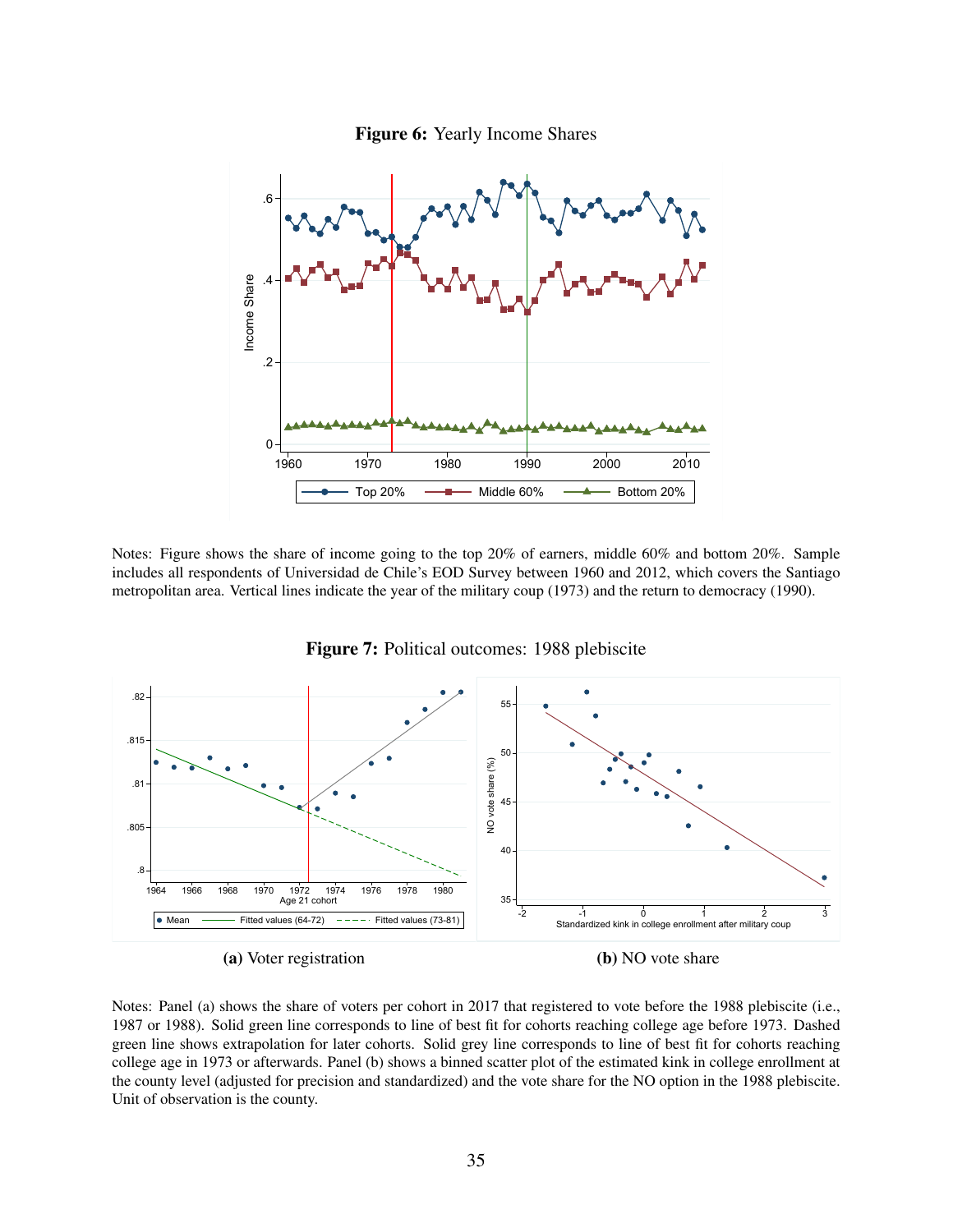



Notes: Figure shows the share of income going to the top 20% of earners, middle 60% and bottom 20%. Sample includes all respondents of Universidad de Chile's EOD Survey between 1960 and 2012, which covers the Santiago metropolitan area. Vertical lines indicate the year of the military coup (1973) and the return to democracy (1990).



Figure 7: Political outcomes: 1988 plebiscite

(b) NO vote share

Notes: Panel (a) shows the share of voters per cohort in 2017 that registered to vote before the 1988 plebiscite (i.e., 1987 or 1988). Solid green line corresponds to line of best fit for cohorts reaching college age before 1973. Dashed green line shows extrapolation for later cohorts. Solid grey line corresponds to line of best fit for cohorts reaching college age in 1973 or afterwards. Panel (b) shows a binned scatter plot of the estimated kink in college enrollment at the county level (adjusted for precision and standardized) and the vote share for the NO option in the 1988 plebiscite. Unit of observation is the county.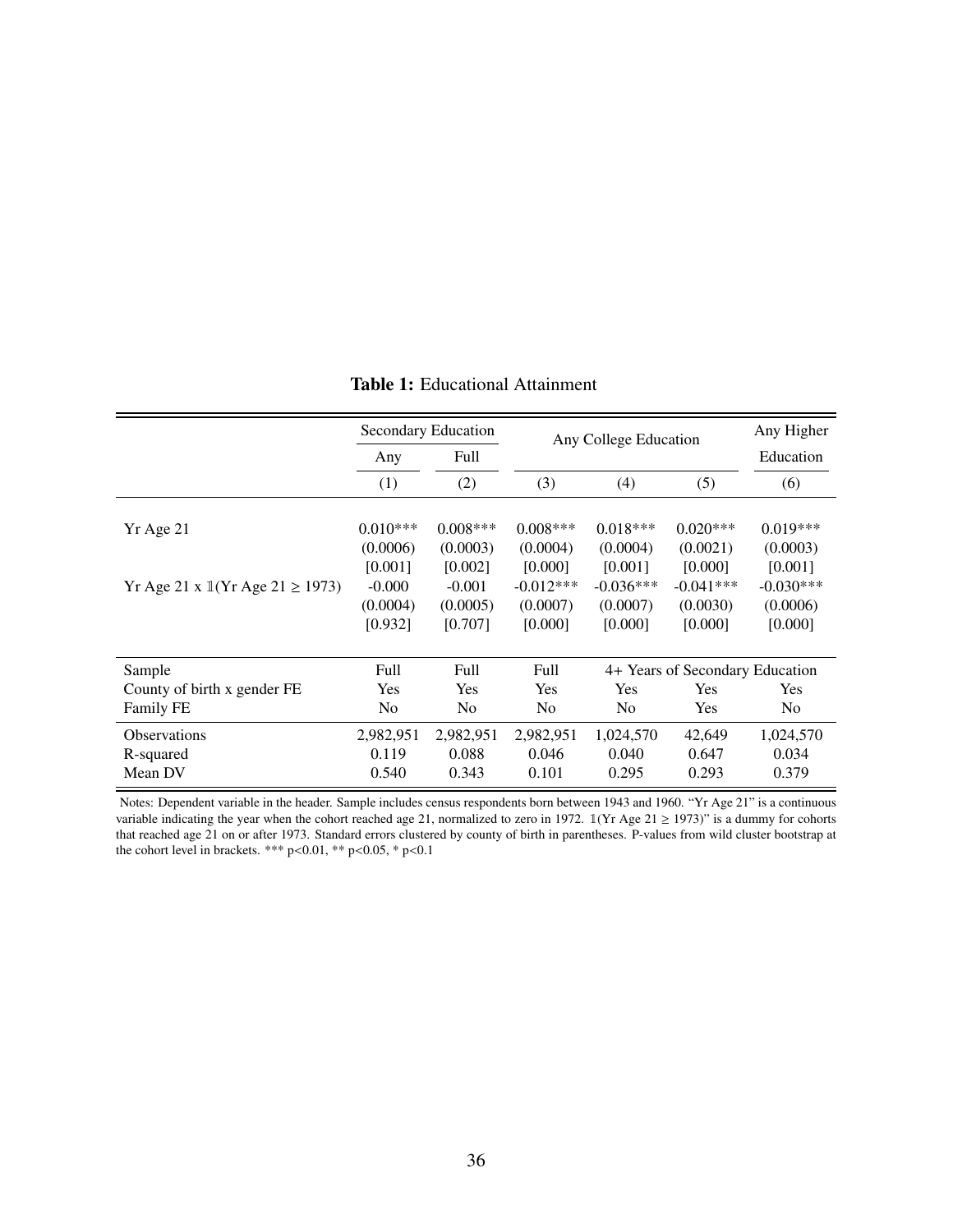|                                                       |                | Secondary Education |                | Any College Education |                                 | Any Higher     |  |
|-------------------------------------------------------|----------------|---------------------|----------------|-----------------------|---------------------------------|----------------|--|
|                                                       | Any            | Full                |                |                       |                                 | Education      |  |
|                                                       | (1)            | (2)                 | (3)            | (4)                   | (5)                             | (6)            |  |
|                                                       |                |                     |                |                       |                                 |                |  |
| Yr Age 21                                             | $0.010***$     | $0.008***$          | $0.008***$     | $0.018***$            | $0.020***$                      | $0.019***$     |  |
|                                                       | (0.0006)       | (0.0003)            | (0.0004)       | (0.0004)              | (0.0021)                        | (0.0003)       |  |
|                                                       | [0.001]        | [0.002]             | [0.000]        | [0.001]               | [0.000]                         | [0.001]        |  |
| Yr Age 21 x $\mathbb{I}(Yr \text{ Age } 21 \ge 1973)$ | $-0.000$       | $-0.001$            | $-0.012***$    | $-0.036***$           | $-0.041***$                     | $-0.030***$    |  |
|                                                       | (0.0004)       | (0.0005)            | (0.0007)       | (0.0007)              | (0.0030)                        | (0.0006)       |  |
|                                                       | [0.932]        | [0.707]             | [0.000]        | [0.000]               | [0.000]                         | [0.000]        |  |
|                                                       |                |                     |                |                       |                                 |                |  |
| Sample                                                | Full           | Full                | Full           |                       | 4+ Years of Secondary Education |                |  |
| County of birth x gender FE                           | <b>Yes</b>     | Yes                 | <b>Yes</b>     | Yes                   | Yes                             | Yes            |  |
| <b>Family FE</b>                                      | N <sub>0</sub> | N <sub>0</sub>      | N <sub>0</sub> | N <sub>0</sub>        | Yes                             | N <sub>0</sub> |  |
| <b>Observations</b>                                   | 2,982,951      | 2,982,951           | 2,982,951      | 1,024,570             | 42,649                          | 1,024,570      |  |
| R-squared                                             | 0.119          | 0.088               | 0.046          | 0.040                 | 0.647                           | 0.034          |  |
| Mean DV                                               | 0.540          | 0.343               | 0.101          | 0.295                 | 0.293                           | 0.379          |  |

#### Table 1: Educational Attainment

Notes: Dependent variable in the header. Sample includes census respondents born between 1943 and 1960. "Yr Age 21" is a continuous variable indicating the year when the cohort reached age 21, normalized to zero in 1972.  $\mathbb{1}(Yr \text{ Age } 21 \ge 1973)$ " is a dummy for cohorts that reached age 21 on or after 1973. Standard errors clustered by county of birth in parentheses. P-values from wild cluster bootstrap at the cohort level in brackets. \*\*\*  $p<0.01$ , \*\*  $p<0.05$ , \*  $p<0.1$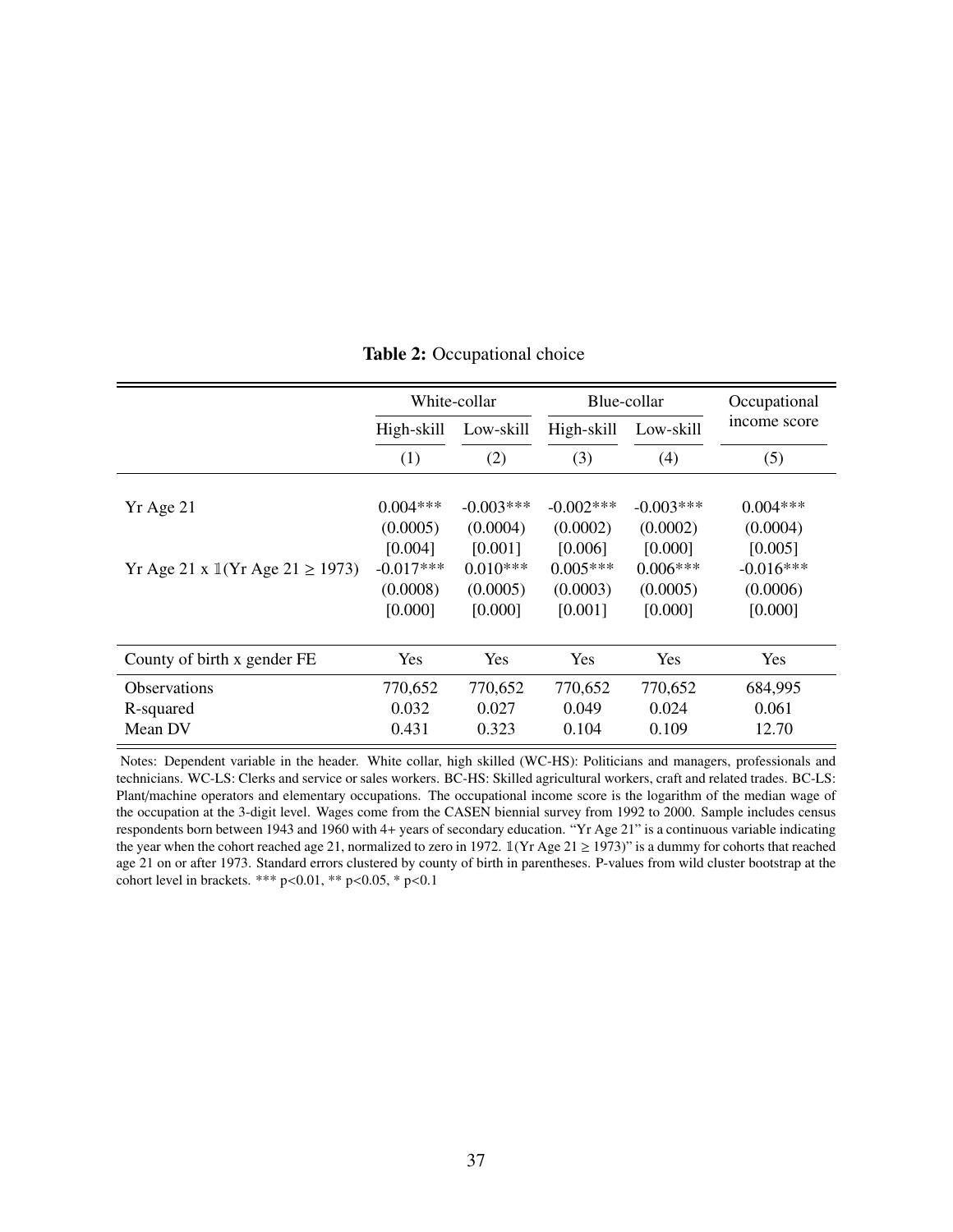|                                                       |             | White-collar |              | Blue-collar  | Occupational |
|-------------------------------------------------------|-------------|--------------|--------------|--------------|--------------|
|                                                       | High-skill  | Low-skill    | High-skill   | Low-skill    | income score |
|                                                       | (1)         | (2)          | (3)          | (4)          | (5)          |
|                                                       |             |              |              |              |              |
| Yr Age 21                                             | $0.004***$  | $-0.003***$  | $-0.002$ *** | $-0.003$ *** | $0.004***$   |
|                                                       | (0.0005)    | (0.0004)     | (0.0002)     | (0.0002)     | (0.0004)     |
|                                                       | [0.004]     | [0.001]      | [0.006]      | [0.000]      | [0.005]      |
| Yr Age 21 x $\mathbb{I}(Yr \text{ Age } 21 \ge 1973)$ | $-0.017***$ | $0.010***$   | $0.005***$   | $0.006***$   | $-0.016***$  |
|                                                       | (0.0008)    | (0.0005)     | (0.0003)     | (0.0005)     | (0.0006)     |
|                                                       | [0.000]     | [0.000]      | [0.001]      | [0.000]      | [0.000]      |
|                                                       |             |              |              |              |              |
| County of birth x gender FE                           | Yes         | Yes          | Yes          | Yes          | <b>Yes</b>   |
| <b>Observations</b>                                   | 770,652     | 770,652      | 770,652      | 770,652      | 684,995      |
| R-squared                                             | 0.032       | 0.027        | 0.049        | 0.024        | 0.061        |
| Mean DV                                               | 0.431       | 0.323        | 0.104        | 0.109        | 12.70        |

Table 2: Occupational choice

Notes: Dependent variable in the header. White collar, high skilled (WC-HS): Politicians and managers, professionals and technicians. WC-LS: Clerks and service or sales workers. BC-HS: Skilled agricultural workers, craft and related trades. BC-LS: Plant/machine operators and elementary occupations. The occupational income score is the logarithm of the median wage of the occupation at the 3-digit level. Wages come from the CASEN biennial survey from 1992 to 2000. Sample includes census respondents born between 1943 and 1960 with 4+ years of secondary education. "Yr Age 21" is a continuous variable indicating the year when the cohort reached age 21, normalized to zero in 1972.  $\mathbb{I}(Yr \text{ Age } 21 \ge 1973)$ " is a dummy for cohorts that reached age 21 on or after 1973. Standard errors clustered by county of birth in parentheses. P-values from wild cluster bootstrap at the cohort level in brackets. \*\*\* p<0.01, \*\* p<0.05, \* p<0.1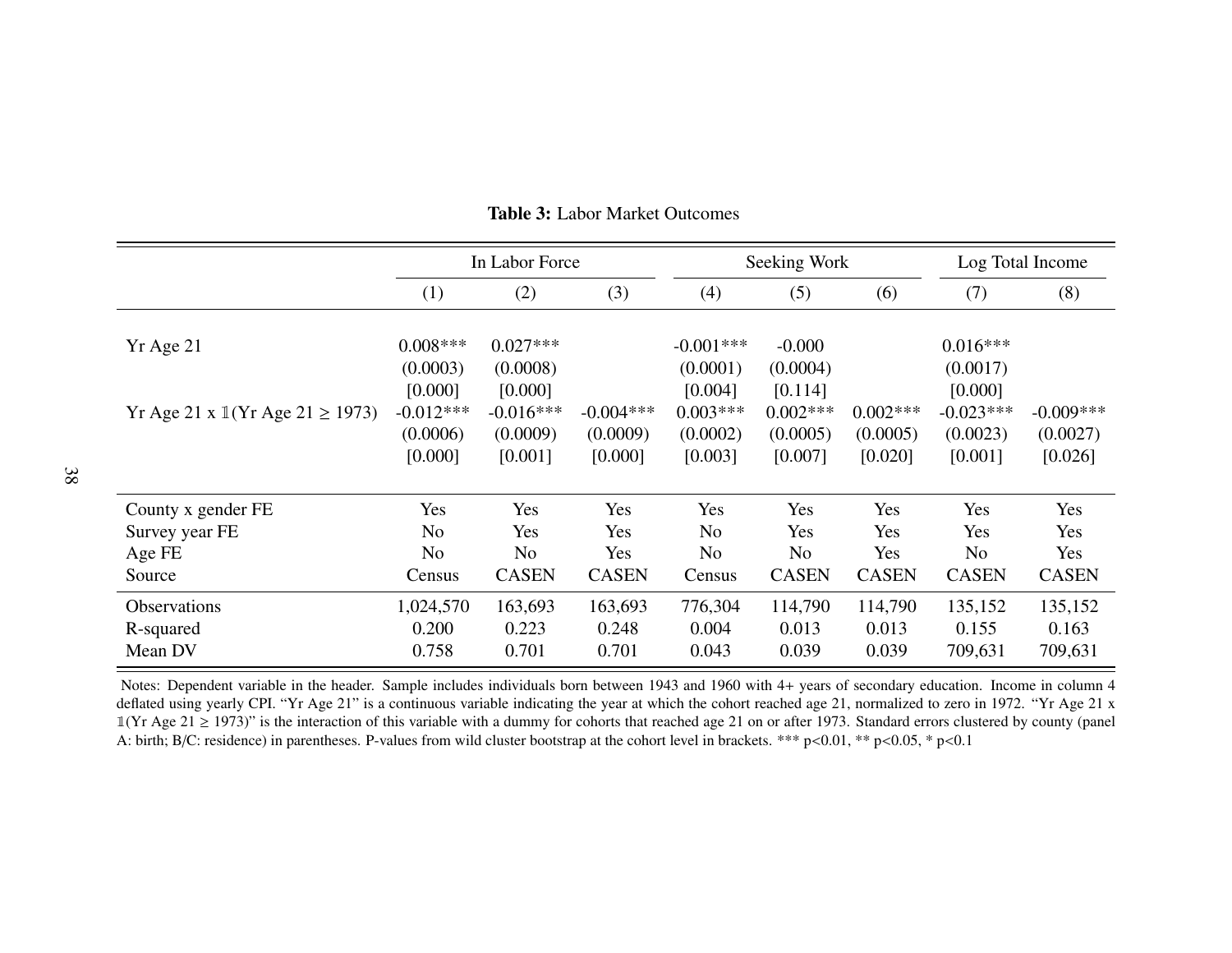|                                             |                                    | In Labor Force                     |                                    |                                    | Seeking Work                      |                                   | Log Total Income                   |                                    |
|---------------------------------------------|------------------------------------|------------------------------------|------------------------------------|------------------------------------|-----------------------------------|-----------------------------------|------------------------------------|------------------------------------|
|                                             | (1)                                | (2)                                | (3)                                | (4)                                | (5)                               | (6)                               | (7)                                | (8)                                |
| Yr Age 21                                   | $0.008***$<br>(0.0003)<br>[0.000]  | $0.027***$<br>(0.0008)<br>[0.000]  |                                    | $-0.001***$<br>(0.0001)<br>[0.004] | $-0.000$<br>(0.0004)<br>[0.114]   |                                   | $0.016***$<br>(0.0017)<br>[0.000]  |                                    |
| Yr Age 21 x $1$ (Yr Age 21 $\ge$ 1973)      | $-0.012***$<br>(0.0006)<br>[0.000] | $-0.016***$<br>(0.0009)<br>[0.001] | $-0.004***$<br>(0.0009)<br>[0.000] | $0.003***$<br>(0.0002)<br>[0.003]  | $0.002***$<br>(0.0005)<br>[0.007] | $0.002***$<br>(0.0005)<br>[0.020] | $-0.023***$<br>(0.0023)<br>[0.001] | $-0.009***$<br>(0.0027)<br>[0.026] |
| County x gender FE                          | Yes                                | Yes                                | Yes                                | Yes                                | Yes                               | Yes                               | Yes                                | Yes                                |
| Survey year FE                              | N <sub>o</sub>                     | Yes                                | Yes                                | N <sub>o</sub>                     | Yes                               | Yes                               | Yes                                | Yes                                |
| Age FE                                      | N <sub>o</sub>                     | N <sub>o</sub>                     | Yes                                | N <sub>o</sub>                     | N <sub>o</sub>                    | Yes                               | N <sub>o</sub>                     | Yes                                |
| Source                                      | Census                             | <b>CASEN</b>                       | <b>CASEN</b>                       | Census                             | <b>CASEN</b>                      | <b>CASEN</b>                      | <b>CASEN</b>                       | <b>CASEN</b>                       |
| <b>Observations</b><br>R-squared<br>Mean DV | 1,024,570<br>0.200<br>0.758        | 163,693<br>0.223<br>0.701          | 163,693<br>0.248<br>0.701          | 776,304<br>0.004<br>0.043          | 114,790<br>0.013<br>0.039         | 114,790<br>0.013<br>0.039         | 135,152<br>0.155<br>709,631        | 135,152<br>0.163<br>709,631        |

Table 3: Labor Market Outcomes

<span id="page-39-0"></span>Notes: Dependent variable in the header. Sample includes individuals born between 1943 and 1960 with 4+ years of secondary education. Income in column 4 deflated using yearly CPI. "Yr Age 21" is a continuous variable indicating the year at which the cohort reached age 21, normalized to zero in 1972. "Yr Age 21 x  $\mathbb{1}(Yr \text{ Age } 21 \ge 1973)$ " is the interaction of this variable with a dummy for cohorts that reached age 21 on or after 1973. Standard errors clustered by county (panel A: birth; B/C: residence) in parentheses. P-values from wild cluster bootstrap at the cohort level in brackets. \*\*\* p<0.01, \*\* p<0.05, \* p<0.1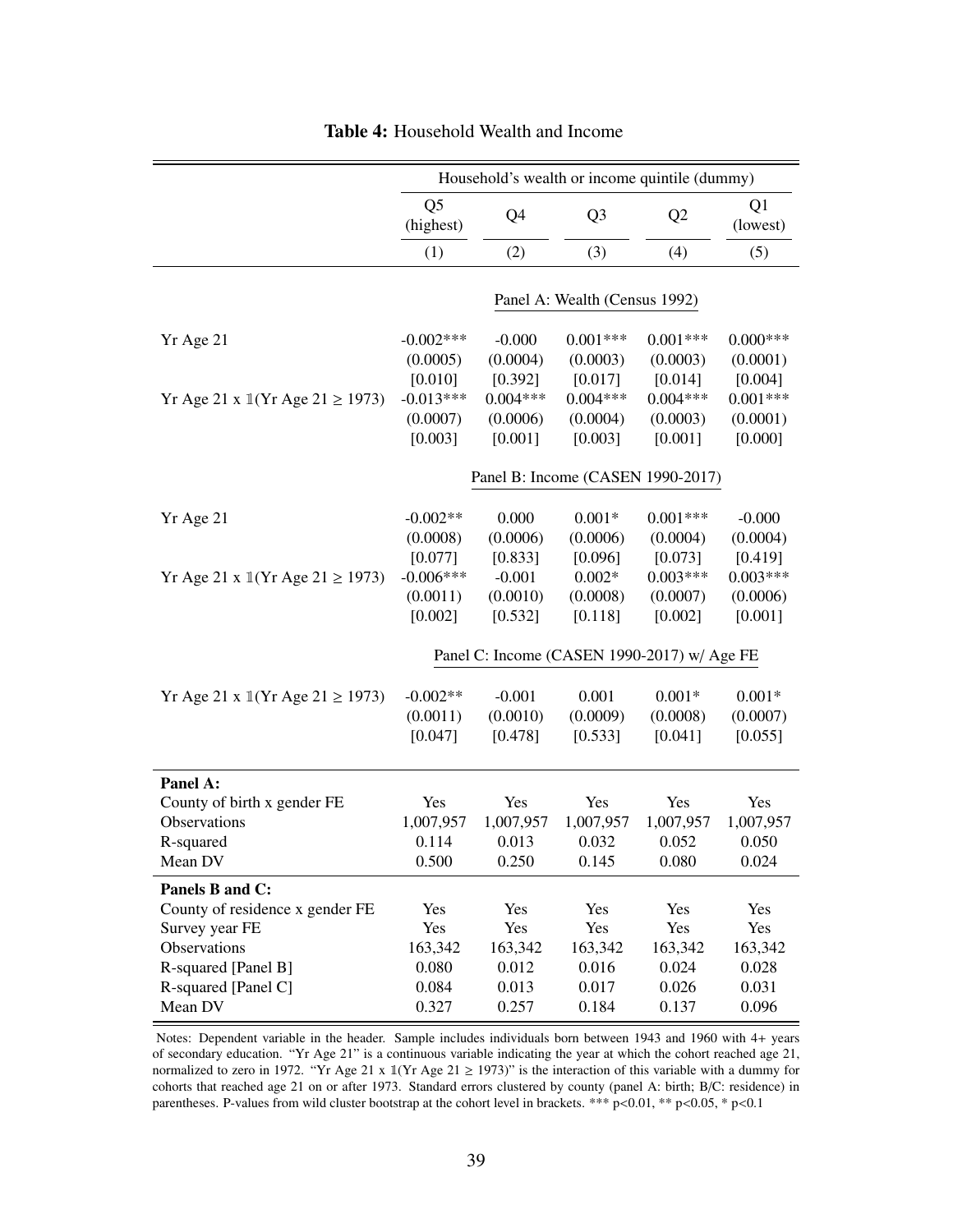<span id="page-40-0"></span>

|                                              |                                               |                                            | Household's wealth or income quintile (dummy) |                                              |                                              |
|----------------------------------------------|-----------------------------------------------|--------------------------------------------|-----------------------------------------------|----------------------------------------------|----------------------------------------------|
|                                              | Q <sub>5</sub><br>(highest)                   | Q4                                         | Q <sub>3</sub>                                | Q <sub>2</sub>                               | Q1<br>(lowest)                               |
|                                              | (1)                                           | (2)                                        | (3)                                           | (4)                                          | (5)                                          |
|                                              |                                               |                                            | Panel A: Wealth (Census 1992)                 |                                              |                                              |
| Yr Age 21                                    | $-0.002***$<br>(0.0005)<br>[0.010]            | $-0.000$<br>(0.0004)<br>[0.392]            | $0.001***$<br>(0.0003)<br>[0.017]             | $0.001***$<br>(0.0003)<br>[0.014]            | $0.000***$<br>(0.0001)<br>[0.004]            |
| Yr Age 21 x $1(Yr \text{ Age } 21 \ge 1973)$ | $-0.013***$<br>(0.0007)<br>[0.003]            | $0.004***$<br>(0.0006)<br>[0.001]          | $0.004***$<br>(0.0004)<br>[0.003]             | $0.004***$<br>(0.0003)<br>[0.001]            | $0.001***$<br>(0.0001)<br>[0.000]            |
|                                              |                                               |                                            | Panel B: Income (CASEN 1990-2017)             |                                              |                                              |
| Yr Age 21                                    | $-0.002**$<br>(0.0008)                        | 0.000<br>(0.0006)                          | $0.001*$<br>(0.0006)                          | $0.001***$<br>(0.0004)                       | $-0.000$<br>(0.0004)                         |
| Yr Age 21 x $1(Yr \text{ Age } 21 \ge 1973)$ | [0.077]<br>$-0.006***$<br>(0.0011)<br>[0.002] | [0.833]<br>$-0.001$<br>(0.0010)<br>[0.532] | [0.096]<br>$0.002*$<br>(0.0008)<br>[0.118]    | [0.073]<br>$0.003***$<br>(0.0007)<br>[0.002] | [0.419]<br>$0.003***$<br>(0.0006)<br>[0.001] |
|                                              |                                               |                                            | Panel C: Income (CASEN 1990-2017) w/ Age FE   |                                              |                                              |
| Yr Age 21 x $1(Yr \text{ Age } 21 \ge 1973)$ | $-0.002**$<br>(0.0011)<br>[0.047]             | $-0.001$<br>(0.0010)<br>[0.478]            | 0.001<br>(0.0009)<br>[0.533]                  | $0.001*$<br>(0.0008)<br>[0.041]              | $0.001*$<br>(0.0007)<br>[0.055]              |
| Panel A:                                     |                                               |                                            |                                               |                                              |                                              |
| County of birth x gender FE                  | Yes                                           | Yes                                        | Yes                                           | Yes                                          | Yes                                          |
| Observations                                 | 1,007,957<br>0.114                            | 1,007,957<br>0.013                         | 1,007,957<br>0.032                            | 1,007,957                                    | 1,007,957<br>0.050                           |
| R-squared<br>Mean DV                         | 0.500                                         | 0.250                                      | 0.145                                         | 0.052<br>$0.080\,$                           | 0.024                                        |
| Panels B and C:                              |                                               |                                            |                                               |                                              |                                              |
| County of residence x gender FE              | Yes                                           | Yes                                        | Yes                                           | Yes                                          | Yes                                          |
| Survey year FE                               | Yes                                           | Yes                                        | Yes                                           | Yes                                          | Yes                                          |
| Observations                                 | 163,342                                       | 163,342                                    | 163,342                                       | 163,342                                      | 163,342                                      |
| R-squared [Panel B]                          | 0.080                                         | 0.012                                      | 0.016                                         | 0.024                                        | 0.028                                        |
| R-squared [Panel C]                          | 0.084                                         | 0.013                                      | 0.017                                         | 0.026                                        | 0.031                                        |
| Mean DV                                      | 0.327                                         | 0.257                                      | 0.184                                         | 0.137                                        | 0.096                                        |

Table 4: Household Wealth and Income

Notes: Dependent variable in the header. Sample includes individuals born between 1943 and 1960 with 4+ years of secondary education. "Yr Age 21" is a continuous variable indicating the year at which the cohort reached age 21, normalized to zero in 1972. "Yr Age 21 x 1(Yr Age 21  $\ge$  1973)" is the interaction of this variable with a dummy for cohorts that reached age 21 on or after 1973. Standard errors clustered by county (panel A: birth; B/C: residence) in parentheses. P-values from wild cluster bootstrap at the cohort level in brackets. \*\*\* p<0.01, \*\* p<0.05, \* p<0.1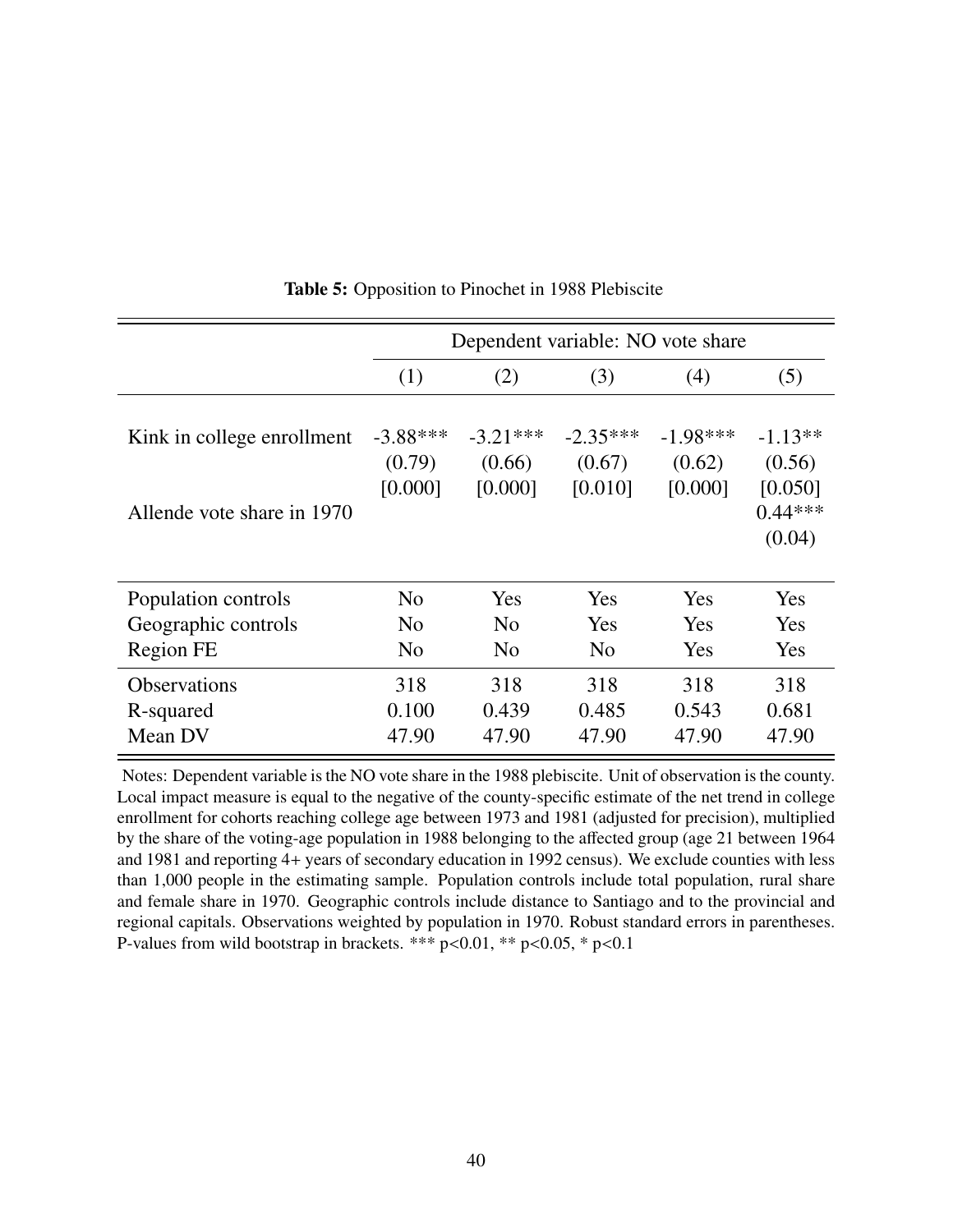|                                                          | Dependent variable: NO vote share |                                 |                                 |                                 |                                                       |  |  |
|----------------------------------------------------------|-----------------------------------|---------------------------------|---------------------------------|---------------------------------|-------------------------------------------------------|--|--|
|                                                          | (1)                               | (2)                             | (3)                             | (4)                             | (5)                                                   |  |  |
| Kink in college enrollment<br>Allende vote share in 1970 | $-3.88***$<br>(0.79)<br>[0.000]   | $-3.21***$<br>(0.66)<br>[0.000] | $-2.35***$<br>(0.67)<br>[0.010] | $-1.98***$<br>(0.62)<br>[0.000] | $-1.13**$<br>(0.56)<br>[0.050]<br>$0.44***$<br>(0.04) |  |  |
| Population controls                                      | No                                | Yes                             | <b>Yes</b>                      | Yes                             | Yes                                                   |  |  |
| Geographic controls                                      | No                                | No                              | Yes                             | Yes                             | Yes                                                   |  |  |
| <b>Region FE</b>                                         | No                                | No                              | N <sub>0</sub>                  | Yes                             | Yes                                                   |  |  |
| <b>Observations</b><br>R-squared<br>Mean DV              | 318<br>0.100<br>47.90             | 318<br>0.439<br>47.90           | 318<br>0.485<br>47.90           | 318<br>0.543<br>47.90           | 318<br>0.681<br>47.90                                 |  |  |

Table 5: Opposition to Pinochet in 1988 Plebiscite

Notes: Dependent variable is the NO vote share in the 1988 plebiscite. Unit of observation is the county. Local impact measure is equal to the negative of the county-specific estimate of the net trend in college enrollment for cohorts reaching college age between 1973 and 1981 (adjusted for precision), multiplied by the share of the voting-age population in 1988 belonging to the affected group (age 21 between 1964 and 1981 and reporting 4+ years of secondary education in 1992 census). We exclude counties with less than 1,000 people in the estimating sample. Population controls include total population, rural share and female share in 1970. Geographic controls include distance to Santiago and to the provincial and regional capitals. Observations weighted by population in 1970. Robust standard errors in parentheses. P-values from wild bootstrap in brackets. \*\*\*  $p<0.01$ , \*\*  $p<0.05$ , \*  $p<0.1$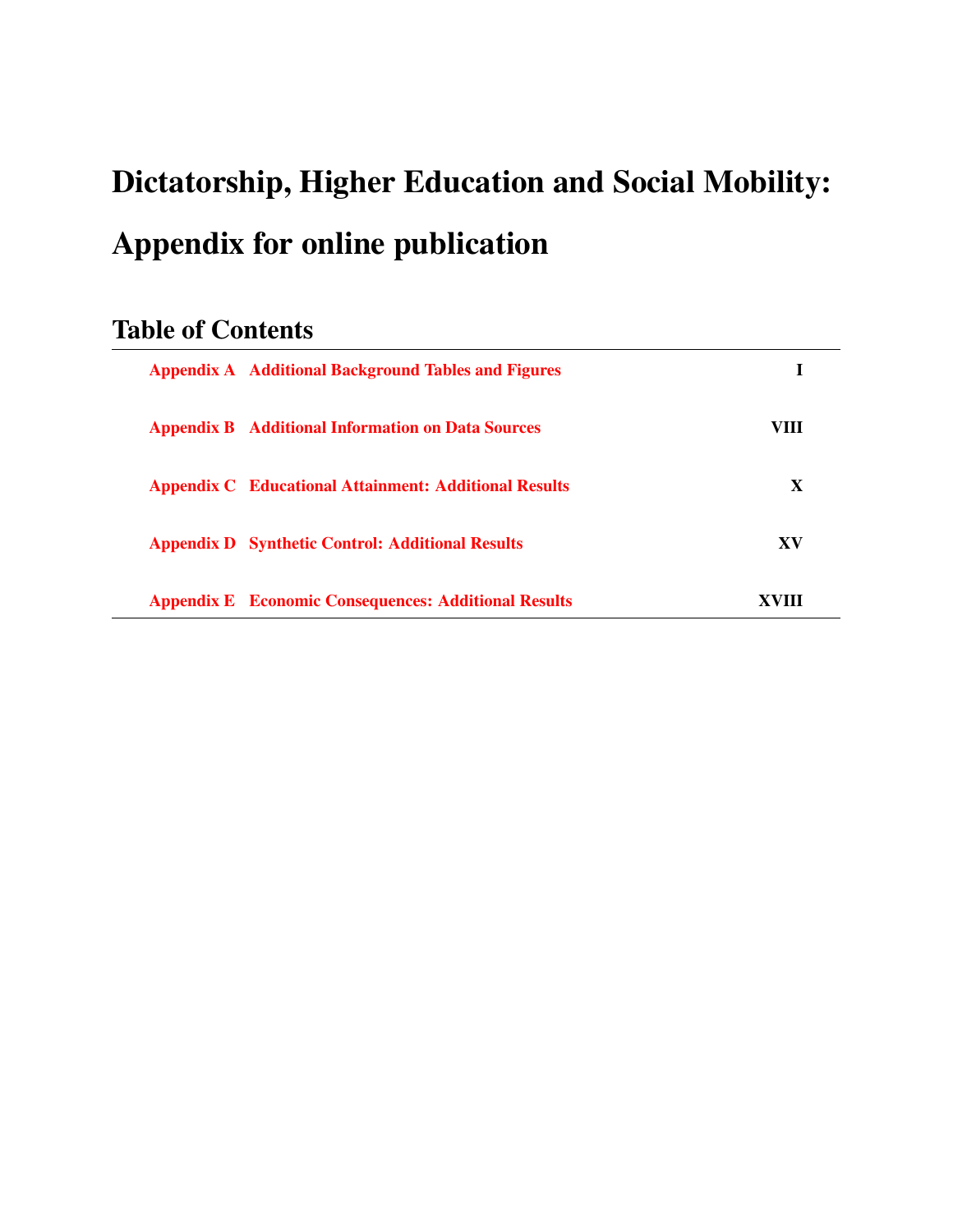# Dictatorship, Higher Education and Social Mobility: Appendix for online publication

## Table of Contents

| <b>Appendix A Additional Background Tables and Figures</b>   |             |  |
|--------------------------------------------------------------|-------------|--|
| <b>Appendix B</b> Additional Information on Data Sources     | VIII        |  |
| <b>Appendix C</b> Educational Attainment: Additional Results | $\mathbf x$ |  |
| <b>Appendix D</b> Synthetic Control: Additional Results      | XV          |  |
| <b>Appendix E</b> Economic Consequences: Additional Results  | XVIII       |  |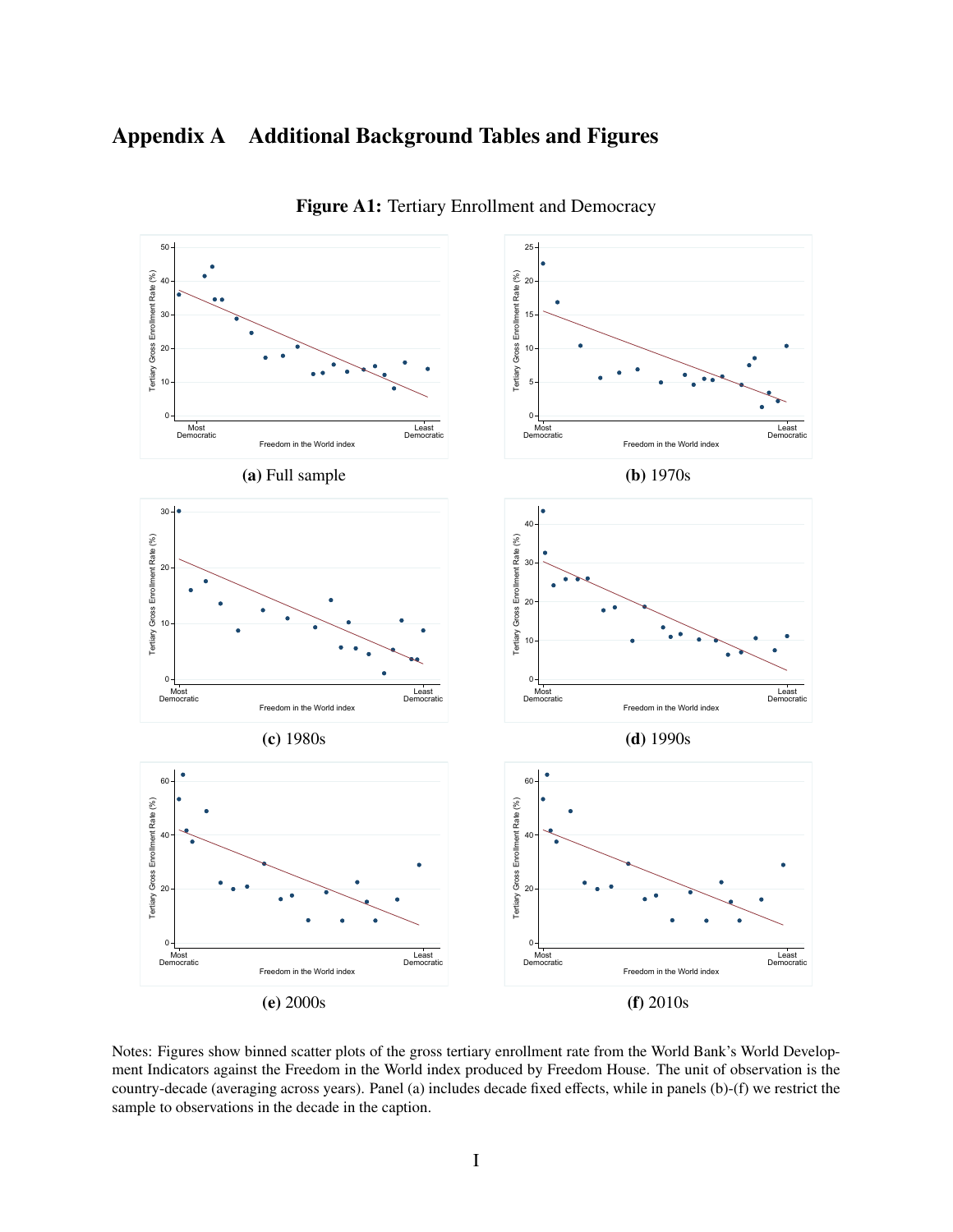## <span id="page-43-0"></span>Appendix A Additional Background Tables and Figures



Figure A1: Tertiary Enrollment and Democracy

Notes: Figures show binned scatter plots of the gross tertiary enrollment rate from the World Bank's World Development Indicators against the Freedom in the World index produced by Freedom House. The unit of observation is the country-decade (averaging across years). Panel (a) includes decade fixed effects, while in panels (b)-(f) we restrict the sample to observations in the decade in the caption.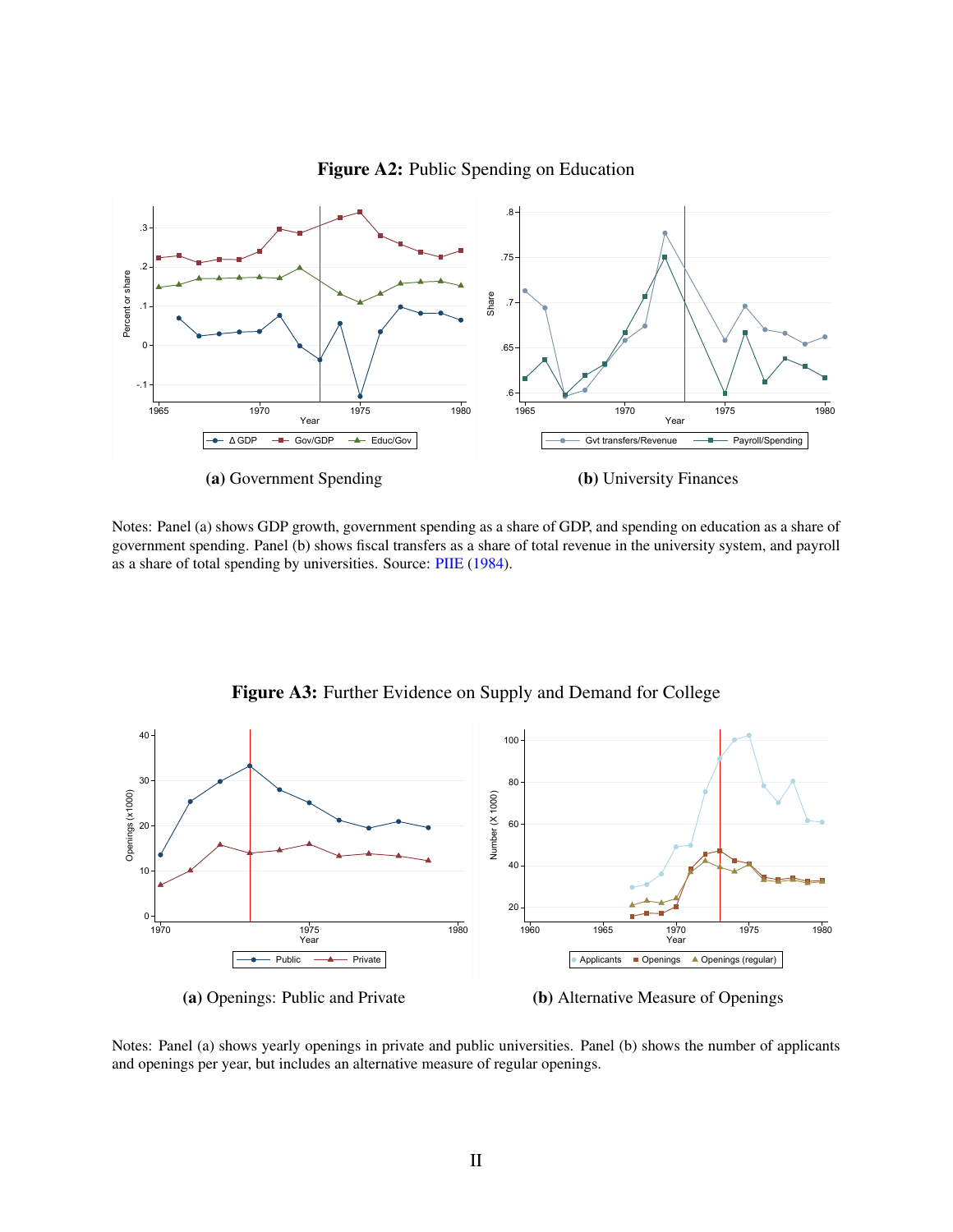

Figure A2: Public Spending on Education

Notes: Panel (a) shows GDP growth, government spending as a share of GDP, and spending on education as a share of government spending. Panel (b) shows fiscal transfers as a share of total revenue in the university system, and payroll as a share of total spending by universities. Source: [PIIE](#page-30-0) [\(1984\)](#page-30-0).



Figure A3: Further Evidence on Supply and Demand for College

Notes: Panel (a) shows yearly openings in private and public universities. Panel (b) shows the number of applicants and openings per year, but includes an alternative measure of regular openings.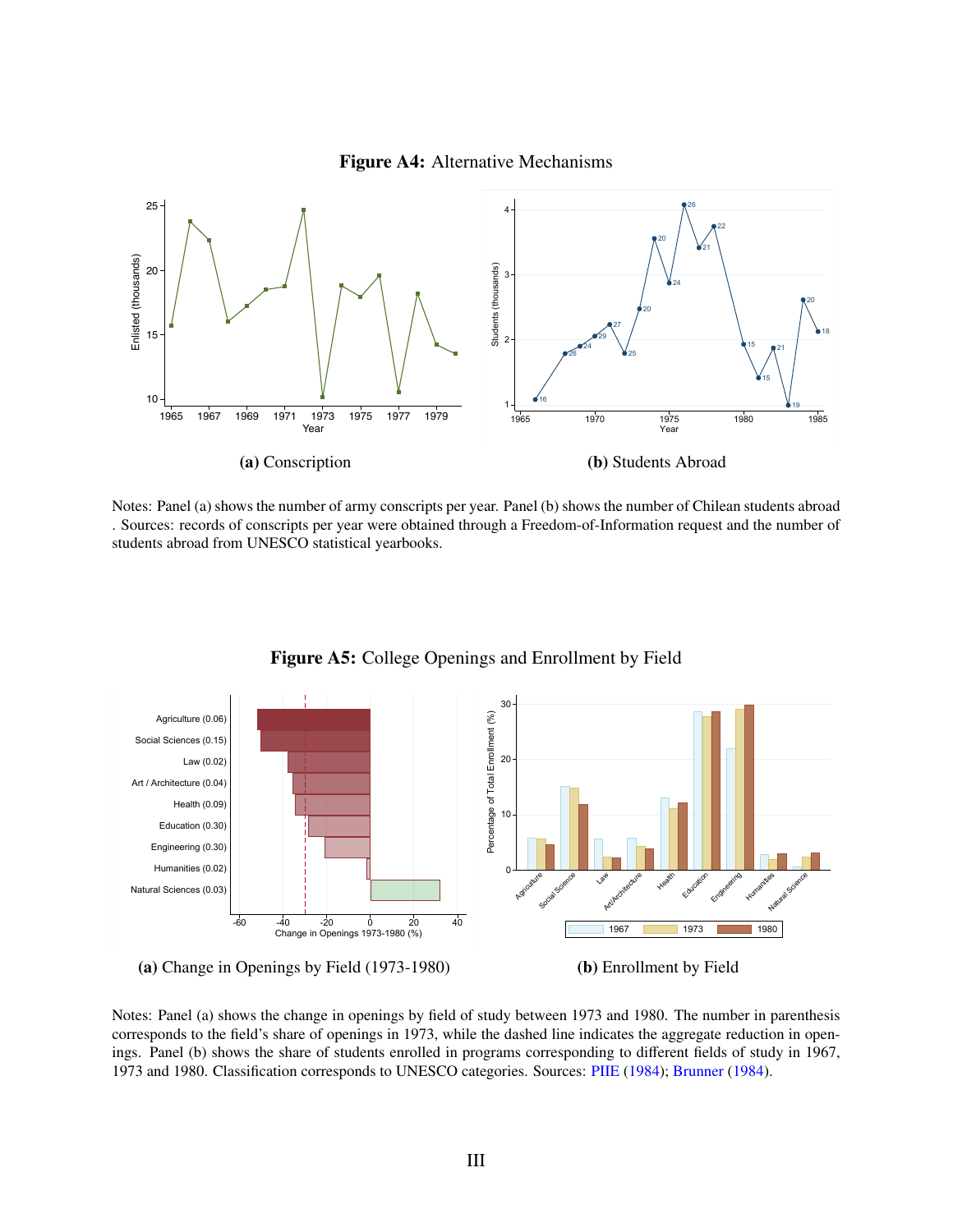



Notes: Panel (a) shows the number of army conscripts per year. Panel (b) shows the number of Chilean students abroad . Sources: records of conscripts per year were obtained through a Freedom-of-Information request and the number of students abroad from UNESCO statistical yearbooks.



Figure A5: College Openings and Enrollment by Field

(a) Change in Openings by Field (1973-1980)

(b) Enrollment by Field

Notes: Panel (a) shows the change in openings by field of study between 1973 and 1980. The number in parenthesis corresponds to the field's share of openings in 1973, while the dashed line indicates the aggregate reduction in openings. Panel (b) shows the share of students enrolled in programs corresponding to different fields of study in 1967, 1973 and 1980. Classification corresponds to UNESCO categories. Sources: [PIIE](#page-30-0) [\(1984\)](#page-30-0); [Brunner](#page-26-0) [\(1984\)](#page-26-0).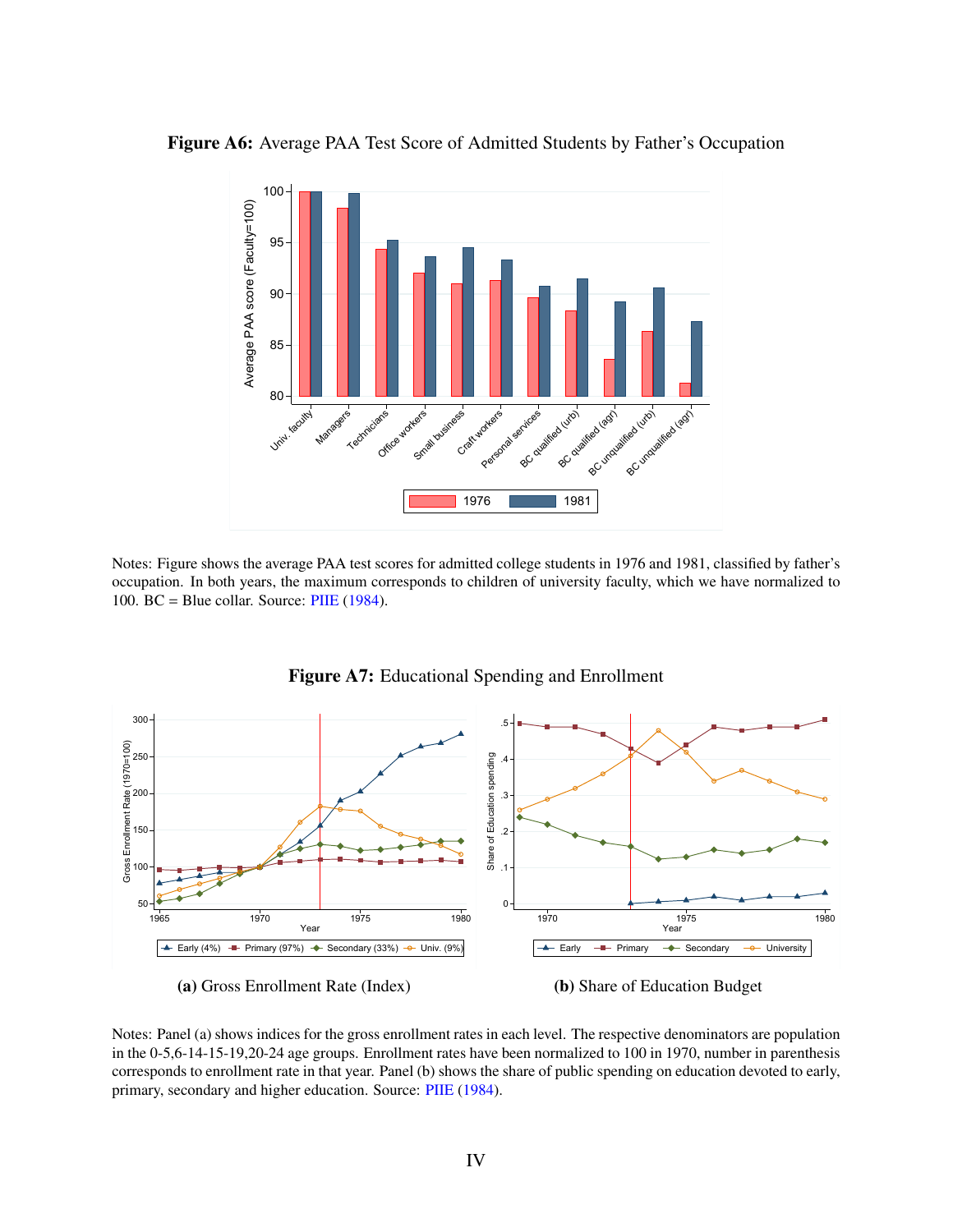



Notes: Figure shows the average PAA test scores for admitted college students in 1976 and 1981, classified by father's occupation. In both years, the maximum corresponds to children of university faculty, which we have normalized to 100. BC = Blue collar. Source:  $PIIE$  [\(1984\)](#page-30-0).



Figure A7: Educational Spending and Enrollment

Notes: Panel (a) shows indices for the gross enrollment rates in each level. The respective denominators are population in the 0-5,6-14-15-19,20-24 age groups. Enrollment rates have been normalized to 100 in 1970, number in parenthesis corresponds to enrollment rate in that year. Panel (b) shows the share of public spending on education devoted to early, primary, secondary and higher education. Source: [PIIE](#page-30-0) [\(1984\)](#page-30-0).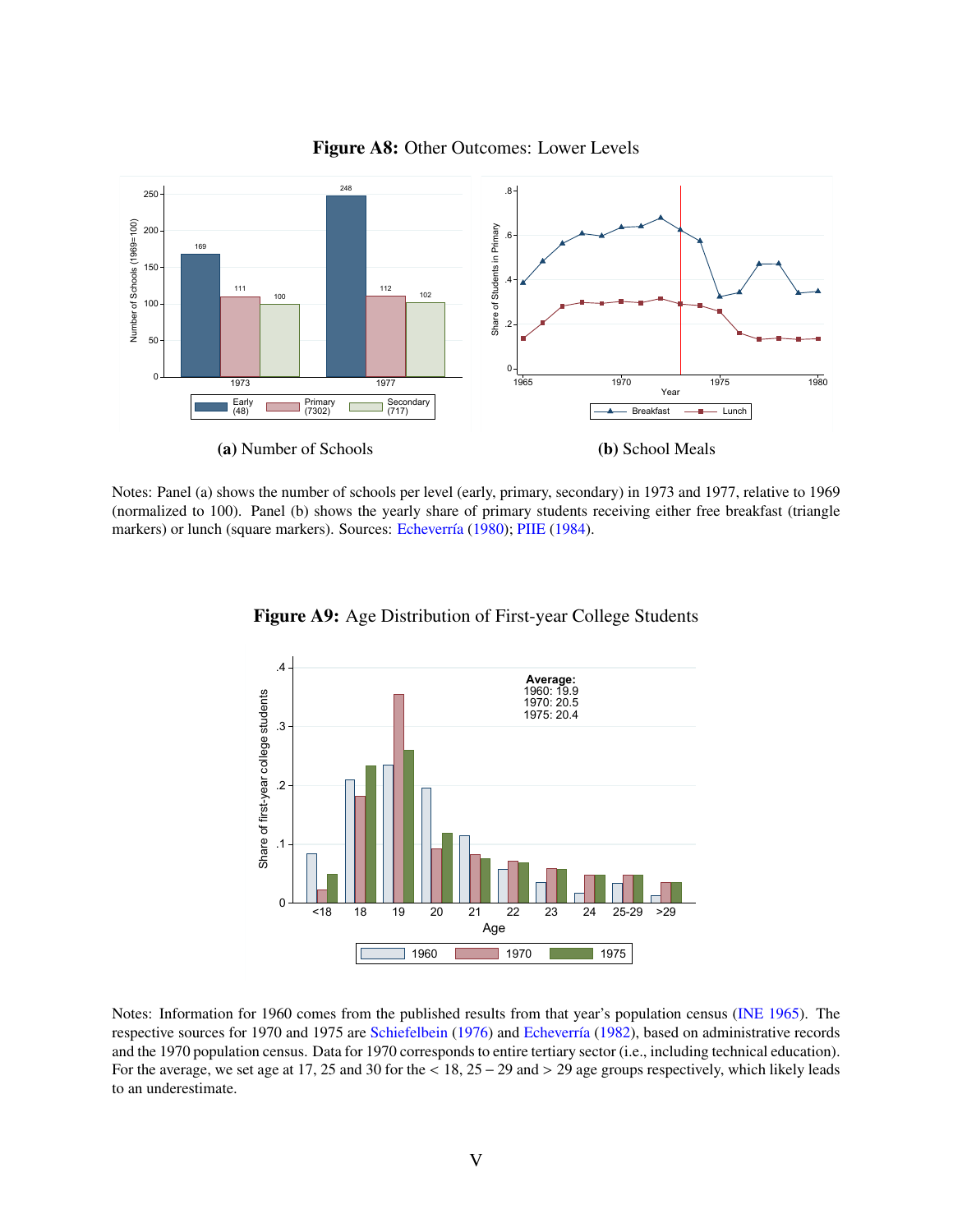

Figure A8: Other Outcomes: Lower Levels

Notes: Panel (a) shows the number of schools per level (early, primary, secondary) in 1973 and 1977, relative to 1969 (normalized to 100). Panel (b) shows the yearly share of primary students receiving either free breakfast (triangle markers) or lunch (square markers). Sources: Echeverría [\(1980\)](#page-27-0); [PIIE](#page-30-0) [\(1984\)](#page-30-0).



Figure A9: Age Distribution of First-year College Students

Notes: Information for 1960 comes from the published results from that year's population census [\(INE](#page-28-0) [1965\)](#page-28-0). The respective sources for 1970 and 1975 are [Schiefelbein](#page-30-1) [\(1976\)](#page-30-1) and Echeverría [\(1982\)](#page-27-1), based on administrative records and the 1970 population census. Data for 1970 corresponds to entire tertiary sector (i.e., including technical education). For the average, we set age at 17, 25 and 30 for the < 18, 25 <sup>−</sup> 29 and > 29 age groups respectively, which likely leads to an underestimate.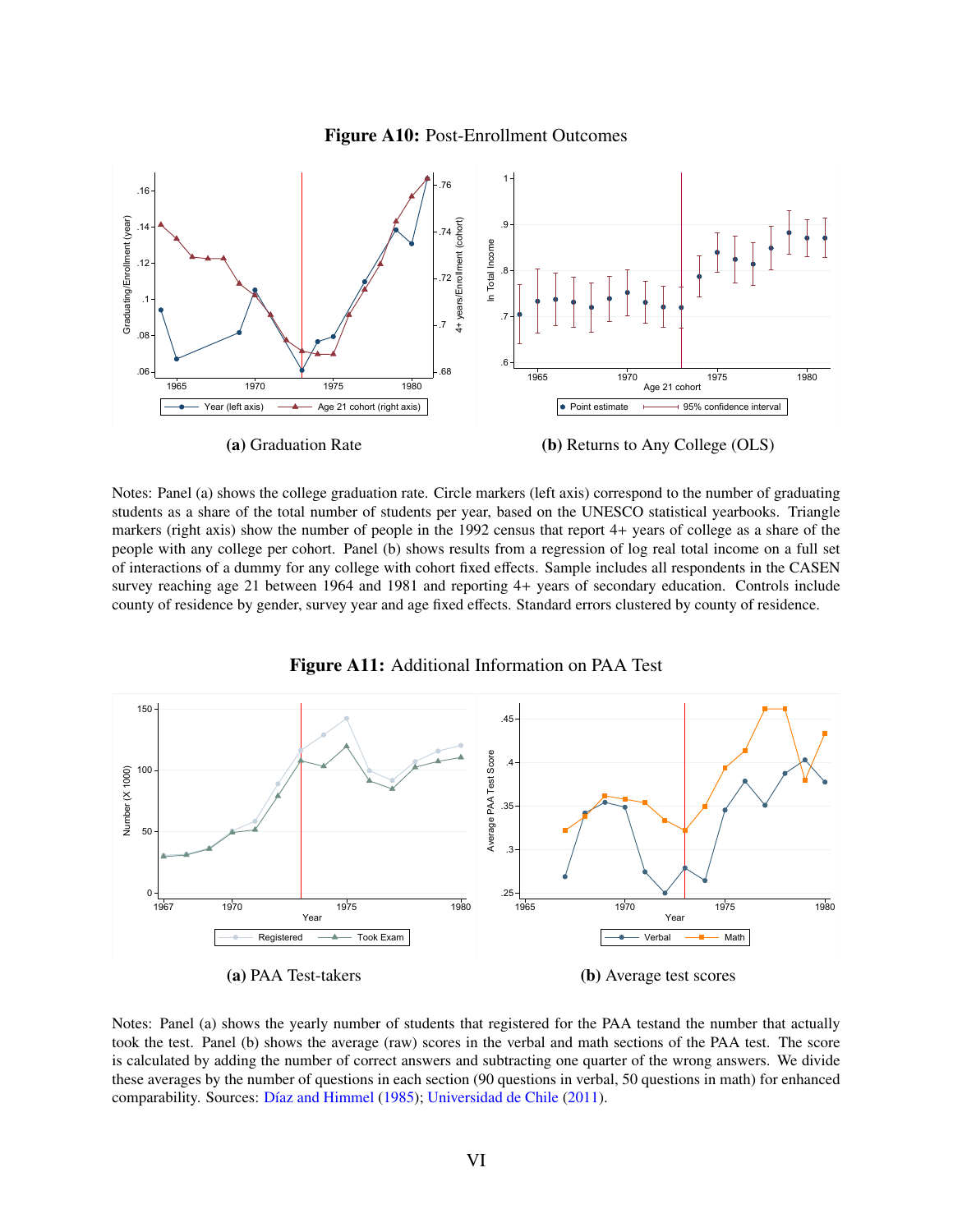



Notes: Panel (a) shows the college graduation rate. Circle markers (left axis) correspond to the number of graduating students as a share of the total number of students per year, based on the UNESCO statistical yearbooks. Triangle markers (right axis) show the number of people in the 1992 census that report 4+ years of college as a share of the people with any college per cohort. Panel (b) shows results from a regression of log real total income on a full set of interactions of a dummy for any college with cohort fixed effects. Sample includes all respondents in the CASEN survey reaching age 21 between 1964 and 1981 and reporting 4+ years of secondary education. Controls include county of residence by gender, survey year and age fixed effects. Standard errors clustered by county of residence.



Figure A11: Additional Information on PAA Test

Notes: Panel (a) shows the yearly number of students that registered for the PAA testand the number that actually took the test. Panel (b) shows the average (raw) scores in the verbal and math sections of the PAA test. The score is calculated by adding the number of correct answers and subtracting one quarter of the wrong answers. We divide these averages by the number of questions in each section (90 questions in verbal, 50 questions in math) for enhanced comparability. Sources: Díaz and Himmel [\(1985\)](#page-27-2); [Universidad de Chile](#page-31-0) [\(2011\)](#page-31-0).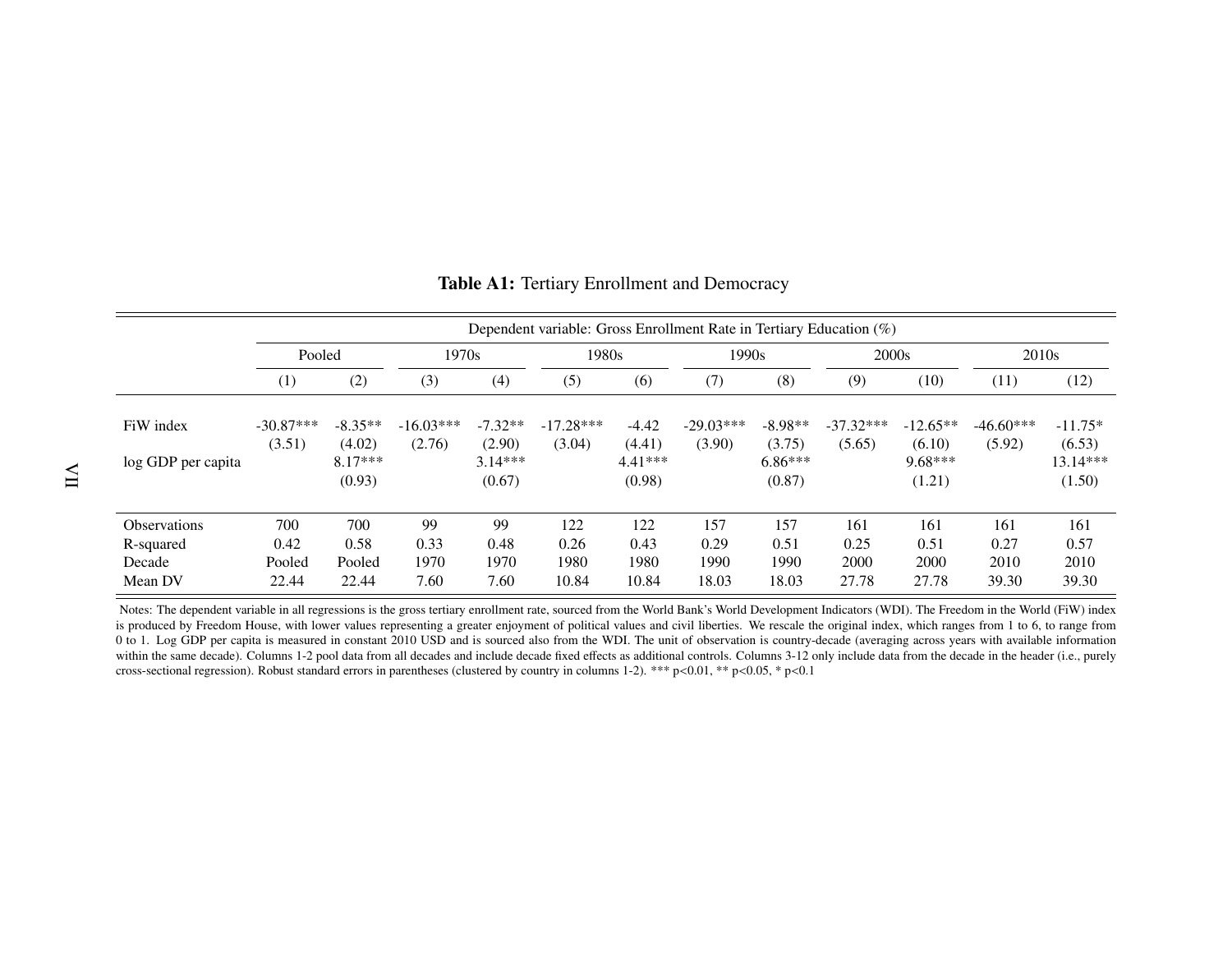|                                 |                       | Dependent variable: Gross Enrollment Rate in Tertiary Education (%) |                       |                                  |                       |                                |                       |                                  |                       |                                   |                       |                                   |
|---------------------------------|-----------------------|---------------------------------------------------------------------|-----------------------|----------------------------------|-----------------------|--------------------------------|-----------------------|----------------------------------|-----------------------|-----------------------------------|-----------------------|-----------------------------------|
|                                 | Pooled                |                                                                     | 1970s                 |                                  |                       | 1990s<br>1980s                 |                       | 2000s                            |                       | 2010 <sub>s</sub>                 |                       |                                   |
|                                 | (1)                   | (2)                                                                 | (3)                   | (4)                              | (5)                   | (6)                            | (7)                   | (8)                              | (9)                   | (10)                              | (11)                  | (12)                              |
| FiW index<br>log GDP per capita | $-30.87***$<br>(3.51) | $-8.35**$<br>(4.02)<br>$8.17***$                                    | $-16.03***$<br>(2.76) | $-7.32**$<br>(2.90)<br>$3.14***$ | $-17.28***$<br>(3.04) | $-4.42$<br>(4.41)<br>$4.41***$ | $-29.03***$<br>(3.90) | $-8.98**$<br>(3.75)<br>$6.86***$ | $-37.32***$<br>(5.65) | $-12.65**$<br>(6.10)<br>$9.68***$ | $-46.60***$<br>(5.92) | $-11.75*$<br>(6.53)<br>$13.14***$ |
|                                 |                       | (0.93)                                                              |                       | (0.67)                           |                       | (0.98)                         |                       | (0.87)                           |                       | (1.21)                            |                       | (1.50)                            |
| <b>Observations</b>             | 700                   | 700                                                                 | 99                    | 99                               | 122                   | 122                            | 157                   | 157                              | 161                   | 161                               | 161                   | 161                               |
| R-squared                       | 0.42                  | 0.58                                                                | 0.33                  | 0.48                             | 0.26                  | 0.43                           | 0.29                  | 0.51                             | 0.25                  | 0.51                              | 0.27                  | 0.57                              |
| Decade                          | Pooled                | Pooled                                                              | 1970                  | 1970                             | 1980                  | 1980                           | 1990                  | 1990                             | 2000                  | 2000                              | 2010                  | 2010                              |
| Mean DV                         | 22.44                 | 22.44                                                               | 7.60                  | 7.60                             | 10.84                 | 10.84                          | 18.03                 | 18.03                            | 27.78                 | 27.78                             | 39.30                 | 39.30                             |

#### Table A1: Tertiary Enrollment and Democracy

Notes: The dependent variable in all regressions is the gross tertiary enrollment rate, sourced from the World Bank's World Development Indicators (WDI). The Freedom in the World (FiW) index is produced by Freedom House, with lower values representing <sup>a</sup> greater enjoyment of political values and civil liberties. We rescale the original index, which ranges from 1 to 6, to range from0 to 1. Log GDP per capita is measured in constant 2010 USD and is sourced also from the WDI. The unit of observation is country-decade (averaging across years with available information within the same decade). Columns 1-2 pool data from all decades and include decade fixed effects as additional controls. Columns 3-12 only include data from the decade in the header (i.e., purely cross-sectional regression). Robust standard errors in parentheses (clustered by country in columns 1-2). \*\*\* p<0.01, \*\* p<0.05, \* p<0.1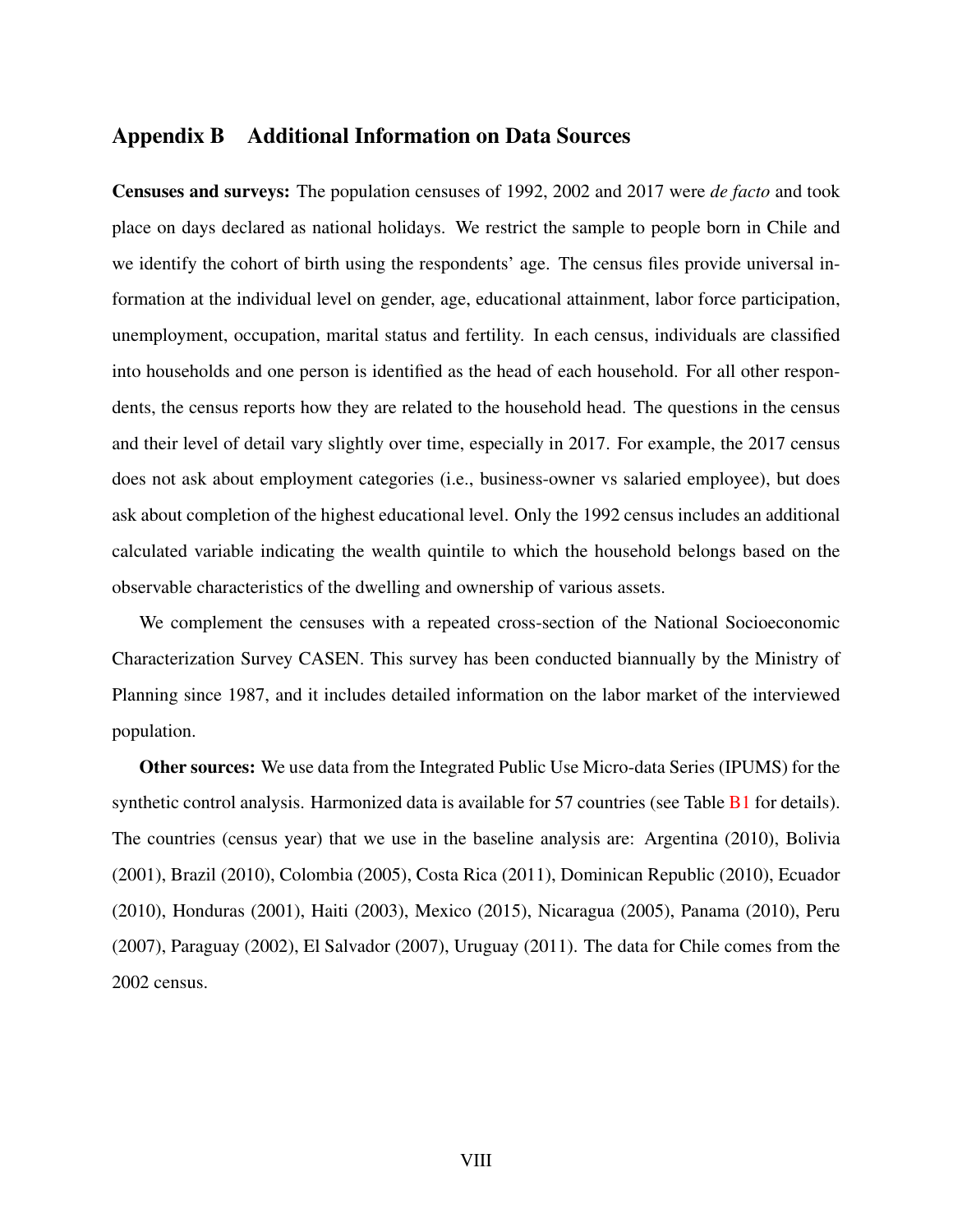#### <span id="page-50-0"></span>Appendix B Additional Information on Data Sources

Censuses and surveys: The population censuses of 1992, 2002 and 2017 were *de facto* and took place on days declared as national holidays. We restrict the sample to people born in Chile and we identify the cohort of birth using the respondents' age. The census files provide universal information at the individual level on gender, age, educational attainment, labor force participation, unemployment, occupation, marital status and fertility. In each census, individuals are classified into households and one person is identified as the head of each household. For all other respondents, the census reports how they are related to the household head. The questions in the census and their level of detail vary slightly over time, especially in 2017. For example, the 2017 census does not ask about employment categories (i.e., business-owner vs salaried employee), but does ask about completion of the highest educational level. Only the 1992 census includes an additional calculated variable indicating the wealth quintile to which the household belongs based on the observable characteristics of the dwelling and ownership of various assets.

We complement the censuses with a repeated cross-section of the National Socioeconomic Characterization Survey CASEN. This survey has been conducted biannually by the Ministry of Planning since 1987, and it includes detailed information on the labor market of the interviewed population.

Other sources: We use data from the Integrated Public Use Micro-data Series (IPUMS) for the synthetic control analysis. Harmonized data is available for 57 countries (see Table  $B1$  for details). The countries (census year) that we use in the baseline analysis are: Argentina (2010), Bolivia (2001), Brazil (2010), Colombia (2005), Costa Rica (2011), Dominican Republic (2010), Ecuador (2010), Honduras (2001), Haiti (2003), Mexico (2015), Nicaragua (2005), Panama (2010), Peru (2007), Paraguay (2002), El Salvador (2007), Uruguay (2011). The data for Chile comes from the 2002 census.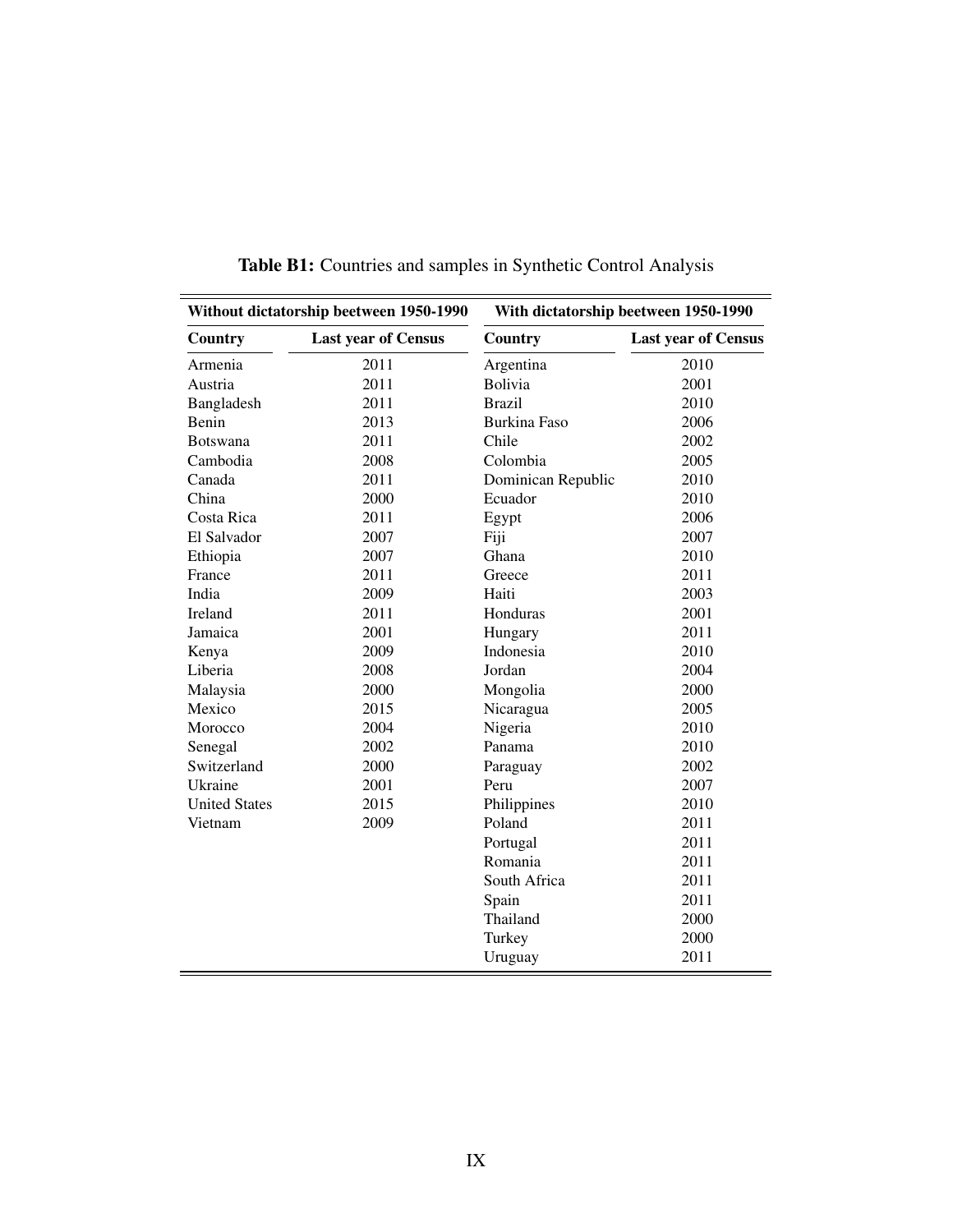<span id="page-51-0"></span>

|                      | Without dictatorship beetween 1950-1990 |                     | With dictatorship beetween 1950-1990 |
|----------------------|-----------------------------------------|---------------------|--------------------------------------|
| Country              | <b>Last year of Census</b>              | Country             | <b>Last year of Census</b>           |
| Armenia              | 2011                                    | Argentina           | 2010                                 |
| Austria              | 2011                                    | <b>Bolivia</b>      | 2001                                 |
| Bangladesh           | 2011                                    | <b>Brazil</b>       | 2010                                 |
| Benin                | 2013                                    | <b>Burkina Faso</b> | 2006                                 |
| <b>Botswana</b>      | 2011                                    | Chile               | 2002                                 |
| Cambodia             | 2008                                    | Colombia            | 2005                                 |
| Canada               | 2011                                    | Dominican Republic  | 2010                                 |
| China                | 2000                                    | Ecuador             | 2010                                 |
| Costa Rica           | 2011                                    | Egypt               | 2006                                 |
| El Salvador          | 2007                                    | Fiji                | 2007                                 |
| Ethiopia             | 2007                                    | Ghana               | 2010                                 |
| France               | 2011                                    | Greece              | 2011                                 |
| India                | 2009                                    | Haiti               | 2003                                 |
| Ireland              | 2011                                    | Honduras            | 2001                                 |
| Jamaica              | 2001                                    | Hungary             | 2011                                 |
| Kenya                | 2009                                    | Indonesia           | 2010                                 |
| Liberia              | 2008                                    | Jordan              | 2004                                 |
| Malaysia             | 2000                                    | Mongolia            | 2000                                 |
| Mexico               | 2015                                    | Nicaragua           | 2005                                 |
| Morocco              | 2004                                    | Nigeria             | 2010                                 |
| Senegal              | 2002                                    | Panama              | 2010                                 |
| Switzerland          | 2000                                    | Paraguay            | 2002                                 |
| Ukraine              | 2001                                    | Peru                | 2007                                 |
| <b>United States</b> | 2015                                    | Philippines         | 2010                                 |
| Vietnam              | 2009                                    | Poland              | 2011                                 |
|                      |                                         | Portugal            | 2011                                 |
|                      |                                         | Romania             | 2011                                 |
|                      |                                         | South Africa        | 2011                                 |
|                      |                                         | Spain               | 2011                                 |
|                      |                                         | Thailand            | 2000                                 |
|                      |                                         | Turkey              | 2000                                 |
|                      |                                         | Uruguay             | 2011                                 |

Table B1: Countries and samples in Synthetic Control Analysis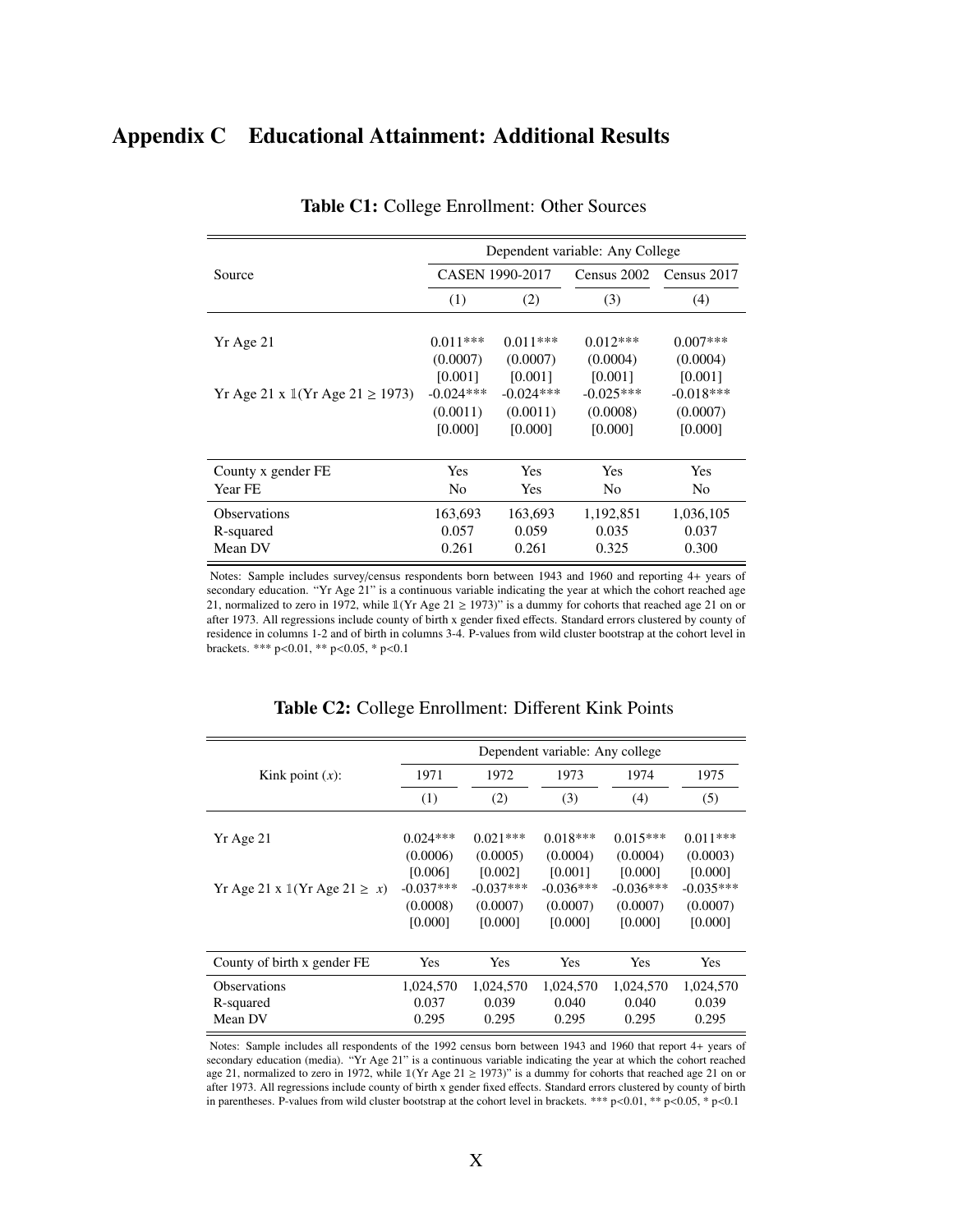## <span id="page-52-0"></span>Appendix C Educational Attainment: Additional Results

|                                                       | Dependent variable: Any College |                           |                             |                             |  |  |  |  |
|-------------------------------------------------------|---------------------------------|---------------------------|-----------------------------|-----------------------------|--|--|--|--|
| Source                                                |                                 | CASEN 1990-2017           | Census 2002                 | Census 2017                 |  |  |  |  |
|                                                       | (1)                             | (2)                       | (3)                         | (4)                         |  |  |  |  |
| Yr Age 21                                             | $0.011***$<br>(0.0007)          | $0.011***$<br>(0.0007)    | $0.012***$<br>(0.0004)      | $0.007***$<br>(0.0004)      |  |  |  |  |
| Yr Age 21 x $\mathbb{I}(Yr \text{ Age } 21 \ge 1973)$ | [0.001]<br>$-0.024***$          | [0.001]<br>$-0.024***$    | [0.001]<br>$-0.025***$      | [0.001]<br>$-0.018***$      |  |  |  |  |
|                                                       | (0.0011)<br>[0.000]             | (0.0011)<br>[0.000]       | (0.0008)<br>[0.000]         | (0.0007)<br>[0.000]         |  |  |  |  |
| County x gender FE                                    | Yes                             | <b>Yes</b>                | Yes                         | Yes                         |  |  |  |  |
| Year FE                                               | N <sub>0</sub>                  | Yes                       | No                          | N <sub>0</sub>              |  |  |  |  |
| <b>Observations</b><br>R-squared<br>Mean DV           | 163,693<br>0.057<br>0.261       | 163,693<br>0.059<br>0.261 | 1,192,851<br>0.035<br>0.325 | 1,036,105<br>0.037<br>0.300 |  |  |  |  |

Table C1: College Enrollment: Other Sources

Notes: Sample includes survey/census respondents born between 1943 and 1960 and reporting 4+ years of secondary education. "Yr Age 21" is a continuous variable indicating the year at which the cohort reached age 21, normalized to zero in 1972, while  $1(Yr Age 21 \ge 1973)$ " is a dummy for cohorts that reached age 21 on or after 1973. All regressions include county of birth x gender fixed effects. Standard errors clustered by county of residence in columns 1-2 and of birth in columns 3-4. P-values from wild cluster bootstrap at the cohort level in brackets. \*\*\* p<0.01, \*\* p<0.05, \* p<0.1

|                                                     |             |             | Dependent variable: Any college |             |             |
|-----------------------------------------------------|-------------|-------------|---------------------------------|-------------|-------------|
| Kink point $(x)$ :                                  | 1971        | 1972        | 1973                            | 1974        | 1975        |
|                                                     | (1)         | (2)         | (3)                             | (4)         | (5)         |
|                                                     |             |             |                                 |             |             |
| Yr Age 21                                           | $0.024***$  | $0.021***$  | $0.018***$                      | $0.015***$  | $0.011***$  |
|                                                     | (0.0006)    | (0.0005)    | (0.0004)                        | (0.0004)    | (0.0003)    |
|                                                     | [0.006]     | [0.002]     | [0.001]                         | [0.000]     | [0.000]     |
| Yr Age 21 x $\mathbb{I}(Yr \text{ Age } 21 \geq x)$ | $-0.037***$ | $-0.037***$ | $-0.036***$                     | $-0.036***$ | $-0.035***$ |
|                                                     | (0.0008)    | (0.0007)    | (0.0007)                        | (0.0007)    | (0.0007)    |
|                                                     | [0.000]     | [0.000]     | [0.000]                         | [0.000]     | [0.000]     |
|                                                     |             |             |                                 |             |             |
| County of birth x gender FE                         | Yes         | Yes         | Yes                             | Yes         | Yes         |
| <b>Observations</b>                                 | 1,024,570   | 1,024,570   | 1,024,570                       | 1,024,570   | 1,024,570   |
| R-squared                                           | 0.037       | 0.039       | 0.040                           | 0.040       | 0.039       |
| Mean DV                                             | 0.295       | 0.295       | 0.295                           | 0.295       | 0.295       |

#### Table C2: College Enrollment: Different Kink Points

Notes: Sample includes all respondents of the 1992 census born between 1943 and 1960 that report 4+ years of secondary education (media). "Yr Age 21" is a continuous variable indicating the year at which the cohort reached age 21, normalized to zero in 1972, while  $1(Yr \text{ Age } 21 \ge 1973)$ " is a dummy for cohorts that reached age 21 on or after 1973. All regressions include county of birth x gender fixed effects. Standard errors clustered by county of birth in parentheses. P-values from wild cluster bootstrap at the cohort level in brackets. \*\*\* p<0.01, \*\* p<0.05, \* p<0.1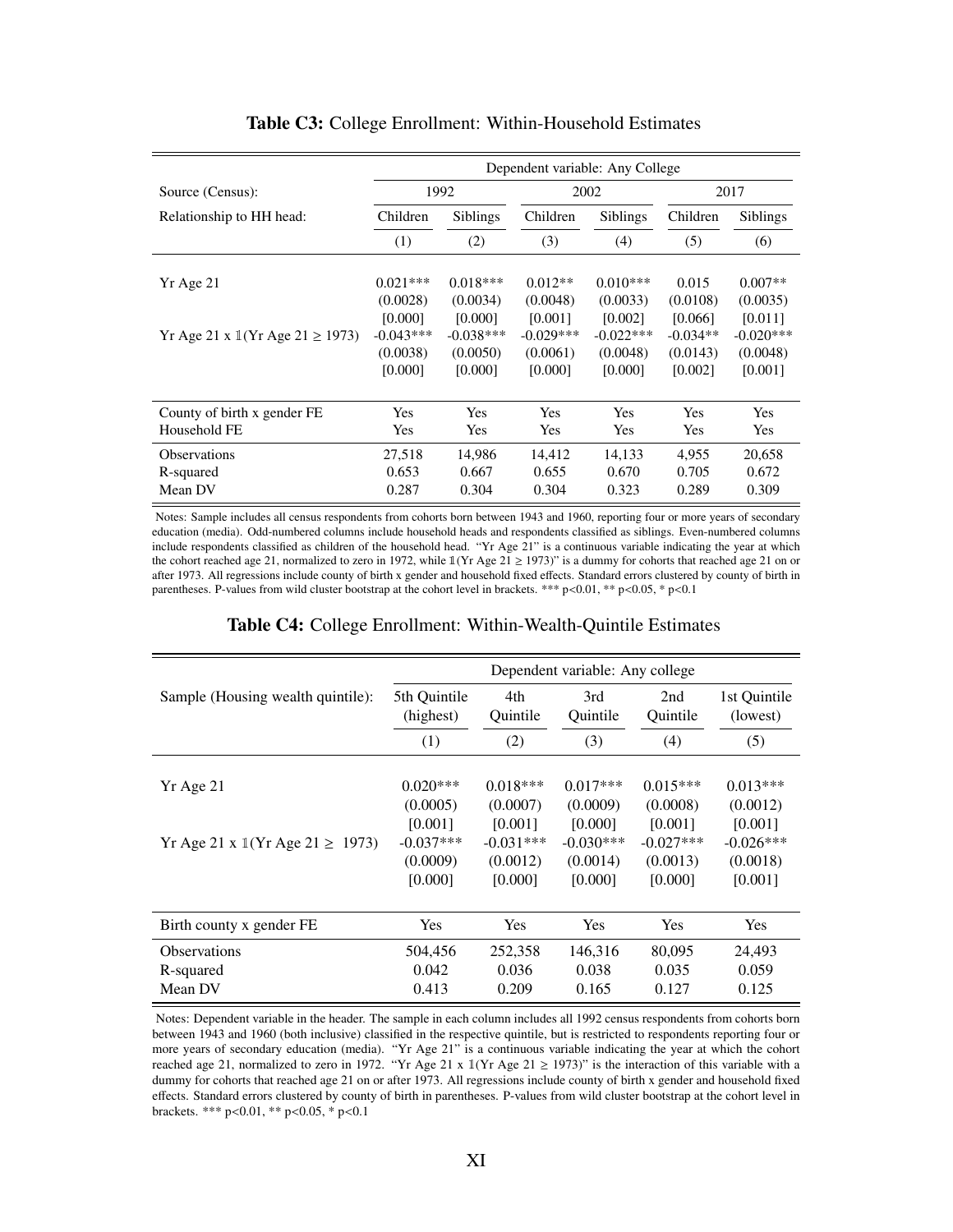|                                                        | Dependent variable: Any College |                 |             |                 |            |                 |  |
|--------------------------------------------------------|---------------------------------|-----------------|-------------|-----------------|------------|-----------------|--|
| Source (Census):                                       |                                 | 1992            |             | 2002            |            | 2017            |  |
| Relationship to HH head:                               | Children                        | <b>Siblings</b> |             | <b>Siblings</b> | Children   | <b>Siblings</b> |  |
|                                                        | (1)                             | (2)             | (3)         | (4)             | (5)        | (6)             |  |
|                                                        |                                 |                 |             |                 |            |                 |  |
| Yr Age 21                                              | $0.021***$                      | $0.018***$      | $0.012**$   | $0.010***$      | 0.015      | $0.007**$       |  |
|                                                        | (0.0028)                        | (0.0034)        | (0.0048)    | (0.0033)        | (0.0108)   | (0.0035)        |  |
|                                                        | [0.000]                         | [0.000]         | [0.001]     | [0.002]         | [0.066]    | [0.011]         |  |
| Yr Age 21 x $\mathbb{I}(Yr \text{ Age } 21 \geq 1973)$ | $-0.043***$                     | $-0.038***$     | $-0.029***$ | $-0.022***$     | $-0.034**$ | $-0.020***$     |  |
|                                                        | (0.0038)                        | (0.0050)        | (0.0061)    | (0.0048)        | (0.0143)   | (0.0048)        |  |
|                                                        | [0.000]                         | [0.000]         | [0.000]     | [0.000]         | [0.002]    | [0.001]         |  |
|                                                        |                                 |                 |             |                 |            |                 |  |
| County of birth x gender FE                            | Yes                             | <b>Yes</b>      | Yes         | <b>Yes</b>      | <b>Yes</b> | <b>Yes</b>      |  |
| Household FE                                           | <b>Yes</b>                      | <b>Yes</b>      | <b>Yes</b>  | <b>Yes</b>      | <b>Yes</b> | <b>Yes</b>      |  |
| <b>Observations</b>                                    | 27.518                          | 14.986          | 14.412      | 14.133          | 4.955      | 20,658          |  |
| R-squared                                              | 0.653                           | 0.667           | 0.655       | 0.670           | 0.705      | 0.672           |  |
| Mean DV                                                | 0.287                           | 0.304           | 0.304       | 0.323           | 0.289      | 0.309           |  |

#### Table C3: College Enrollment: Within-Household Estimates

Notes: Sample includes all census respondents from cohorts born between 1943 and 1960, reporting four or more years of secondary education (media). Odd-numbered columns include household heads and respondents classified as siblings. Even-numbered columns include respondents classified as children of the household head. "Yr Age 21" is a continuous variable indicating the year at which the cohort reached age 21, normalized to zero in 1972, while  $1(Yr Age 21 \ge 1973)$ " is a dummy for cohorts that reached age 21 on or after 1973. All regressions include county of birth x gender and household fixed effects. Standard errors clustered by county of birth in parentheses. P-values from wild cluster bootstrap at the cohort level in brackets. \*\*\* p<0.01, \*\* p<0.05, \* p<0.1

#### Table C4: College Enrollment: Within-Wealth-Quintile Estimates

|                                                        |                           |                 | Dependent variable: Any college |                 |                          |
|--------------------------------------------------------|---------------------------|-----------------|---------------------------------|-----------------|--------------------------|
| Sample (Housing wealth quintile):                      | 5th Quintile<br>(highest) | 4th<br>Quintile | 3rd<br>Ouintile                 | 2nd<br>Quintile | 1st Quintile<br>(lowest) |
|                                                        | (1)                       | (2)             | (3)                             | (4)             | (5)                      |
|                                                        |                           |                 |                                 |                 |                          |
| Yr Age 21                                              | $0.020***$                | $0.018***$      | $0.017***$                      | $0.015***$      | $0.013***$               |
|                                                        | (0.0005)                  | (0.0007)        | (0.0009)                        | (0.0008)        | (0.0012)                 |
|                                                        | [0.001]                   | [0.001]         | [0.000]                         | [0.001]         | [0.001]                  |
| Yr Age 21 x $\mathbb{I}(Yr \text{ Age } 21 \geq 1973)$ | $-0.037***$               | $-0.031***$     | $-0.030***$                     | $-0.027***$     | $-0.026***$              |
|                                                        | (0.0009)                  | (0.0012)        | (0.0014)                        | (0.0013)        | (0.0018)                 |
|                                                        | [0.000]                   | [0.000]         | [0.000]                         | [0.000]         | [0.001]                  |
|                                                        |                           |                 |                                 |                 |                          |
| Birth county x gender FE                               | Yes                       | Yes             | Yes                             | Yes             | Yes                      |
| <b>Observations</b>                                    | 504,456                   | 252,358         | 146,316                         | 80,095          | 24,493                   |
| R-squared                                              | 0.042                     | 0.036           | 0.038                           | 0.035           | 0.059                    |
| Mean DV                                                | 0.413                     | 0.209           | 0.165                           | 0.127           | 0.125                    |

Notes: Dependent variable in the header. The sample in each column includes all 1992 census respondents from cohorts born between 1943 and 1960 (both inclusive) classified in the respective quintile, but is restricted to respondents reporting four or more years of secondary education (media). "Yr Age 21" is a continuous variable indicating the year at which the cohort reached age 21, normalized to zero in 1972. "Yr Age 21 x 1(Yr Age 21  $\ge$  1973)" is the interaction of this variable with a dummy for cohorts that reached age 21 on or after 1973. All regressions include county of birth x gender and household fixed effects. Standard errors clustered by county of birth in parentheses. P-values from wild cluster bootstrap at the cohort level in brackets. \*\*\* p<0.01, \*\* p<0.05, \* p<0.1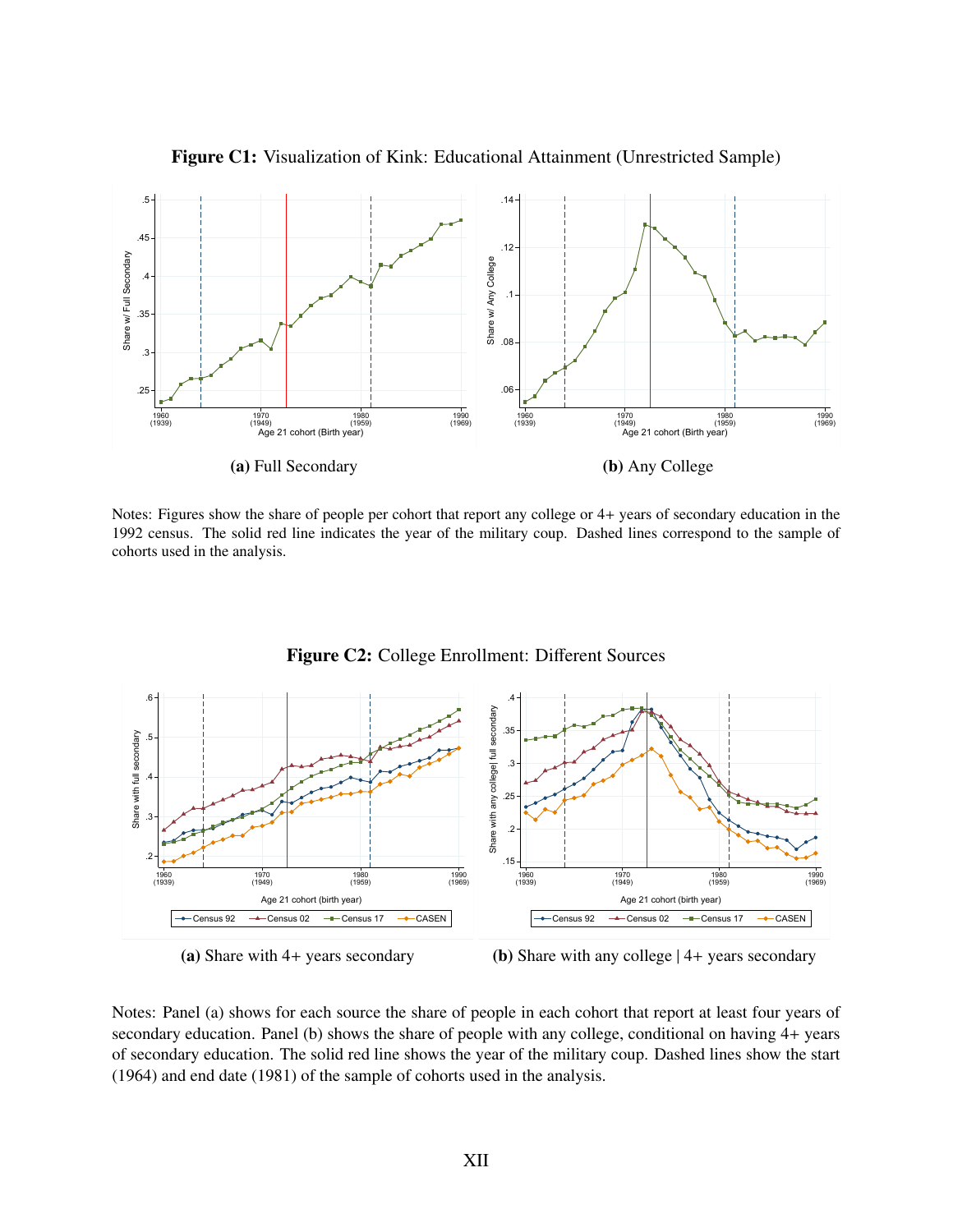

Figure C1: Visualization of Kink: Educational Attainment (Unrestricted Sample)

Notes: Figures show the share of people per cohort that report any college or 4+ years of secondary education in the 1992 census. The solid red line indicates the year of the military coup. Dashed lines correspond to the sample of cohorts used in the analysis.



Figure C2: College Enrollment: Different Sources



(b) Share with any college | 4+ years secondary

Notes: Panel (a) shows for each source the share of people in each cohort that report at least four years of secondary education. Panel (b) shows the share of people with any college, conditional on having 4+ years of secondary education. The solid red line shows the year of the military coup. Dashed lines show the start (1964) and end date (1981) of the sample of cohorts used in the analysis.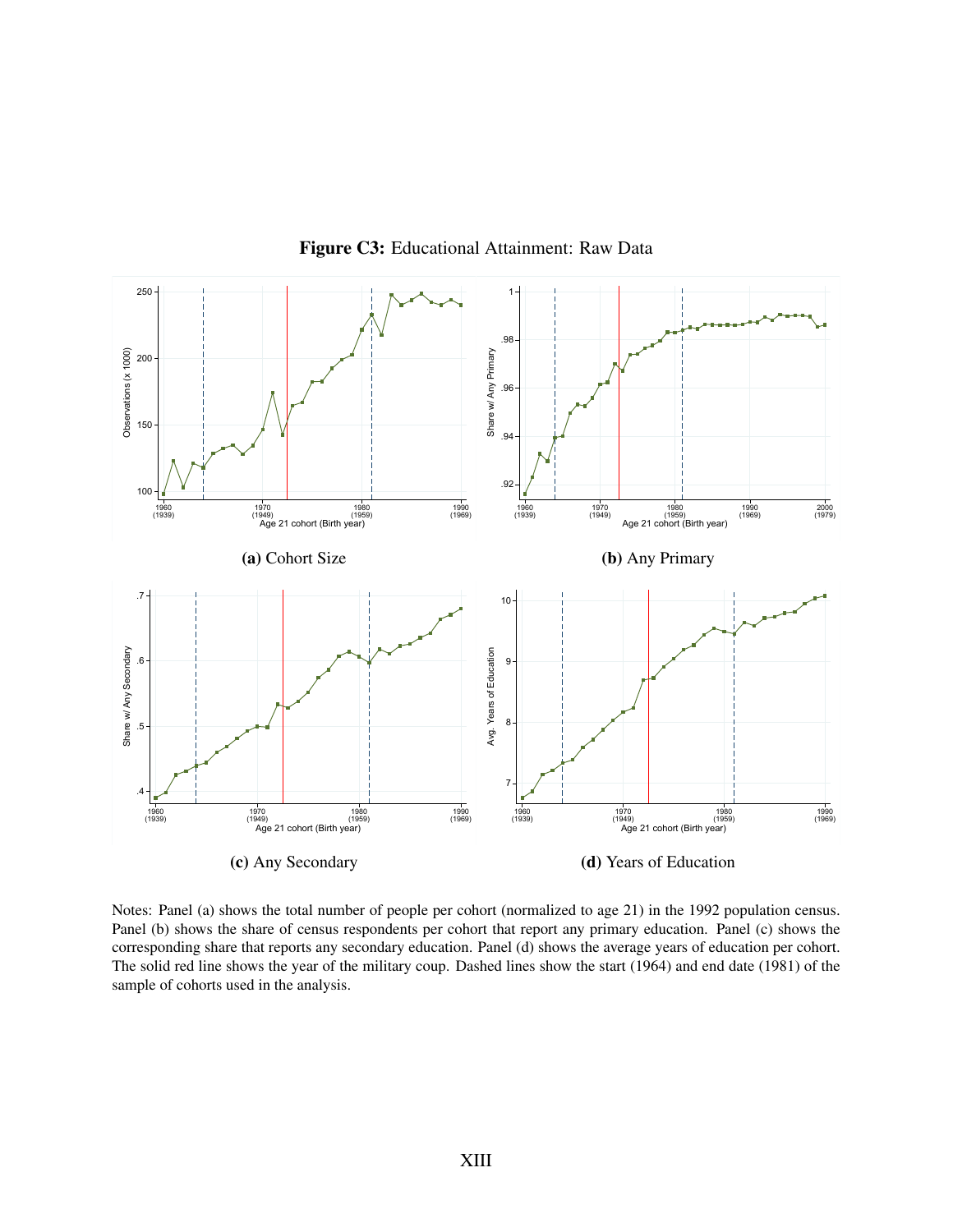

Figure C3: Educational Attainment: Raw Data

Notes: Panel (a) shows the total number of people per cohort (normalized to age 21) in the 1992 population census. Panel (b) shows the share of census respondents per cohort that report any primary education. Panel (c) shows the corresponding share that reports any secondary education. Panel (d) shows the average years of education per cohort. The solid red line shows the year of the military coup. Dashed lines show the start (1964) and end date (1981) of the sample of cohorts used in the analysis.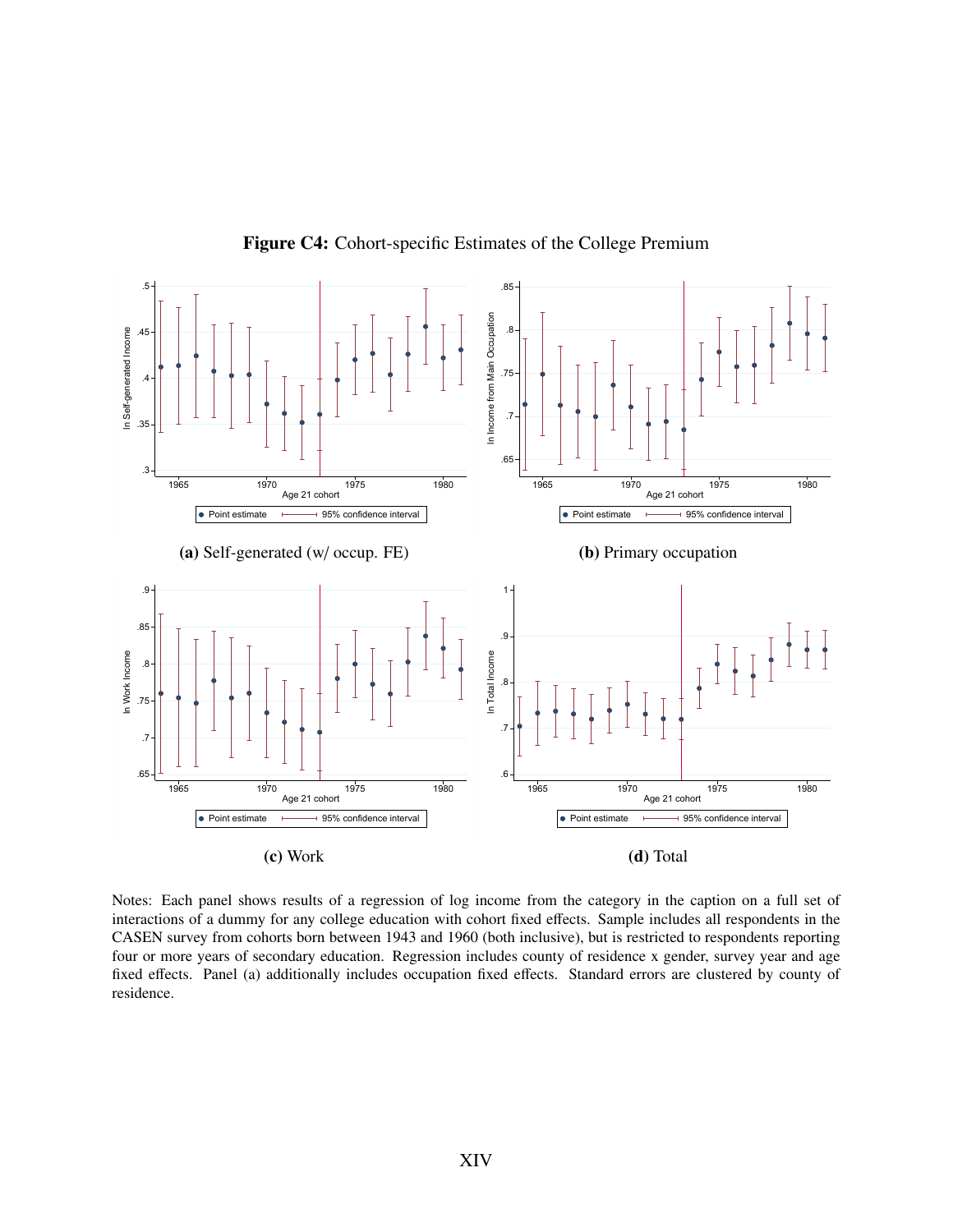

Figure C4: Cohort-specific Estimates of the College Premium

Notes: Each panel shows results of a regression of log income from the category in the caption on a full set of interactions of a dummy for any college education with cohort fixed effects. Sample includes all respondents in the CASEN survey from cohorts born between 1943 and 1960 (both inclusive), but is restricted to respondents reporting four or more years of secondary education. Regression includes county of residence x gender, survey year and age fixed effects. Panel (a) additionally includes occupation fixed effects. Standard errors are clustered by county of residence.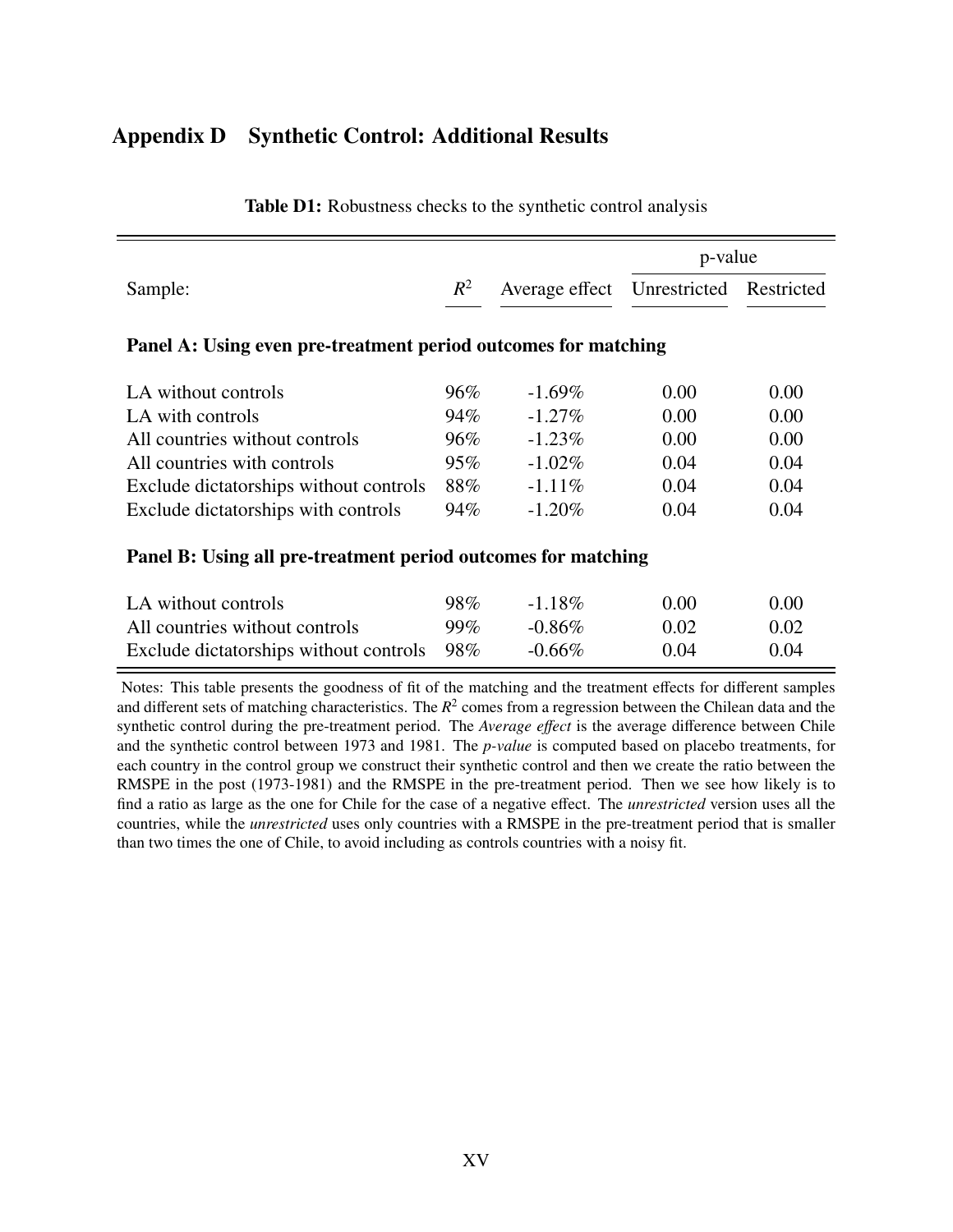## <span id="page-57-0"></span>Appendix D Synthetic Control: Additional Results

|                                                                |       |                | p-value      |            |
|----------------------------------------------------------------|-------|----------------|--------------|------------|
| Sample:                                                        | $R^2$ | Average effect | Unrestricted | Restricted |
| Panel A: Using even pre-treatment period outcomes for matching |       |                |              |            |
| LA without controls                                            | 96%   | $-1.69\%$      | 0.00         | 0.00       |
| LA with controls                                               | 94%   | $-1.27\%$      | 0.00         | 0.00       |
| All countries without controls                                 | 96%   | $-1.23\%$      | 0.00         | 0.00       |
| All countries with controls                                    | 95%   | $-1.02\%$      | 0.04         | 0.04       |
| Exclude dictatorships without controls                         | 88%   | $-1.11\%$      | 0.04         | 0.04       |
| Exclude dictatorships with controls                            | 94%   | $-1.20\%$      | 0.04         | 0.04       |

#### Table D1: Robustness checks to the synthetic control analysis

#### Panel B: Using all pre-treatment period outcomes for matching

| LA without controls                        | $98\%$ | $-1.18\%$ | 0.00 | 0.00 |
|--------------------------------------------|--------|-----------|------|------|
| All countries without controls             | $99\%$ | $-0.86\%$ | 0.02 | 0.02 |
| Exclude dictatorships without controls 98% |        | $-0.66\%$ | 0.04 | 0.04 |

Notes: This table presents the goodness of fit of the matching and the treatment effects for different samples and different sets of matching characteristics. The *R* 2 comes from a regression between the Chilean data and the synthetic control during the pre-treatment period. The *Average e*ff*ect* is the average difference between Chile and the synthetic control between 1973 and 1981. The *p-value* is computed based on placebo treatments, for each country in the control group we construct their synthetic control and then we create the ratio between the RMSPE in the post (1973-1981) and the RMSPE in the pre-treatment period. Then we see how likely is to find a ratio as large as the one for Chile for the case of a negative effect. The *unrestricted* version uses all the countries, while the *unrestricted* uses only countries with a RMSPE in the pre-treatment period that is smaller than two times the one of Chile, to avoid including as controls countries with a noisy fit.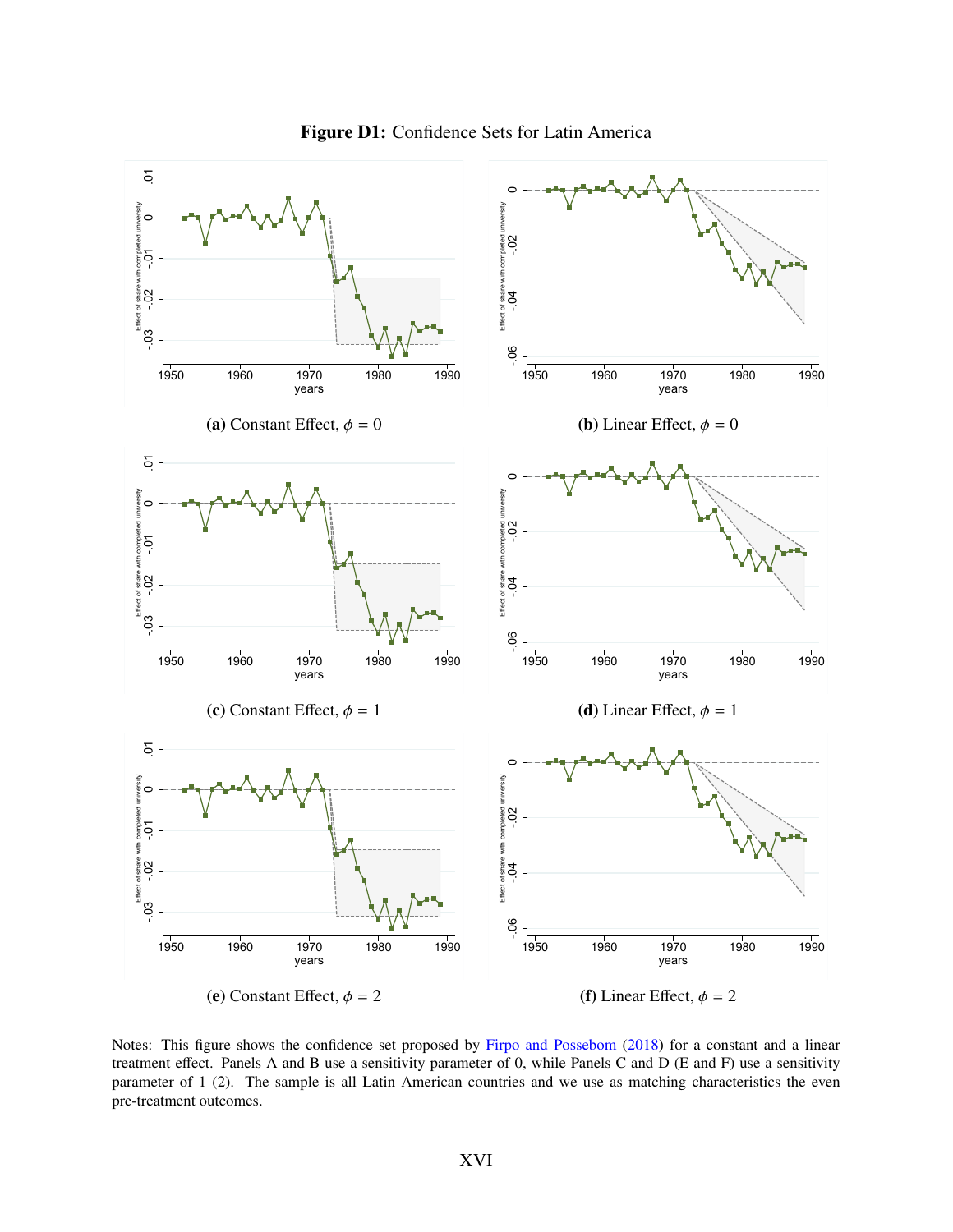

Figure D1: Confidence Sets for Latin America

Notes: This figure shows the confidence set proposed by [Firpo and Possebom](#page-27-3) [\(2018\)](#page-27-3) for a constant and a linear treatment effect. Panels A and B use a sensitivity parameter of 0, while Panels C and D (E and F) use a sensitivity parameter of 1 (2). The sample is all Latin American countries and we use as matching characteristics the even pre-treatment outcomes.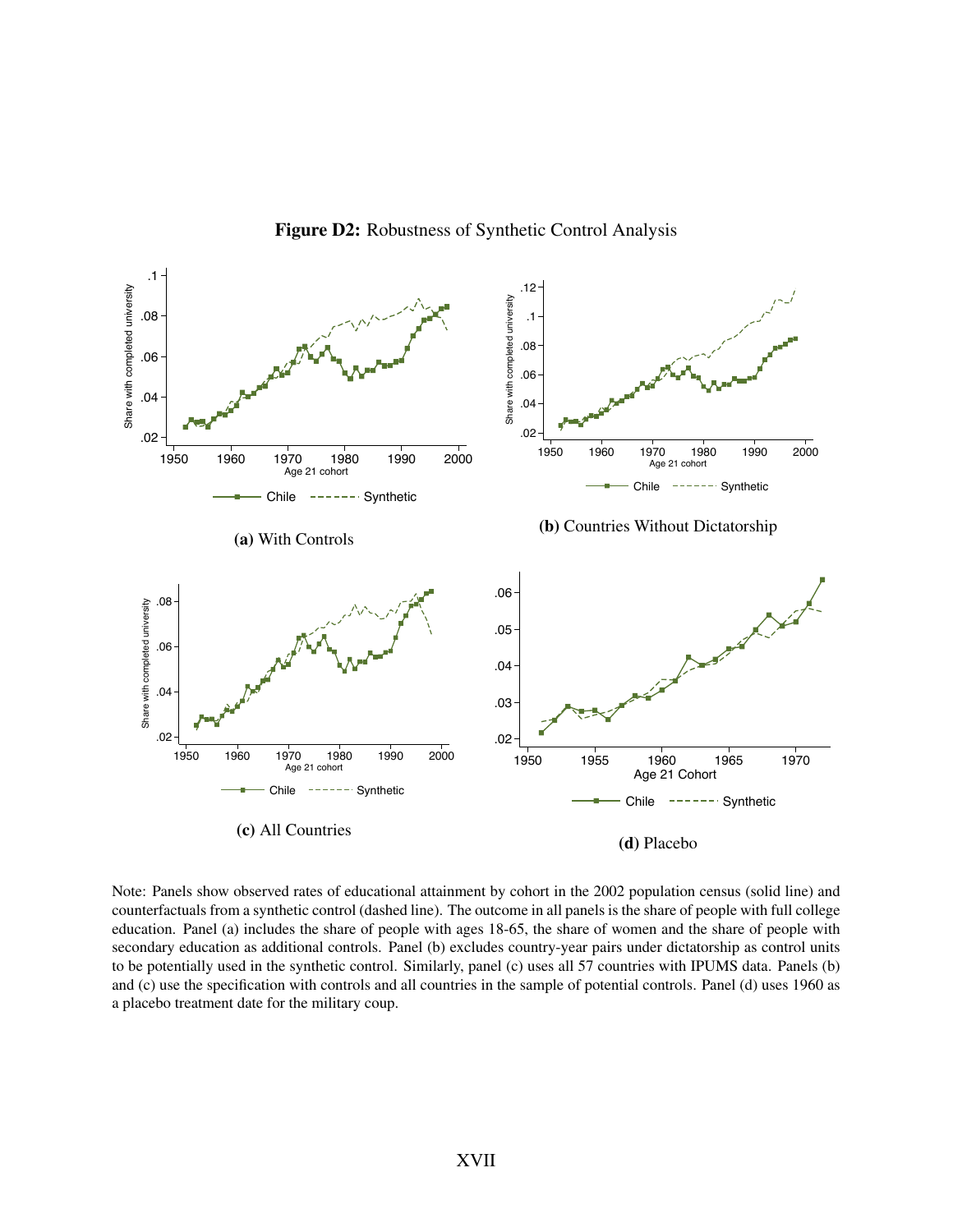

Figure D2: Robustness of Synthetic Control Analysis

Note: Panels show observed rates of educational attainment by cohort in the 2002 population census (solid line) and counterfactuals from a synthetic control (dashed line). The outcome in all panels is the share of people with full college education. Panel (a) includes the share of people with ages 18-65, the share of women and the share of people with secondary education as additional controls. Panel (b) excludes country-year pairs under dictatorship as control units to be potentially used in the synthetic control. Similarly, panel (c) uses all 57 countries with IPUMS data. Panels (b) and (c) use the specification with controls and all countries in the sample of potential controls. Panel (d) uses 1960 as a placebo treatment date for the military coup.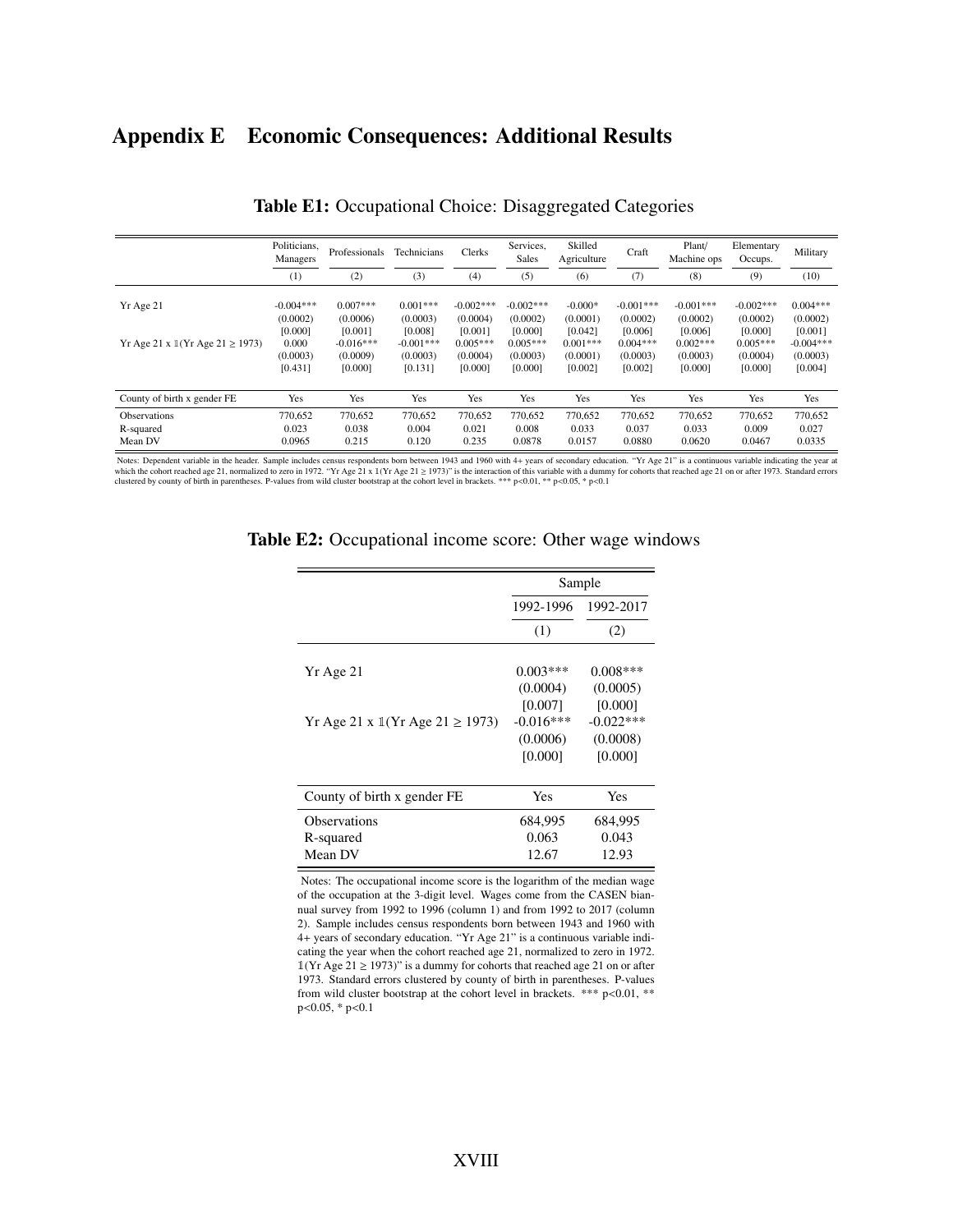## <span id="page-60-0"></span>Appendix E Economic Consequences: Additional Results

|                                                                     | Politicians,<br>Managers                                           | Professionals                                                           | Technicians                                                             | Clerks                                                                  | Services,<br>Sales                                                      | Skilled<br>Agriculture                                                | Craft                                                                   | Plant/<br>Machine ops                                                   | Elementary<br>Occups.                                                   | Military                                                                |
|---------------------------------------------------------------------|--------------------------------------------------------------------|-------------------------------------------------------------------------|-------------------------------------------------------------------------|-------------------------------------------------------------------------|-------------------------------------------------------------------------|-----------------------------------------------------------------------|-------------------------------------------------------------------------|-------------------------------------------------------------------------|-------------------------------------------------------------------------|-------------------------------------------------------------------------|
|                                                                     | (1)                                                                | (2)                                                                     | (3)                                                                     | (4)                                                                     | (5)                                                                     | (6)                                                                   | (7)                                                                     | (8)                                                                     | (9)                                                                     | (10)                                                                    |
| Yr Age 21<br>Yr Age 21 x $\mathbb{I}(Yr \text{ Age } 21 \geq 1973)$ | $-0.004***$<br>(0.0002)<br>[0.000]<br>0.000<br>(0.0003)<br>[0.431] | $0.007***$<br>(0.0006)<br>[0.001]<br>$-0.016***$<br>(0.0009)<br>[0.000] | $0.001***$<br>(0.0003)<br>[0.008]<br>$-0.001***$<br>(0.0003)<br>[0.131] | $-0.002***$<br>(0.0004)<br>[0.001]<br>$0.005***$<br>(0.0004)<br>[0.000] | $-0.002***$<br>(0.0002)<br>[0.000]<br>$0.005***$<br>(0.0003)<br>[0.000] | $-0.000*$<br>(0.0001)<br>[0.042]<br>$0.001***$<br>(0.0001)<br>[0.002] | $-0.001***$<br>(0.0002)<br>[0.006]<br>$0.004***$<br>(0.0003)<br>[0.002] | $-0.001***$<br>(0.0002)<br>[0.006]<br>$0.002***$<br>(0.0003)<br>[0.000] | $-0.002***$<br>(0.0002)<br>[0.000]<br>$0.005***$<br>(0.0004)<br>[0.000] | $0.004***$<br>(0.0002)<br>[0.001]<br>$-0.004***$<br>(0.0003)<br>[0.004] |
| County of birth x gender FE                                         | Yes                                                                | Yes                                                                     | Yes                                                                     | Yes                                                                     | <b>Yes</b>                                                              | <b>Yes</b>                                                            | Yes                                                                     | Yes                                                                     | Yes                                                                     | Yes                                                                     |
| <b>Observations</b><br>R-squared<br>Mean DV                         | 770,652<br>0.023<br>0.0965                                         | 770,652<br>0.038<br>0.215                                               | 770,652<br>0.004<br>0.120                                               | 770.652<br>0.021<br>0.235                                               | 770,652<br>0.008<br>0.0878                                              | 770,652<br>0.033<br>0.0157                                            | 770,652<br>0.037<br>0.0880                                              | 770,652<br>0.033<br>0.0620                                              | 770,652<br>0.009<br>0.0467                                              | 770,652<br>0.027<br>0.0335                                              |

|  |  |  | Table E1: Occupational Choice: Disaggregated Categories |  |
|--|--|--|---------------------------------------------------------|--|
|--|--|--|---------------------------------------------------------|--|

Notes: Dependent variable in the header. Sample includes census respondents born between 1943 and 1960 with 4+ years of secondary education. "Yr Age 21" is a continuous variable indicating the year at which the cohort reac

|                                                       | Sample      |             |  |  |
|-------------------------------------------------------|-------------|-------------|--|--|
|                                                       | 1992-1996   | 1992-2017   |  |  |
|                                                       | (1)         | (2)         |  |  |
| Yr Age 21                                             | $0.003***$  | $0.008***$  |  |  |
|                                                       | (0.0004)    | (0.0005)    |  |  |
|                                                       | [0.007]     | [0.000]     |  |  |
| Yr Age 21 x $\mathbb{I}(Yr \text{ Age } 21 \ge 1973)$ | $-0.016***$ | $-0.022***$ |  |  |
|                                                       | (0.0006)    | (0.0008)    |  |  |
|                                                       | [0.000]     | [0.000]     |  |  |
| County of birth x gender FE                           | Yes         | Yes         |  |  |
| <b>Observations</b>                                   | 684,995     | 684,995     |  |  |
| R-squared                                             | 0.063       | 0.043       |  |  |
| Mean DV                                               | 12.67       | 12.93       |  |  |

#### Table E2: Occupational income score: Other wage windows

Notes: The occupational income score is the logarithm of the median wage of the occupation at the 3-digit level. Wages come from the CASEN biannual survey from 1992 to 1996 (column 1) and from 1992 to 2017 (column 2). Sample includes census respondents born between 1943 and 1960 with 4+ years of secondary education. "Yr Age 21" is a continuous variable indicating the year when the cohort reached age 21, normalized to zero in 1972.  $1$ (Yr Age 21  $\ge$  1973)" is a dummy for cohorts that reached age 21 on or after 1973. Standard errors clustered by county of birth in parentheses. P-values from wild cluster bootstrap at the cohort level in brackets. \*\*\* p<0.01, \*\* <sup>p</sup><0.05, \* p<0.1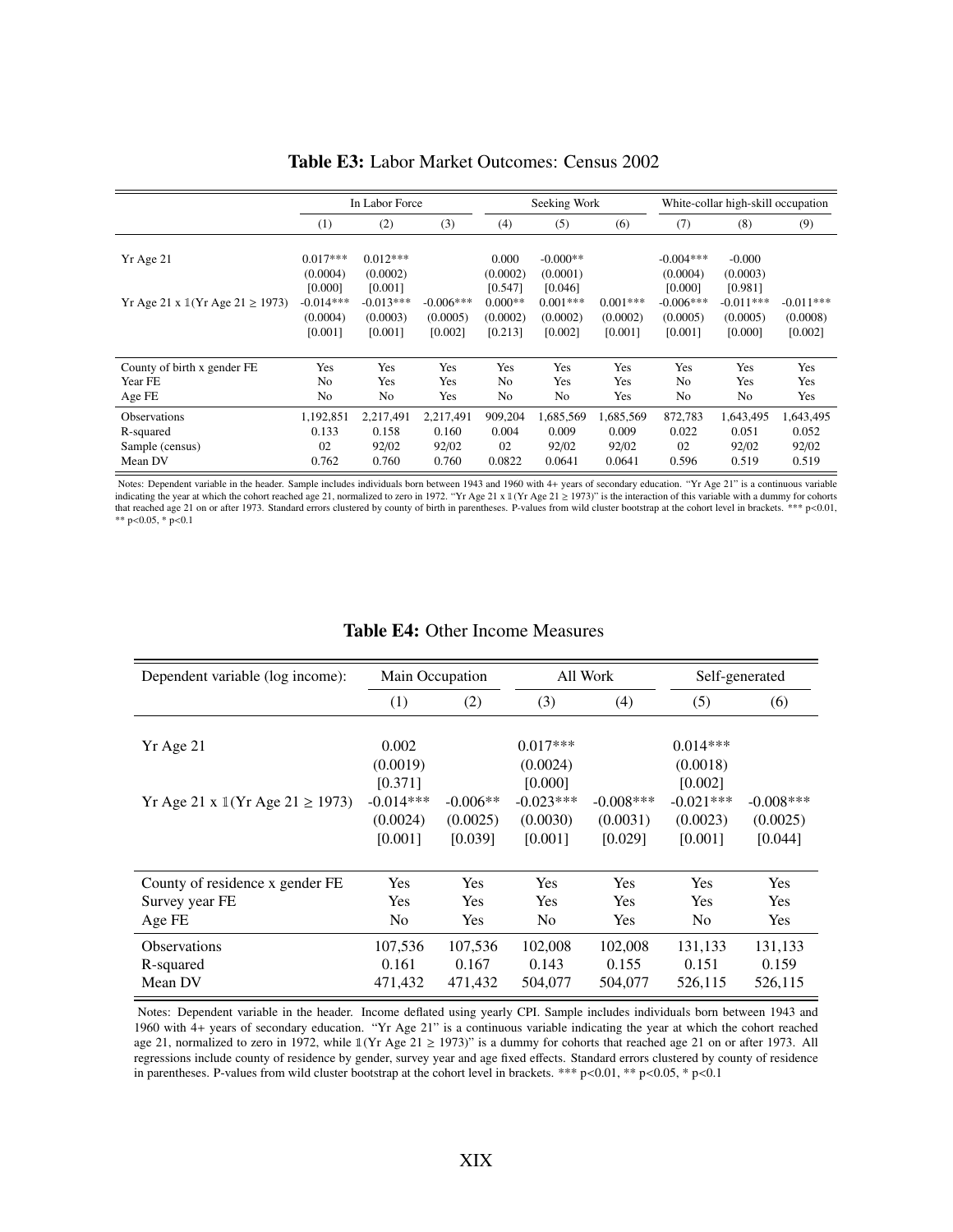|                                                                     | In Labor Force                                                          |                                                                         |                                    |                                                                  | Seeking Work                                                           |                                   |                                                                          | White-collar high-skill occupation                                    |                                    |  |
|---------------------------------------------------------------------|-------------------------------------------------------------------------|-------------------------------------------------------------------------|------------------------------------|------------------------------------------------------------------|------------------------------------------------------------------------|-----------------------------------|--------------------------------------------------------------------------|-----------------------------------------------------------------------|------------------------------------|--|
|                                                                     | (1)                                                                     | (2)                                                                     | (3)                                | (4)                                                              | (5)                                                                    | (6)                               | (7)                                                                      | (8)                                                                   | (9)                                |  |
| Yr Age 21<br>Yr Age 21 x $\mathbb{I}(Yr \text{ Age } 21 \geq 1973)$ | $0.017***$<br>(0.0004)<br>[0.000]<br>$-0.014***$<br>(0.0004)<br>[0.001] | $0.012***$<br>(0.0002)<br>[0.001]<br>$-0.013***$<br>(0.0003)<br>[0.001] | $-0.006***$<br>(0.0005)<br>[0.002] | 0.000<br>(0.0002)<br>[0.547]<br>$0.000**$<br>(0.0002)<br>[0.213] | $-0.000**$<br>(0.0001)<br>[0.046]<br>$0.001***$<br>(0.0002)<br>[0.002] | $0.001***$<br>(0.0002)<br>[0.001] | $-0.004***$<br>(0.0004)<br>[0.000]<br>$-0.006***$<br>(0.0005)<br>[0.001] | $-0.000$<br>(0.0003)<br>[0.981]<br>$-0.011***$<br>(0.0005)<br>[0.000] | $-0.011***$<br>(0.0008)<br>[0.002] |  |
| County of birth x gender FE                                         | Yes                                                                     | Yes                                                                     | Yes                                | Yes                                                              | Yes                                                                    | Yes                               | Yes                                                                      | Yes                                                                   | Yes                                |  |
| Year FE                                                             | No                                                                      | Yes                                                                     | Yes                                | No                                                               | Yes                                                                    | Yes                               | No                                                                       | Yes                                                                   | Yes                                |  |
| Age FE                                                              | No                                                                      | No                                                                      | Yes                                | No                                                               | No                                                                     | Yes                               | No                                                                       | No                                                                    | Yes                                |  |
| <b>Observations</b>                                                 | 1,192,851                                                               | 2,217,491                                                               | 2,217,491                          | 909,204                                                          | 1,685,569                                                              | 1,685,569                         | 872,783                                                                  | 1,643,495                                                             | 1,643,495                          |  |
| R-squared                                                           | 0.133                                                                   | 0.158                                                                   | 0.160                              | 0.004                                                            | 0.009                                                                  | 0.009                             | 0.022                                                                    | 0.051                                                                 | 0.052                              |  |
| Sample (census)                                                     | 02                                                                      | 92/02                                                                   | 92/02                              | 02                                                               | 92/02                                                                  | 92/02                             | 02                                                                       | 92/02                                                                 | 92/02                              |  |
| Mean DV                                                             | 0.762                                                                   | 0.760                                                                   | 0.760                              | 0.0822                                                           | 0.0641                                                                 | 0.0641                            | 0.596                                                                    | 0.519                                                                 | 0.519                              |  |

Table E3: Labor Market Outcomes: Census 2002

Notes: Dependent variable in the header. Sample includes individuals born between 1943 and 1960 with 4+ years of secondary education. "Yr Age 21" is a continuous variable indicating the year at which the cohort reached age 21, normalized to zero in 1972. "Yr Age 21 x 1(Yr Age 21 ≥ 1973)" is the interaction of this variable with a dummy for cohorts that reached age 21 on or after 1973. Stan \*\*  $p<0.05$ , \*  $p<0.1$ 

#### Table E4: Other Income Measures

| Dependent variable (log income):                      |                | Main Occupation |                | All Work     |                | Self-generated |
|-------------------------------------------------------|----------------|-----------------|----------------|--------------|----------------|----------------|
|                                                       | (1)            | (2)             | (3)            | (4)          | (5)            | (6)            |
|                                                       |                |                 |                |              |                |                |
| Yr Age 21                                             | 0.002          |                 | $0.017***$     |              | $0.014***$     |                |
|                                                       | (0.0019)       |                 | (0.0024)       |              | (0.0018)       |                |
|                                                       | [0.371]        |                 | [0.000]        |              | [0.002]        |                |
| Yr Age 21 x $\mathbb{I}(Yr \text{ Age } 21 \ge 1973)$ | $-0.014***$    | $-0.006**$      | $-0.023***$    | $-0.008$ *** | $-0.021***$    | $-0.008$ ***   |
|                                                       | (0.0024)       | (0.0025)        | (0.0030)       | (0.0031)     | (0.0023)       | (0.0025)       |
|                                                       | [0.001]        | [0.039]         | [0.001]        | [0.029]      | [0.001]        | [0.044]        |
|                                                       |                |                 |                |              |                |                |
| County of residence x gender FE                       | <b>Yes</b>     | <b>Yes</b>      | <b>Yes</b>     | Yes          | <b>Yes</b>     | <b>Yes</b>     |
| Survey year FE                                        | <b>Yes</b>     | <b>Yes</b>      | Yes            | Yes          | <b>Yes</b>     | <b>Yes</b>     |
| Age FE                                                | N <sub>0</sub> | <b>Yes</b>      | N <sub>0</sub> | Yes          | N <sub>0</sub> | <b>Yes</b>     |
| <b>Observations</b>                                   | 107,536        | 107,536         | 102,008        | 102,008      | 131,133        | 131,133        |
| R-squared                                             | 0.161          | 0.167           | 0.143          | 0.155        | 0.151          | 0.159          |
| Mean DV                                               | 471,432        | 471,432         | 504,077        | 504,077      | 526,115        | 526,115        |

Notes: Dependent variable in the header. Income deflated using yearly CPI. Sample includes individuals born between 1943 and 1960 with 4+ years of secondary education. "Yr Age 21" is a continuous variable indicating the year at which the cohort reached age 21, normalized to zero in 1972, while  $\mathbb{I}(Yr \text{ Age } 21 \ge 1973)$ " is a dummy for cohorts that reached age 21 on or after 1973. All regressions include county of residence by gender, survey year and age fixed effects. Standard errors clustered by county of residence in parentheses. P-values from wild cluster bootstrap at the cohort level in brackets. \*\*\* p<0.01, \*\* p<0.05, \* p<0.1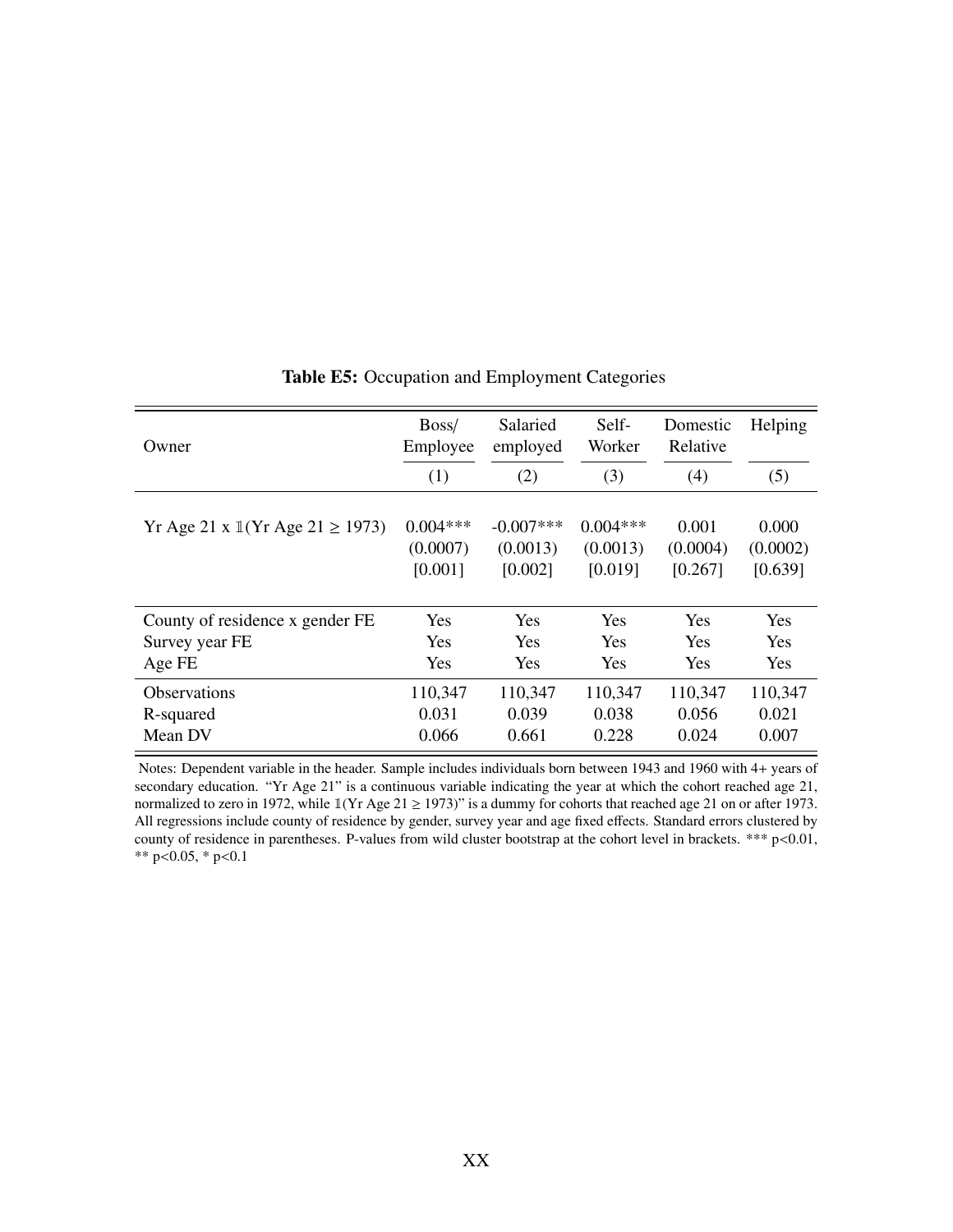| Owner                                        | Boss/<br>Employee | Salaried<br>employed | Self-<br>Worker | Domestic<br>Relative | Helping    |
|----------------------------------------------|-------------------|----------------------|-----------------|----------------------|------------|
|                                              | (1)               | (2)                  | (3)             | (4)                  | (5)        |
| Yr Age 21 x $1(Yr \text{ Age } 21 \ge 1973)$ | $0.004***$        | $-0.007***$          | $0.004***$      | 0.001                | 0.000      |
|                                              | (0.0007)          | (0.0013)             | (0.0013)        | (0.0004)             | (0.0002)   |
|                                              | [0.001]           | [0.002]              | [0.019]         | [0.267]              | [0.639]    |
| County of residence x gender FE              | Yes               | <b>Yes</b>           | <b>Yes</b>      | <b>Yes</b>           | <b>Yes</b> |
| Survey year FE                               | Yes               | <b>Yes</b>           | <b>Yes</b>      | <b>Yes</b>           | <b>Yes</b> |
| Age FE                                       | Yes               | <b>Yes</b>           | <b>Yes</b>      | <b>Yes</b>           | <b>Yes</b> |
| <b>Observations</b>                          | 110,347           | 110,347              | 110,347         | 110,347              | 110,347    |
| R-squared                                    | 0.031             | 0.039                | 0.038           | 0.056                | 0.021      |
| Mean DV                                      | 0.066             | 0.661                | 0.228           | 0.024                | 0.007      |

Table E5: Occupation and Employment Categories

Notes: Dependent variable in the header. Sample includes individuals born between 1943 and 1960 with 4+ years of secondary education. "Yr Age 21" is a continuous variable indicating the year at which the cohort reached age 21, normalized to zero in 1972, while  $\mathbb{1}(Yr \text{ Age } 21 \ge 1973)$ " is a dummy for cohorts that reached age 21 on or after 1973. All regressions include county of residence by gender, survey year and age fixed effects. Standard errors clustered by county of residence in parentheses. P-values from wild cluster bootstrap at the cohort level in brackets. \*\*\* p<0.01, \*\*  $p<0.05$ , \*  $p<0.1$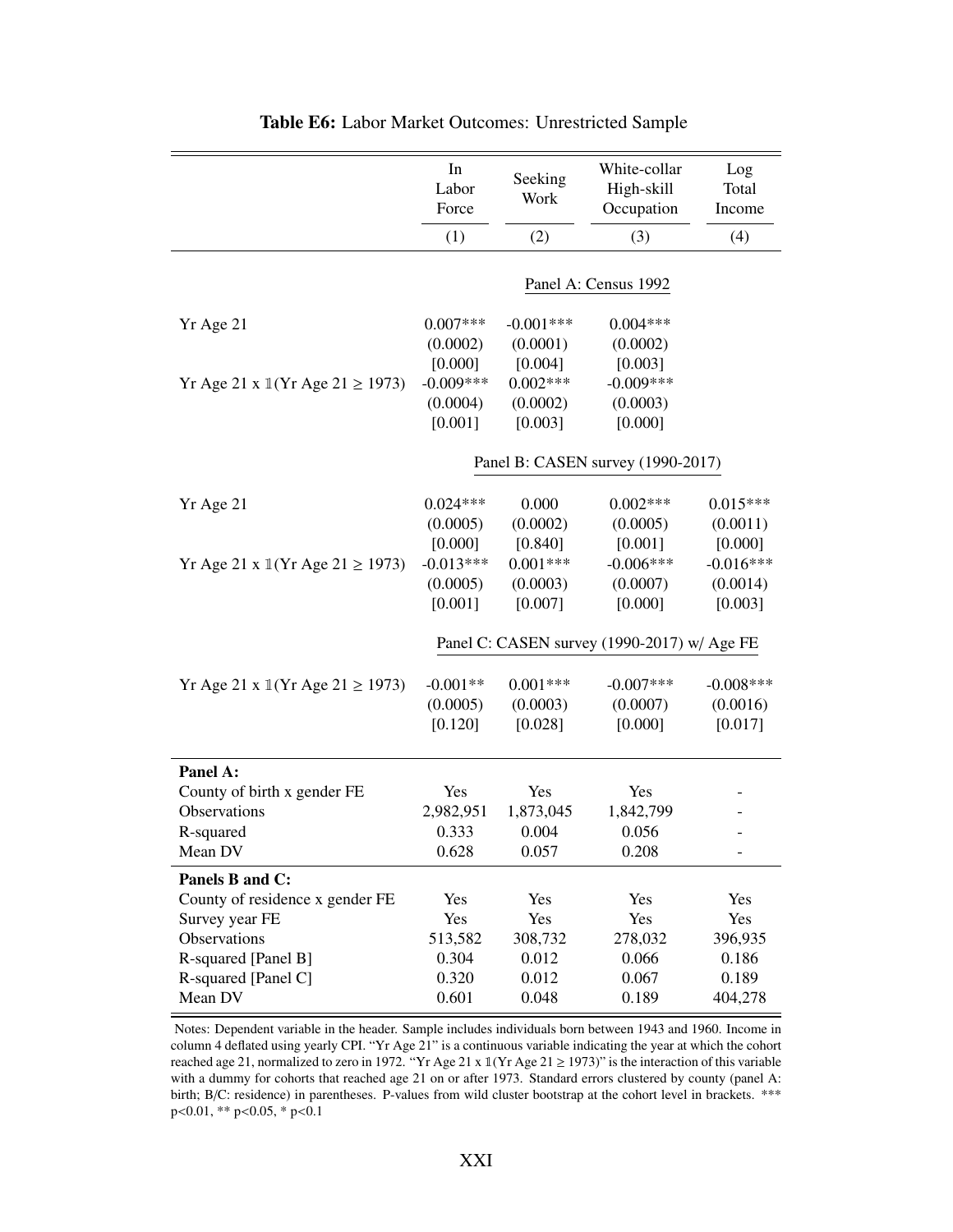|                                                       | In<br>Labor<br>Force                             | Seeking<br>Work                                  | White-collar<br>High-skill<br>Occupation         | Log<br>Total<br>Income                        |
|-------------------------------------------------------|--------------------------------------------------|--------------------------------------------------|--------------------------------------------------|-----------------------------------------------|
|                                                       | (1)                                              | (2)                                              | (3)                                              | (4)                                           |
|                                                       |                                                  |                                                  | Panel A: Census 1992                             |                                               |
| Yr Age 21<br>Yr Age 21 x $1$ (Yr Age 21 $\ge$ 1973)   | $0.007***$<br>(0.0002)<br>[0.000]<br>$-0.009***$ | $-0.001***$<br>(0.0001)<br>[0.004]<br>$0.002***$ | $0.004***$<br>(0.0002)<br>[0.003]<br>$-0.009***$ |                                               |
|                                                       | (0.0004)<br>[0.001]                              | (0.0002)<br>[0.003]                              | (0.0003)<br>[0.000]                              |                                               |
|                                                       |                                                  |                                                  | Panel B: CASEN survey (1990-2017)                |                                               |
| Yr Age 21                                             | $0.024***$<br>(0.0005)                           | 0.000<br>(0.0002)                                | $0.002***$<br>(0.0005)                           | $0.015***$<br>(0.0011)                        |
| Yr Age 21 x $1$ (Yr Age 21 $\ge$ 1973)                | [0.000]<br>$-0.013***$<br>(0.0005)<br>[0.001]    | [0.840]<br>$0.001***$<br>(0.0003)<br>[0.007]     | [0.001]<br>$-0.006***$<br>(0.0007)<br>[0.000]    | [0.000]<br>$-0.016***$<br>(0.0014)<br>[0.003] |
|                                                       |                                                  |                                                  | Panel C: CASEN survey (1990-2017) w/ Age FE      |                                               |
| Yr Age 21 x $\mathbb{I}(Yr \text{ Age } 21 \ge 1973)$ | $-0.001**$<br>(0.0005)<br>[0.120]                | $0.001***$<br>(0.0003)<br>[0.028]                | $-0.007***$<br>(0.0007)<br>[0.000]               | $-0.008***$<br>(0.0016)<br>[0.017]            |
| Panel A:                                              |                                                  |                                                  |                                                  |                                               |
| County of birth x gender FE                           | Yes                                              | Yes                                              | Yes                                              |                                               |
| Observations<br>R-squared                             | 2,982,951<br>0.333                               | 1,873,045<br>0.004                               | 1,842,799<br>0.056                               |                                               |
| Mean DV                                               | 0.628                                            | 0.057                                            | 0.208                                            | $\overline{\phantom{a}}$                      |
| Panels B and C:                                       |                                                  |                                                  |                                                  |                                               |
| County of residence x gender FE                       | Yes                                              | Yes                                              | Yes                                              | Yes                                           |
| Survey year FE                                        | Yes                                              | Yes                                              | Yes                                              | Yes                                           |
| Observations                                          | 513,582                                          | 308,732                                          | 278,032                                          | 396,935                                       |
| R-squared [Panel B]                                   | 0.304                                            | 0.012                                            | 0.066                                            | 0.186                                         |
| R-squared [Panel C]<br>Mean DV                        | 0.320<br>0.601                                   | 0.012<br>0.048                                   | 0.067<br>0.189                                   | 0.189<br>404,278                              |

Table E6: Labor Market Outcomes: Unrestricted Sample

Notes: Dependent variable in the header. Sample includes individuals born between 1943 and 1960. Income in column 4 deflated using yearly CPI. "Yr Age 21" is a continuous variable indicating the year at which the cohort reached age 21, normalized to zero in 1972. "Yr Age 21 x  $\mathbb{I}$  (Yr Age 21  $\geq$  1973)" is the interaction of this variable with a dummy for cohorts that reached age 21 on or after 1973. Standard errors clustered by county (panel A: birth; B/C: residence) in parentheses. P-values from wild cluster bootstrap at the cohort level in brackets. \*\*\* <sup>p</sup><0.01, \*\* p<0.05, \* p<0.1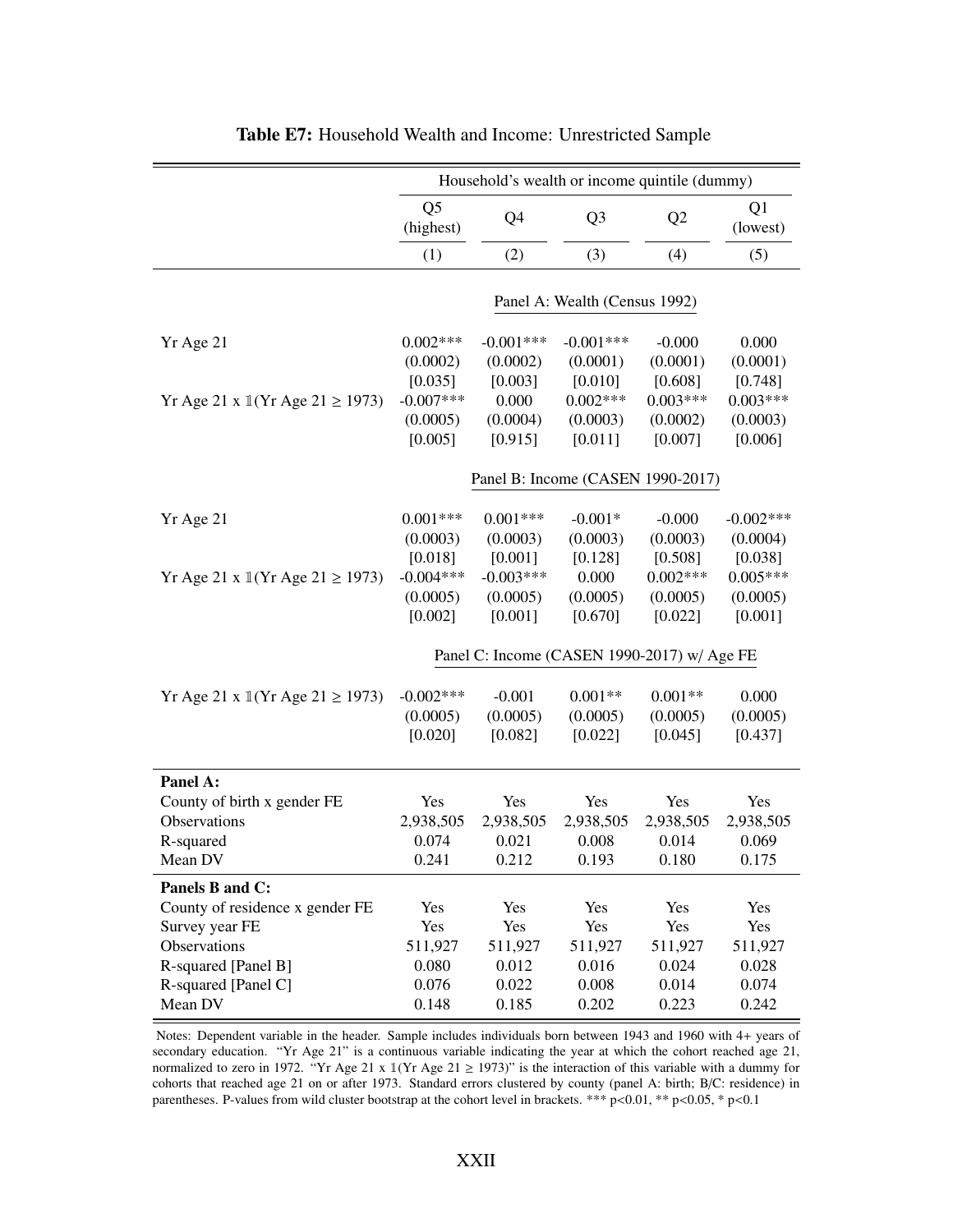|                                 |                                               |                                               | Household's wealth or income quintile (dummy) |                                              |                                              |
|---------------------------------|-----------------------------------------------|-----------------------------------------------|-----------------------------------------------|----------------------------------------------|----------------------------------------------|
|                                 | Q <sub>5</sub><br>(highest)                   | Q4                                            | Q <sub>3</sub>                                | Q2                                           | Q1<br>(lowest)                               |
|                                 | (1)                                           | (2)                                           | (3)                                           | (4)                                          | (5)                                          |
|                                 |                                               |                                               | Panel A: Wealth (Census 1992)                 |                                              |                                              |
| Yr Age 21                       | $0.002***$<br>(0.0002)<br>[0.035]             | $-0.001***$<br>(0.0002)<br>[0.003]            | $-0.001***$<br>(0.0001)<br>[0.010]            | $-0.000$<br>(0.0001)<br>[0.608]              | 0.000<br>(0.0001)<br>[0.748]                 |
| Yr Age 21 x 1(Yr Age 21 ≥ 1973) | $-0.007***$<br>(0.0005)<br>[0.005]            | 0.000<br>(0.0004)<br>[0.915]                  | $0.002***$<br>(0.0003)<br>[0.011]             | $0.003***$<br>(0.0002)<br>[0.007]            | $0.003***$<br>(0.0003)<br>[0.006]            |
|                                 |                                               |                                               | Panel B: Income (CASEN 1990-2017)             |                                              |                                              |
| Yr Age 21                       | $0.001***$<br>(0.0003)                        | $0.001***$<br>(0.0003)                        | $-0.001*$<br>(0.0003)                         | $-0.000$<br>(0.0003)                         | $-0.002***$<br>(0.0004)                      |
| Yr Age 21 x 1(Yr Age 21 ≥ 1973) | [0.018]<br>$-0.004***$<br>(0.0005)<br>[0.002] | [0.001]<br>$-0.003***$<br>(0.0005)<br>[0.001] | [0.128]<br>0.000<br>(0.0005)<br>[0.670]       | [0.508]<br>$0.002***$<br>(0.0005)<br>[0.022] | [0.038]<br>$0.005***$<br>(0.0005)<br>[0.001] |
|                                 |                                               |                                               | Panel C: Income (CASEN 1990-2017) w/ Age FE   |                                              |                                              |
| Yr Age 21 x 1(Yr Age 21 ≥ 1973) | $-0.002***$<br>(0.0005)<br>[0.020]            | $-0.001$<br>(0.0005)<br>[0.082]               | $0.001**$<br>(0.0005)<br>[0.022]              | $0.001**$<br>(0.0005)<br>[0.045]             | 0.000<br>(0.0005)<br>[0.437]                 |
| Panel A:                        |                                               |                                               |                                               |                                              |                                              |
| County of birth x gender FE     | Yes                                           | Yes                                           | Yes                                           | Yes                                          | Yes                                          |
| Observations<br>R-squared       | 2,938,505<br>0.074                            | 2,938,505<br>0.021                            | 2,938,505<br>0.008                            | 2,938,505<br>0.014                           | 2,938,505<br>0.069                           |
| Mean DV                         | 0.241                                         | 0.212                                         | 0.193                                         | 0.180                                        | 0.175                                        |
| Panels B and C:                 |                                               |                                               |                                               |                                              |                                              |
| County of residence x gender FE | Yes                                           | Yes                                           | Yes                                           | Yes                                          | Yes                                          |
| Survey year FE                  | Yes                                           | Yes                                           | Yes                                           | Yes                                          | Yes                                          |
| Observations                    | 511,927                                       | 511,927                                       | 511,927                                       | 511,927                                      | 511,927                                      |
| R-squared [Panel B]             | 0.080                                         | 0.012                                         | 0.016                                         | 0.024                                        | 0.028                                        |
| R-squared [Panel C]             | 0.076<br>0.148                                | 0.022                                         | 0.008                                         | 0.014                                        | 0.074                                        |
| Mean DV                         |                                               | 0.185                                         | 0.202                                         | 0.223                                        | 0.242                                        |

Table E7: Household Wealth and Income: Unrestricted Sample

Notes: Dependent variable in the header. Sample includes individuals born between 1943 and 1960 with 4+ years of secondary education. "Yr Age 21" is a continuous variable indicating the year at which the cohort reached age 21, normalized to zero in 1972. "Yr Age 21 x  $1(Yr \text{ Age } 21 \ge 1973)$ " is the interaction of this variable with a dummy for cohorts that reached age 21 on or after 1973. Standard errors clustered by county (panel A: birth; B/C: residence) in parentheses. P-values from wild cluster bootstrap at the cohort level in brackets. \*\*\* p<0.01, \*\* p<0.05, \* p<0.1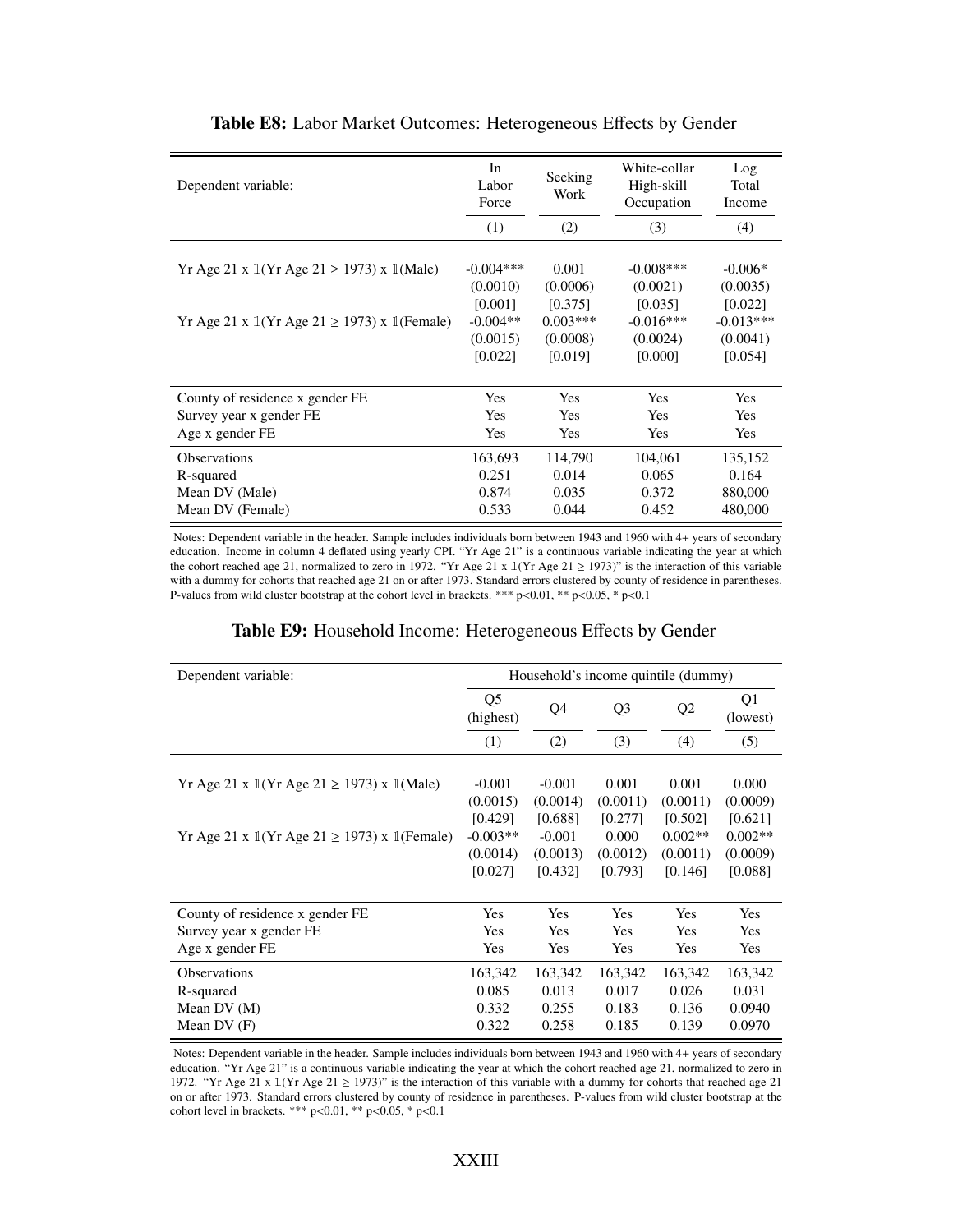| Dependent variable:                                                           | In<br>Labor<br>Force<br>(1) | Seeking<br>Work<br>(2) | White-collar<br>High-skill<br>Occupation<br>(3) | Log<br>Total<br>Income<br>(4) |
|-------------------------------------------------------------------------------|-----------------------------|------------------------|-------------------------------------------------|-------------------------------|
|                                                                               |                             |                        |                                                 |                               |
| Yr Age 21 x $\mathbb{I}(Yr \text{ Age } 21 \ge 1973)$ x $\mathbb{I}(Male)$    | $-0.004***$<br>(0.0010)     | 0.001<br>(0.0006)      | $-0.008***$<br>(0.0021)                         | $-0.006*$<br>(0.0035)         |
|                                                                               | [0.001]                     | [0.375]                | [0.035]                                         | [0.022]                       |
| Yr Age 21 x $\mathbb{I}(Yr \text{ Age } 21 \geq 1973)$ x $\mathbb{I}(Female)$ | $-0.004**$                  | $0.003***$             | $-0.016***$                                     | $-0.013***$                   |
|                                                                               | (0.0015)                    | (0.0008)               | (0.0024)                                        | (0.0041)                      |
|                                                                               | [0.022]                     | [0.019]                | [0.000]                                         | [0.054]                       |
|                                                                               |                             |                        |                                                 |                               |
| County of residence x gender FE                                               | <b>Yes</b>                  | <b>Yes</b>             | <b>Yes</b>                                      | Yes                           |
| Survey year x gender FE                                                       | Yes                         | Yes                    | <b>Yes</b>                                      | <b>Yes</b>                    |
| Age x gender FE                                                               | Yes                         | Yes                    | <b>Yes</b>                                      | <b>Yes</b>                    |
| <b>Observations</b>                                                           | 163,693                     | 114,790                | 104,061                                         | 135,152                       |
| R-squared                                                                     | 0.251                       | 0.014                  | 0.065                                           | 0.164                         |
| Mean DV (Male)                                                                | 0.874                       | 0.035                  | 0.372                                           | 880,000                       |
| Mean DV (Female)                                                              | 0.533                       | 0.044                  | 0.452                                           | 480,000                       |

#### Table E8: Labor Market Outcomes: Heterogeneous Effects by Gender

Notes: Dependent variable in the header. Sample includes individuals born between 1943 and 1960 with 4+ years of secondary education. Income in column 4 deflated using yearly CPI. "Yr Age 21" is a continuous variable indicating the year at which the cohort reached age 21, normalized to zero in 1972. "Yr Age 21 x  $\mathbb{I}(Yr)$  Age 21  $\geq$  1973)" is the interaction of this variable with a dummy for cohorts that reached age 21 on or after 1973. Standard errors clustered by county of residence in parentheses. P-values from wild cluster bootstrap at the cohort level in brackets. \*\*\* p<0.01, \*\* p<0.05, \* p<0.1

|  |  |  | Table E9: Household Income: Heterogeneous Effects by Gender |  |  |
|--|--|--|-------------------------------------------------------------|--|--|
|--|--|--|-------------------------------------------------------------|--|--|

| Dependent variable:                                                           | Household's income quintile (dummy) |          |                |                |                |
|-------------------------------------------------------------------------------|-------------------------------------|----------|----------------|----------------|----------------|
|                                                                               | Q5<br>(highest)                     | Q4       | Q <sub>3</sub> | Q <sub>2</sub> | Q1<br>(lowest) |
|                                                                               | (1)                                 | (2)      | (3)            | (4)            | (5)            |
|                                                                               |                                     |          |                |                |                |
| Yr Age 21 x $\mathbb{I}(Yr \text{ Age } 21 \ge 1973)$ x $\mathbb{I}(Male)$    | $-0.001$                            | $-0.001$ | 0.001          | 0.001          | 0.000          |
|                                                                               | (0.0015)                            | (0.0014) | (0.0011)       | (0.0011)       | (0.0009)       |
|                                                                               | [0.429]                             | [0.688]  | [0.277]        | [0.502]        | [0.621]        |
| Yr Age 21 x $\mathbb{I}(Yr \text{ Age } 21 \geq 1973)$ x $\mathbb{I}(Female)$ | $-0.003**$                          | $-0.001$ | 0.000          | $0.002**$      | $0.002**$      |
|                                                                               | (0.0014)                            | (0.0013) | (0.0012)       | (0.0011)       | (0.0009)       |
|                                                                               | [0.027]                             | [0.432]  | [0.793]        | [0.146]        | [0.088]        |
|                                                                               |                                     |          |                |                |                |
| County of residence x gender FE                                               | Yes                                 | Yes      | <b>Yes</b>     | <b>Yes</b>     | <b>Yes</b>     |
| Survey year x gender FE                                                       | Yes                                 | Yes      | <b>Yes</b>     | <b>Yes</b>     | Yes            |
| Age x gender FE                                                               | Yes                                 | Yes      | Yes            | <b>Yes</b>     | Yes            |
| <b>Observations</b>                                                           | 163,342                             | 163,342  | 163,342        | 163,342        | 163,342        |
| R-squared                                                                     | 0.085                               | 0.013    | 0.017          | 0.026          | 0.031          |
| Mean DV $(M)$                                                                 | 0.332                               | 0.255    | 0.183          | 0.136          | 0.0940         |
| Mean $DV$ (F)                                                                 | 0.322                               | 0.258    | 0.185          | 0.139          | 0.0970         |

Notes: Dependent variable in the header. Sample includes individuals born between 1943 and 1960 with 4+ years of secondary education. "Yr Age 21" is a continuous variable indicating the year at which the cohort reached age 21, normalized to zero in 1972. "Yr Age 21 x 1(Yr Age 21 ≥ 1973)" is the interaction of this variable with a dummy for cohorts that reached age 21 on or after 1973. Standard errors clustered by county of residence in parentheses. P-values from wild cluster bootstrap at the cohort level in brackets. \*\*\* p<0.01, \*\* p<0.05, \* p<0.1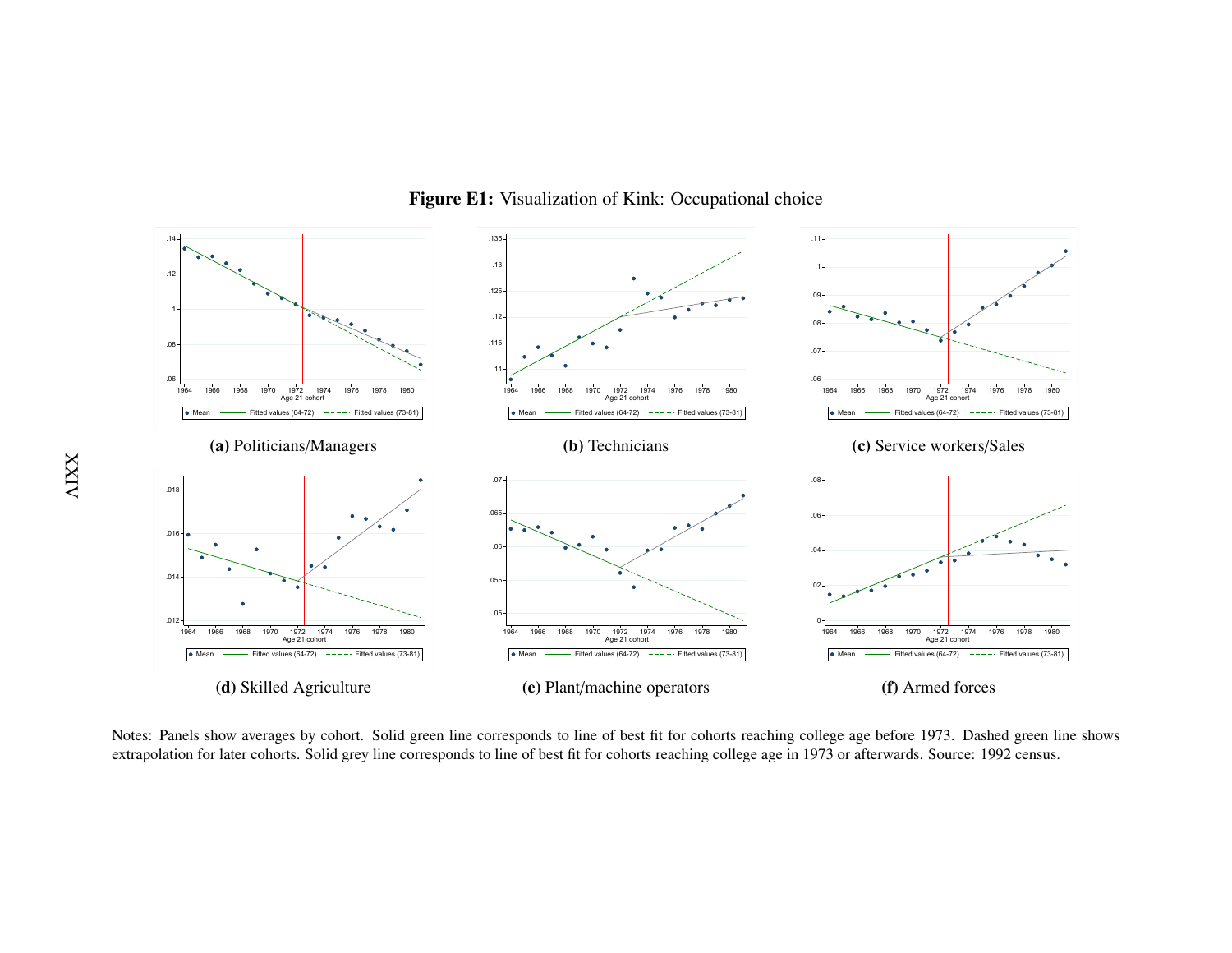

Figure E1: Visualization of Kink: Occupational choice

 extrapolation for later cohorts. Solid grey line corresponds to line of best fit for cohorts reaching college age in 1973 or afterwards. Source: 1992 census.Notes: Panels show averages by cohort. Solid green line corresponds to line of best fit for cohorts reaching college age before 1973. Dashed green line shows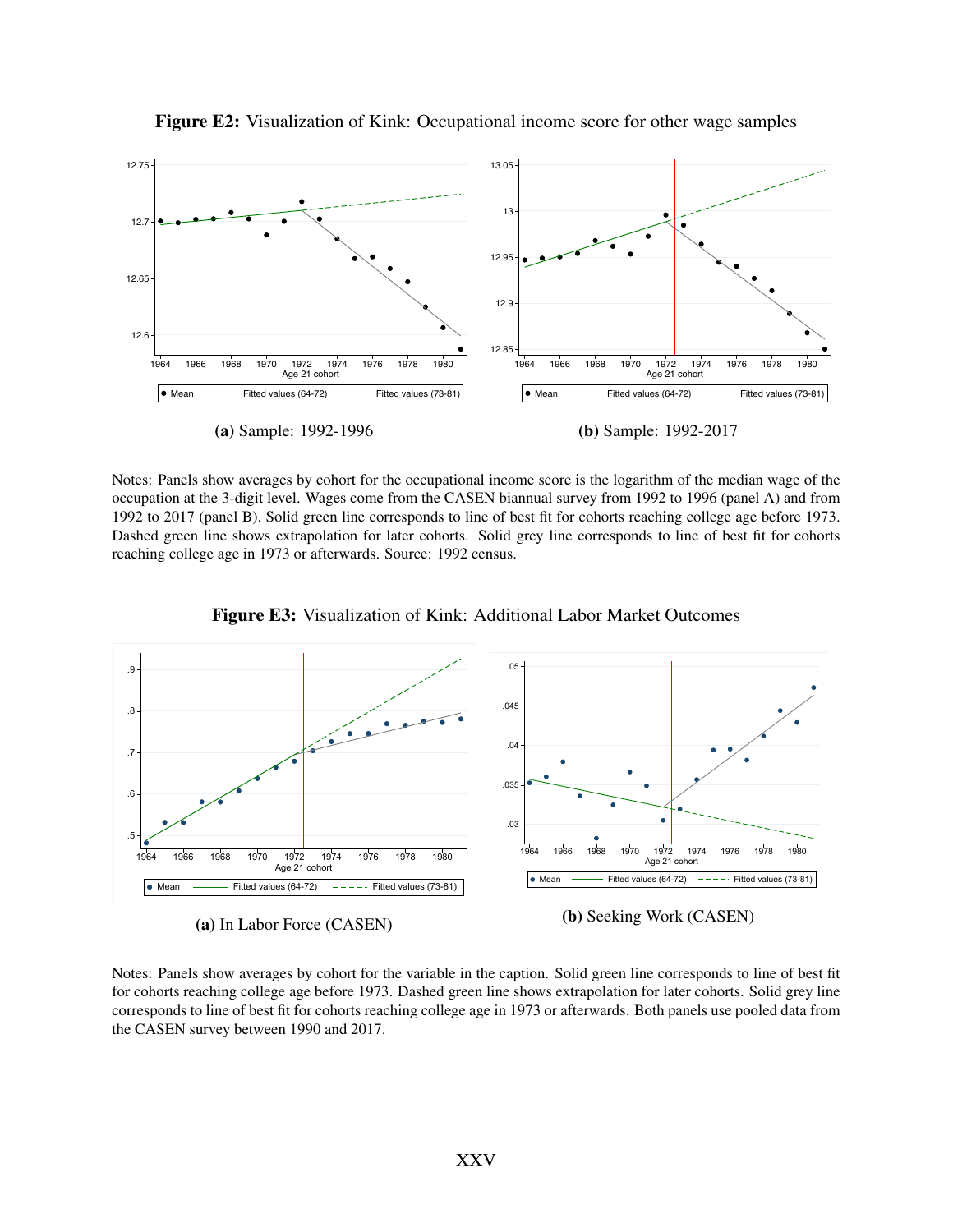

Figure E2: Visualization of Kink: Occupational income score for other wage samples

Notes: Panels show averages by cohort for the occupational income score is the logarithm of the median wage of the occupation at the 3-digit level. Wages come from the CASEN biannual survey from 1992 to 1996 (panel A) and from 1992 to 2017 (panel B). Solid green line corresponds to line of best fit for cohorts reaching college age before 1973. Dashed green line shows extrapolation for later cohorts. Solid grey line corresponds to line of best fit for cohorts reaching college age in 1973 or afterwards. Source: 1992 census.



Figure E3: Visualization of Kink: Additional Labor Market Outcomes

(a) In Labor Force (CASEN)

(b) Seeking Work (CASEN)

Notes: Panels show averages by cohort for the variable in the caption. Solid green line corresponds to line of best fit for cohorts reaching college age before 1973. Dashed green line shows extrapolation for later cohorts. Solid grey line corresponds to line of best fit for cohorts reaching college age in 1973 or afterwards. Both panels use pooled data from the CASEN survey between 1990 and 2017.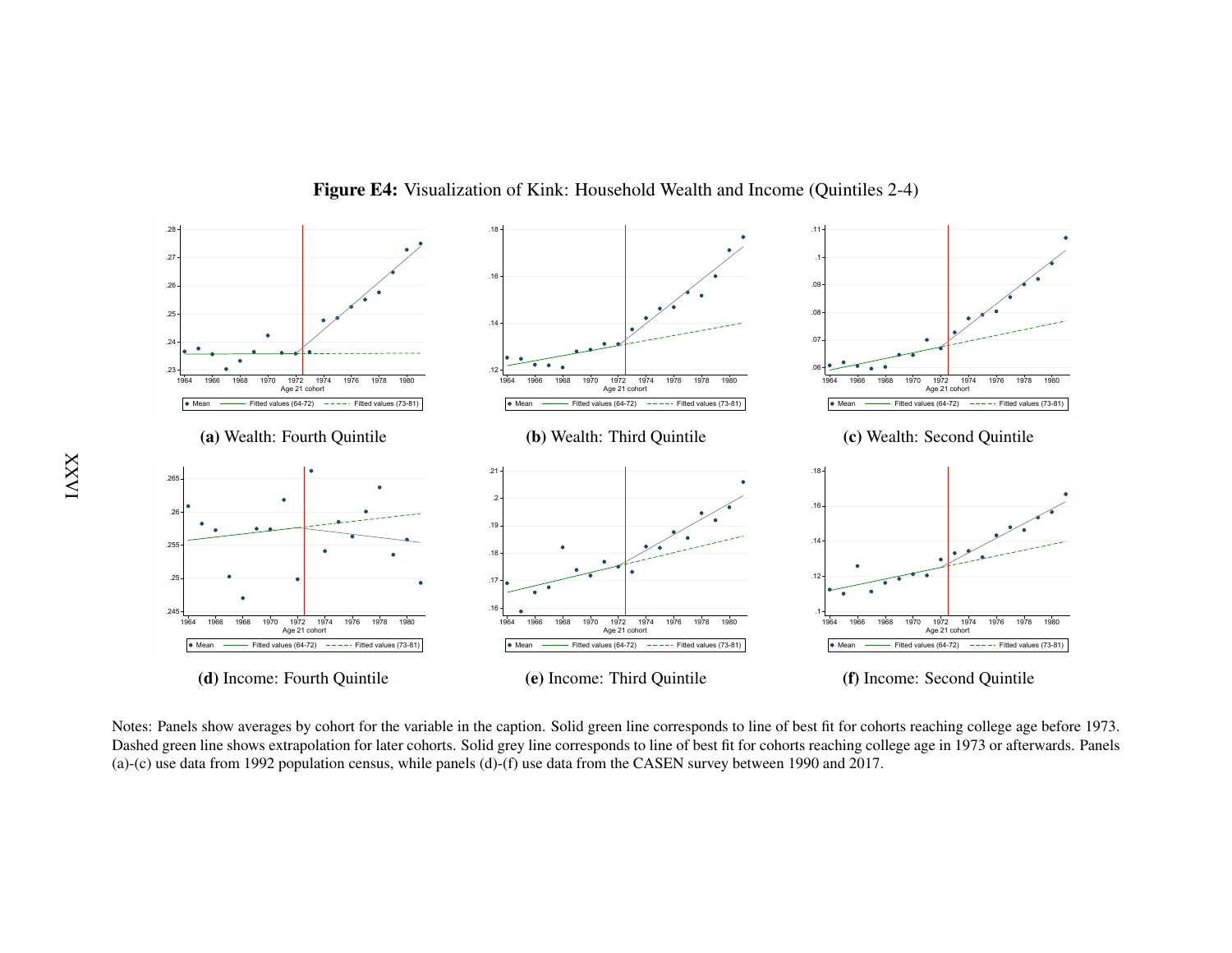

Figure E4: Visualization of Kink: Household Wealth and Income (Quintiles 2-4)

 Dashed green line shows extrapolation for later cohorts. Solid grey line corresponds to line of best fit for cohorts reaching college age in 1973 or afterwards. PanelsNotes: Panels show averages by cohort for the variable in the caption. Solid green line corresponds to line of best fit for cohorts reaching college age before 1973.(a)-(c) use data from 1992 population census, while panels (d)-(f) use data from the CASEN survey between 1990 and 2017.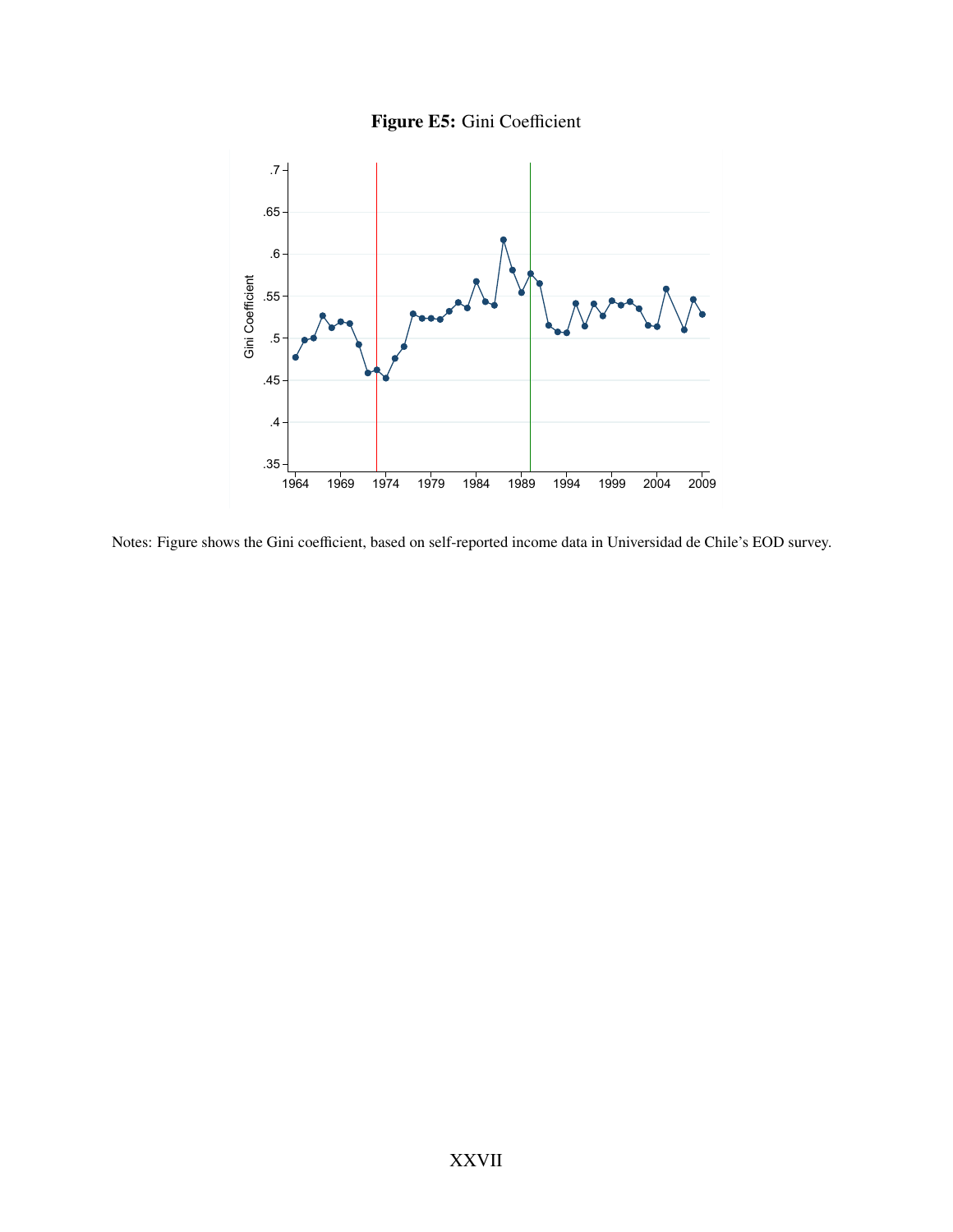



Notes: Figure shows the Gini coefficient, based on self-reported income data in Universidad de Chile's EOD survey.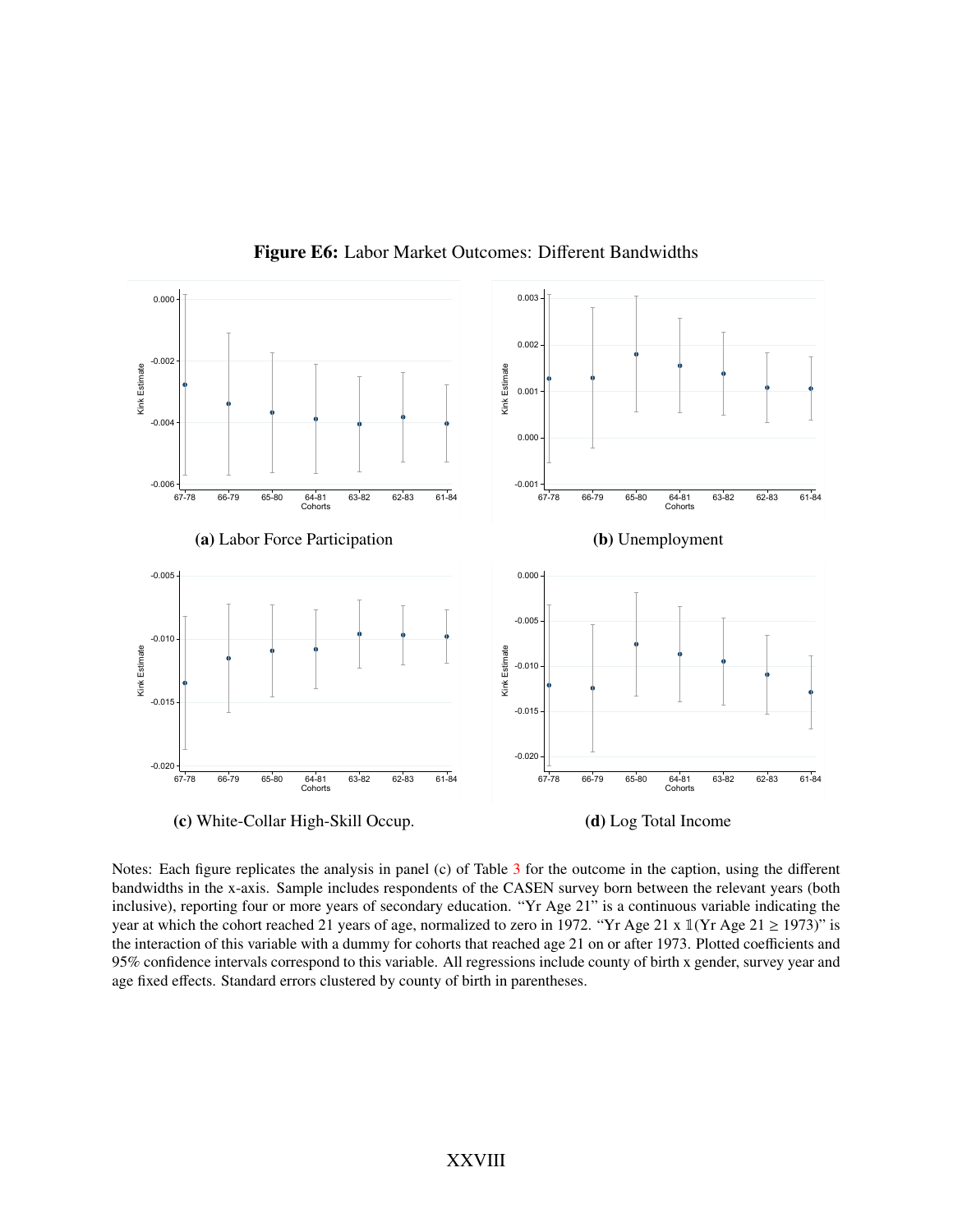

Figure E6: Labor Market Outcomes: Different Bandwidths

Notes: Each figure replicates the analysis in panel (c) of Table [3](#page-39-0) for the outcome in the caption, using the different bandwidths in the x-axis. Sample includes respondents of the CASEN survey born between the relevant years (both inclusive), reporting four or more years of secondary education. "Yr Age 21" is a continuous variable indicating the year at which the cohort reached 21 years of age, normalized to zero in 1972. "Yr Age 21 x  $\mathbb{I}(Yr \text{ Age } 21 \ge 1973)$ " is the interaction of this variable with a dummy for cohorts that reached age 21 on or after 1973. Plotted coefficients and 95% confidence intervals correspond to this variable. All regressions include county of birth x gender, survey year and age fixed effects. Standard errors clustered by county of birth in parentheses.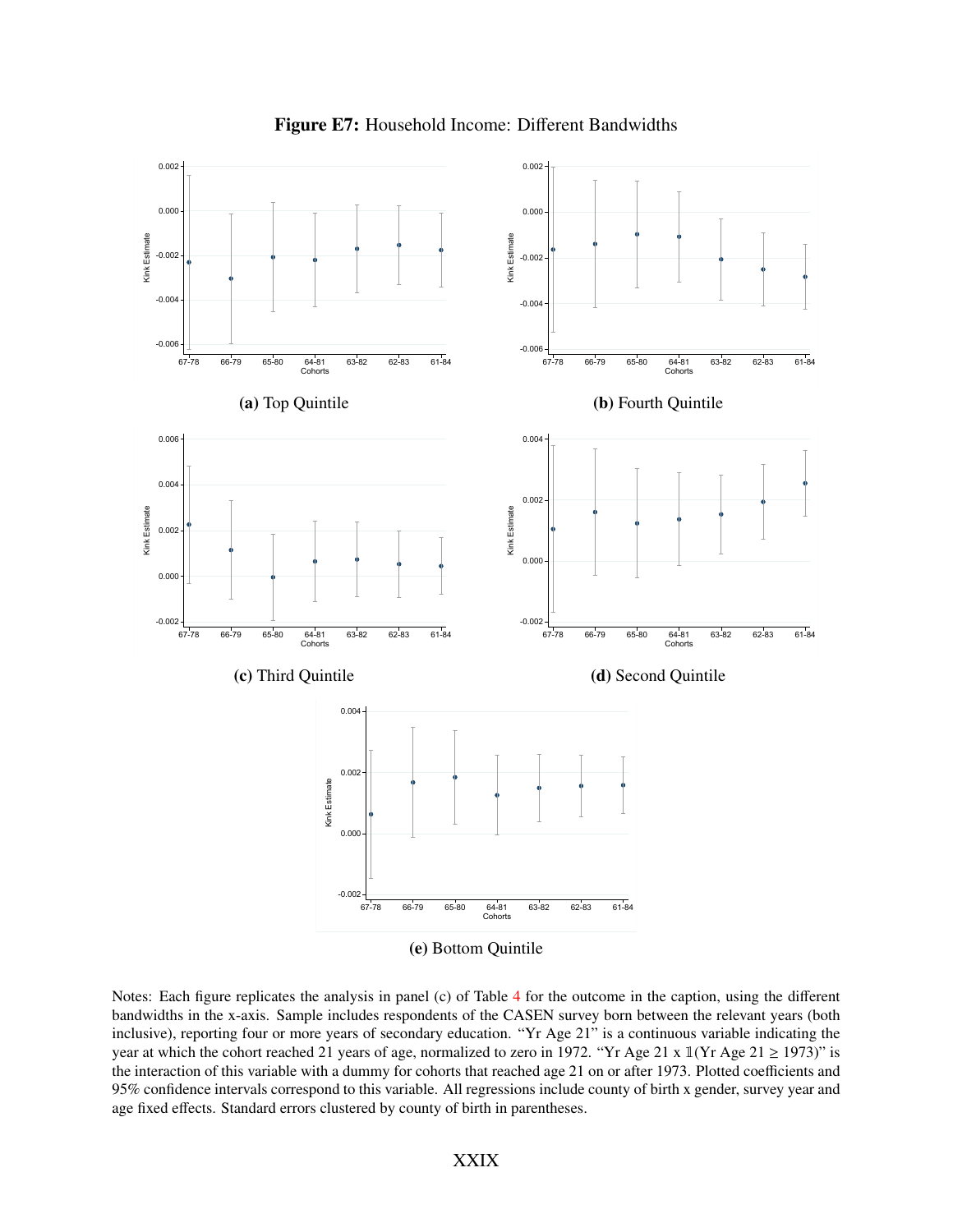

Figure E7: Household Income: Different Bandwidths

Notes: Each figure replicates the analysis in panel (c) of Table [4](#page-40-0) for the outcome in the caption, using the different bandwidths in the x-axis. Sample includes respondents of the CASEN survey born between the relevant years (both inclusive), reporting four or more years of secondary education. "Yr Age 21" is a continuous variable indicating the year at which the cohort reached 21 years of age, normalized to zero in 1972. "Yr Age 21 x  $\mathbb{1}(Yr \text{ Age } 21 \ge 1973)$ " is the interaction of this variable with a dummy for cohorts that reached age 21 on or after 1973. Plotted coefficients and 95% confidence intervals correspond to this variable. All regressions include county of birth x gender, survey year and age fixed effects. Standard errors clustered by county of birth in parentheses.